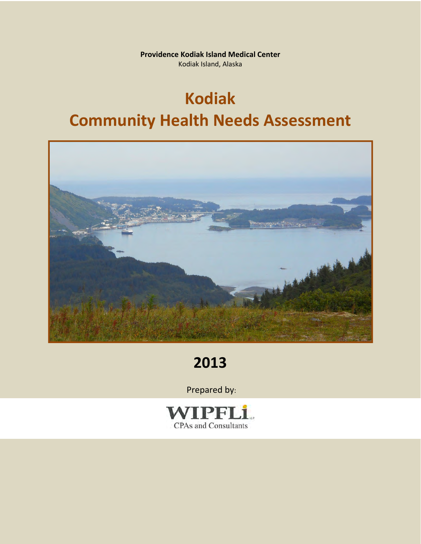**Providence Kodiak Island Medical Center** Kodiak Island, Alaska

# **Kodiak Community Health Needs Assessment**



# **2013**

Prepared by:

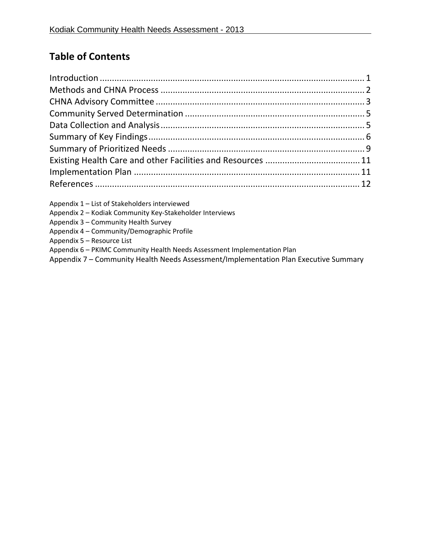# **Table of Contents**

| Appendix 1 - List of Stakeholders interviewed            |  |
|----------------------------------------------------------|--|
| Appendix 2 - Kodiak Community Key-Stakeholder Interviews |  |
| Appendix 3 - Community Health Survey                     |  |

Appendix 4 – Community/Demographic Profile

Appendix 5 – Resource List

Appendix 6 – PKIMC Community Health Needs Assessment Implementation Plan

Appendix 7 – Community Health Needs Assessment/Implementation Plan Executive Summary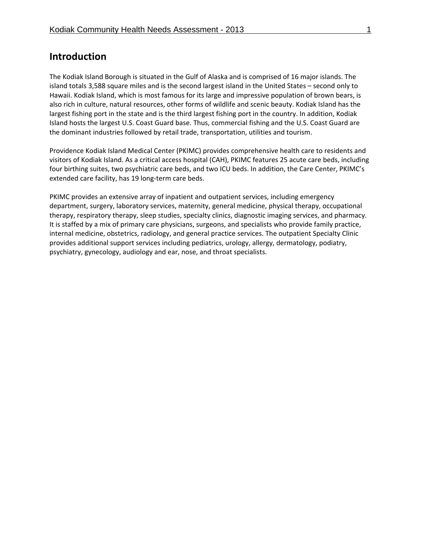# **Introduction**

The Kodiak Island Borough is situated in the Gulf of Alaska and is comprised of 16 major islands. The island totals 3,588 square miles and is the second largest island in the United States – second only to Hawaii. Kodiak Island, which is most famous for its large and impressive population of brown bears, is also rich in culture, natural resources, other forms of wildlife and scenic beauty. Kodiak Island has the largest fishing port in the state and is the third largest fishing port in the country. In addition, Kodiak Island hosts the largest U.S. Coast Guard base. Thus, commercial fishing and the U.S. Coast Guard are the dominant industries followed by retail trade, transportation, utilities and tourism.

Providence Kodiak Island Medical Center (PKIMC) provides comprehensive health care to residents and visitors of Kodiak Island. As a critical access hospital (CAH), PKIMC features 25 acute care beds, including four birthing suites, two psychiatric care beds, and two ICU beds. In addition, the Care Center, PKIMC's extended care facility, has 19 long-term care beds.

PKIMC provides an extensive array of inpatient and outpatient services, including emergency department, surgery, laboratory services, maternity, general medicine, physical therapy, occupational therapy, respiratory therapy, sleep studies, specialty clinics, diagnostic imaging services, and pharmacy. It is staffed by a mix of primary care physicians, surgeons, and specialists who provide family practice, internal medicine, obstetrics, radiology, and general practice services. The outpatient Specialty Clinic provides additional support services including pediatrics, urology, allergy, dermatology, podiatry, psychiatry, gynecology, audiology and ear, nose, and throat specialists.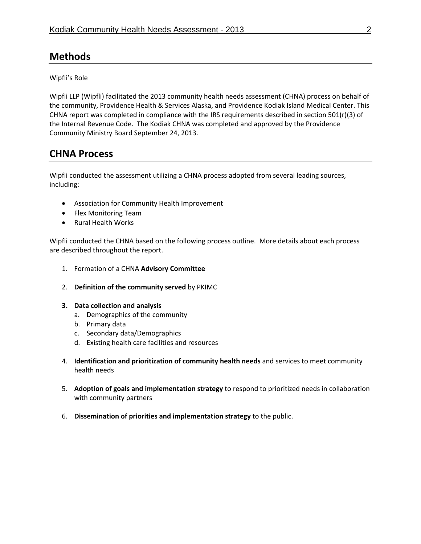# **Methods**

Wipfli's Role

Wipfli LLP (Wipfli) facilitated the 2013 community health needs assessment (CHNA) process on behalf of the community, Providence Health & Services Alaska, and Providence Kodiak Island Medical Center. This CHNA report was completed in compliance with the IRS requirements described in section 501(r)(3) of the Internal Revenue Code. The Kodiak CHNA was completed and approved by the Providence Community Ministry Board September 24, 2013.

# **CHNA Process**

Wipfli conducted the assessment utilizing a CHNA process adopted from several leading sources, including:

- Association for Community Health Improvement
- Flex Monitoring Team
- Rural Health Works

Wipfli conducted the CHNA based on the following process outline. More details about each process are described throughout the report.

- 1. Formation of a CHNA **Advisory Committee**
- 2. **Definition of the community served** by PKIMC
- **3. Data collection and analysis**
	- a. Demographics of the community
	- b. Primary data
	- c. Secondary data/Demographics
	- d. Existing health care facilities and resources
- 4. **Identification and prioritization of community health needs** and services to meet community health needs
- 5. **Adoption of goals and implementation strategy** to respond to prioritized needs in collaboration with community partners
- 6. **Dissemination of priorities and implementation strategy** to the public.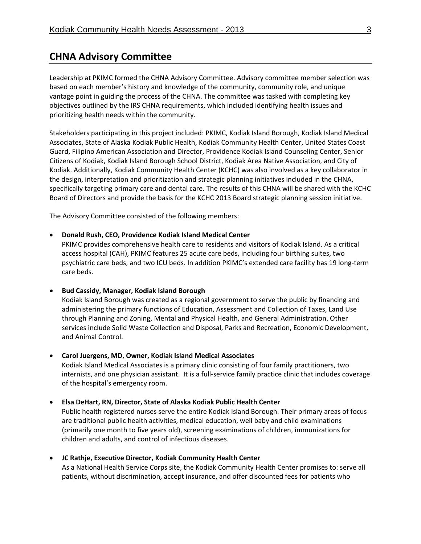# **CHNA Advisory Committee**

Leadership at PKIMC formed the CHNA Advisory Committee. Advisory committee member selection was based on each member's history and knowledge of the community, community role, and unique vantage point in guiding the process of the CHNA. The committee was tasked with completing key objectives outlined by the IRS CHNA requirements, which included identifying health issues and prioritizing health needs within the community.

Stakeholders participating in this project included: PKIMC, Kodiak Island Borough, Kodiak Island Medical Associates, State of Alaska Kodiak Public Health, Kodiak Community Health Center, United States Coast Guard, Filipino American Association and Director, Providence Kodiak Island Counseling Center, Senior Citizens of Kodiak, Kodiak Island Borough School District, Kodiak Area Native Association, and City of Kodiak. Additionally, Kodiak Community Health Center (KCHC) was also involved as a key collaborator in the design, interpretation and prioritization and strategic planning initiatives included in the CHNA, specifically targeting primary care and dental care. The results of this CHNA will be shared with the KCHC Board of Directors and provide the basis for the KCHC 2013 Board strategic planning session initiative.

The Advisory Committee consisted of the following members:

### **Donald Rush, CEO, Providence Kodiak Island Medical Center**

PKIMC provides comprehensive health care to residents and visitors of Kodiak Island. As a critical access hospital (CAH), PKIMC features 25 acute care beds, including four birthing suites, two psychiatric care beds, and two ICU beds. In addition PKIMC's extended care facility has 19 long‐term care beds.

# **Bud Cassidy, Manager, Kodiak Island Borough**

Kodiak Island Borough was created as a regional government to serve the public by financing and administering the primary functions of Education, Assessment and Collection of Taxes, Land Use through Planning and Zoning, Mental and Physical Health, and General Administration. Other services include Solid Waste Collection and Disposal, Parks and Recreation, Economic Development, and Animal Control.

# **Carol Juergens, MD, Owner, Kodiak Island Medical Associates**

Kodiak Island Medical Associates is a primary clinic consisting of four family practitioners, two internists, and one physician assistant. It is a full‐service family practice clinic that includes coverage of the hospital's emergency room.

# **Elsa DeHart, RN, Director, State of Alaska Kodiak Public Health Center**

Public health registered nurses serve the entire Kodiak Island Borough. Their primary areas of focus are traditional public health activities, medical education, well baby and child examinations (primarily one month to five years old), screening examinations of children, immunizations for children and adults, and control of infectious diseases.

# **JC Rathje, Executive Director, Kodiak Community Health Center**

As a National Health Service Corps site, the Kodiak Community Health Center promises to: serve all patients, without discrimination, accept insurance, and offer discounted fees for patients who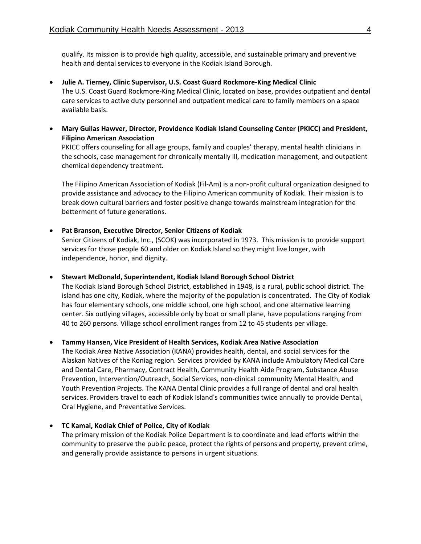qualify. Its mission is to provide high quality, accessible, and sustainable primary and preventive health and dental services to everyone in the Kodiak Island Borough.

- **Julie A. Tierney, Clinic Supervisor, U.S. Coast Guard Rockmore‐King Medical Clinic** The U.S. Coast Guard Rockmore‐King Medical Clinic, located on base, provides outpatient and dental care services to active duty personnel and outpatient medical care to family members on a space available basis.
- **Mary Guilas Hawver, Director, Providence Kodiak Island Counseling Center (PKICC) and President, Filipino American Association**

PKICC offers counseling for all age groups, family and couples' therapy, mental health clinicians in the schools, case management for chronically mentally ill, medication management, and outpatient chemical dependency treatment.

The Filipino American Association of Kodiak (Fil‐Am) is a non‐profit cultural organization designed to provide assistance and advocacy to the Filipino American community of Kodiak. Their mission is to break down cultural barriers and foster positive change towards mainstream integration for the betterment of future generations.

### **Pat Branson, Executive Director, Senior Citizens of Kodiak**

Senior Citizens of Kodiak, Inc., (SCOK) was incorporated in 1973. This mission is to provide support services for those people 60 and older on Kodiak Island so they might live longer, with independence, honor, and dignity.

#### **Stewart McDonald, Superintendent, Kodiak Island Borough School District**

The Kodiak Island Borough School District, established in 1948, is a rural, public school district. The island has one city, Kodiak, where the majority of the population is concentrated. The City of Kodiak has four elementary schools, one middle school, one high school, and one alternative learning center. Six outlying villages, accessible only by boat or small plane, have populations ranging from 40 to 260 persons. Village school enrollment ranges from 12 to 45 students per village.

# **Tammy Hansen, Vice President of Health Services, Kodiak Area Native Association**

The Kodiak Area Native Association (KANA) provides health, dental, and social services for the Alaskan Natives of the Koniag region. Services provided by KANA include Ambulatory Medical Care and Dental Care, Pharmacy, Contract Health, Community Health Aide Program, Substance Abuse Prevention, Intervention/Outreach, Social Services, non‐clinical community Mental Health, and Youth Prevention Projects. The KANA Dental Clinic provides a full range of dental and oral health services. Providers travel to each of Kodiak Island's communities twice annually to provide Dental, Oral Hygiene, and Preventative Services.

#### **TC Kamai, Kodiak Chief of Police, City of Kodiak**

The primary mission of the Kodiak Police Department is to coordinate and lead efforts within the community to preserve the public peace, protect the rights of persons and property, prevent crime, and generally provide assistance to persons in urgent situations.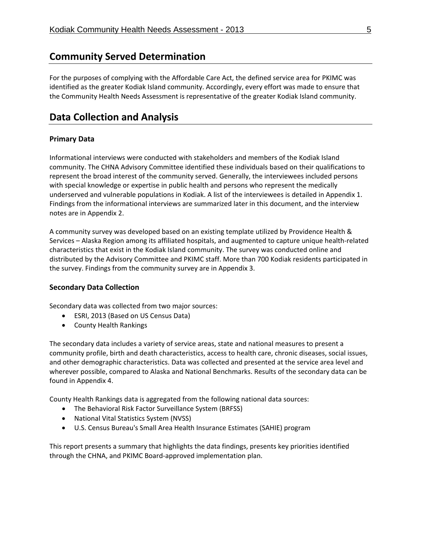# **Community Served Determination**

For the purposes of complying with the Affordable Care Act, the defined service area for PKIMC was identified as the greater Kodiak Island community. Accordingly, every effort was made to ensure that the Community Health Needs Assessment is representative of the greater Kodiak Island community.

# **Data Collection and Analysis**

# **Primary Data**

Informational interviews were conducted with stakeholders and members of the Kodiak Island community. The CHNA Advisory Committee identified these individuals based on their qualifications to represent the broad interest of the community served. Generally, the interviewees included persons with special knowledge or expertise in public health and persons who represent the medically underserved and vulnerable populations in Kodiak. A list of the interviewees is detailed in Appendix 1. Findings from the informational interviews are summarized later in this document, and the interview notes are in Appendix 2.

A community survey was developed based on an existing template utilized by Providence Health & Services – Alaska Region among its affiliated hospitals, and augmented to capture unique health‐related characteristics that exist in the Kodiak Island community. The survey was conducted online and distributed by the Advisory Committee and PKIMC staff. More than 700 Kodiak residents participated in the survey. Findings from the community survey are in Appendix 3.

# **Secondary Data Collection**

Secondary data was collected from two major sources:

- ESRI, 2013 (Based on US Census Data)
- County Health Rankings

The secondary data includes a variety of service areas, state and national measures to present a community profile, birth and death characteristics, access to health care, chronic diseases, social issues, and other demographic characteristics. Data was collected and presented at the service area level and wherever possible, compared to Alaska and National Benchmarks. Results of the secondary data can be found in Appendix 4.

County Health Rankings data is aggregated from the following national data sources:

- The Behavioral Risk Factor Surveillance System (BRFSS)
- National Vital Statistics System (NVSS)
- U.S. Census Bureau's Small Area Health Insurance Estimates (SAHIE) program

This report presents a summary that highlights the data findings, presents key priorities identified through the CHNA, and PKIMC Board‐approved implementation plan.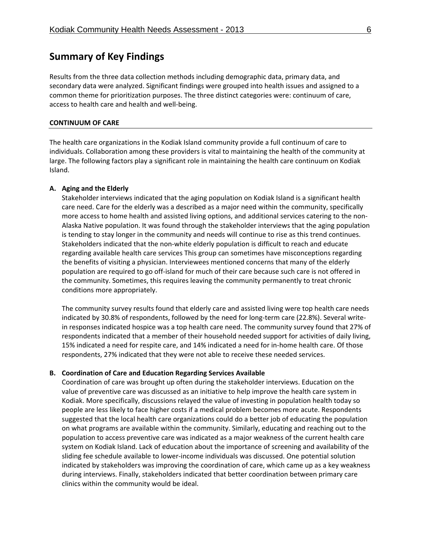# **Summary of Key Findings**

Results from the three data collection methods including demographic data, primary data, and secondary data were analyzed. Significant findings were grouped into health issues and assigned to a common theme for prioritization purposes. The three distinct categories were: continuum of care, access to health care and health and well‐being.

#### **CONTINUUM OF CARE**

The health care organizations in the Kodiak Island community provide a full continuum of care to individuals. Collaboration among these providers is vital to maintaining the health of the community at large. The following factors play a significant role in maintaining the health care continuum on Kodiak Island.

#### **A. Aging and the Elderly**

Stakeholder interviews indicated that the aging population on Kodiak Island is a significant health care need. Care for the elderly was a described as a major need within the community, specifically more access to home health and assisted living options, and additional services catering to the non-Alaska Native population. It was found through the stakeholder interviews that the aging population is tending to stay longer in the community and needs will continue to rise as this trend continues. Stakeholders indicated that the non‐white elderly population is difficult to reach and educate regarding available health care services This group can sometimes have misconceptions regarding the benefits of visiting a physician. Interviewees mentioned concerns that many of the elderly population are required to go off-island for much of their care because such care is not offered in the community. Sometimes, this requires leaving the community permanently to treat chronic conditions more appropriately.

The community survey results found that elderly care and assisted living were top health care needs indicated by 30.8% of respondents, followed by the need for long-term care (22.8%). Several writein responses indicated hospice was a top health care need. The community survey found that 27% of respondents indicated that a member of their household needed support for activities of daily living, 15% indicated a need for respite care, and 14% indicated a need for in‐home health care. Of those respondents, 27% indicated that they were not able to receive these needed services.

#### **B. Coordination of Care and Education Regarding Services Available**

Coordination of care was brought up often during the stakeholder interviews. Education on the value of preventive care was discussed as an initiative to help improve the health care system in Kodiak. More specifically, discussions relayed the value of investing in population health today so people are less likely to face higher costs if a medical problem becomes more acute. Respondents suggested that the local health care organizations could do a better job of educating the population on what programs are available within the community. Similarly, educating and reaching out to the population to access preventive care was indicated as a major weakness of the current health care system on Kodiak Island. Lack of education about the importance of screening and availability of the sliding fee schedule available to lower‐income individuals was discussed. One potential solution indicated by stakeholders was improving the coordination of care, which came up as a key weakness during interviews. Finally, stakeholders indicated that better coordination between primary care clinics within the community would be ideal.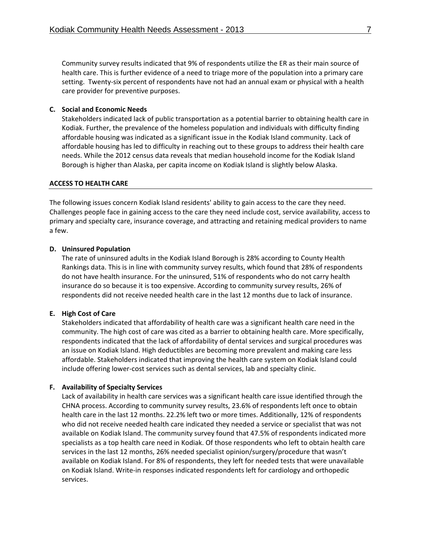Community survey results indicated that 9% of respondents utilize the ER as their main source of health care. This is further evidence of a need to triage more of the population into a primary care setting. Twenty‐six percent of respondents have not had an annual exam or physical with a health care provider for preventive purposes.

#### **C. Social and Economic Needs**

Stakeholders indicated lack of public transportation as a potential barrier to obtaining health care in Kodiak. Further, the prevalence of the homeless population and individuals with difficulty finding affordable housing was indicated as a significant issue in the Kodiak Island community. Lack of affordable housing has led to difficulty in reaching out to these groups to address their health care needs. While the 2012 census data reveals that median household income for the Kodiak Island Borough is higher than Alaska, per capita income on Kodiak Island is slightly below Alaska.

#### **ACCESS TO HEALTH CARE**

The following issues concern Kodiak Island residents' ability to gain access to the care they need. Challenges people face in gaining access to the care they need include cost, service availability, access to primary and specialty care, insurance coverage, and attracting and retaining medical providers to name a few.

#### **D. Uninsured Population**

The rate of uninsured adults in the Kodiak Island Borough is 28% according to County Health Rankings data. This is in line with community survey results, which found that 28% of respondents do not have health insurance. For the uninsured, 51% of respondents who do not carry health insurance do so because it is too expensive. According to community survey results, 26% of respondents did not receive needed health care in the last 12 months due to lack of insurance.

#### **E. High Cost of Care**

Stakeholders indicated that affordability of health care was a significant health care need in the community. The high cost of care was cited as a barrier to obtaining health care. More specifically, respondents indicated that the lack of affordability of dental services and surgical procedures was an issue on Kodiak Island. High deductibles are becoming more prevalent and making care less affordable. Stakeholders indicated that improving the health care system on Kodiak Island could include offering lower‐cost services such as dental services, lab and specialty clinic.

#### **F. Availability of Specialty Services**

Lack of availability in health care services was a significant health care issue identified through the CHNA process. According to community survey results, 23.6% of respondents left once to obtain health care in the last 12 months. 22.2% left two or more times. Additionally, 12% of respondents who did not receive needed health care indicated they needed a service or specialist that was not available on Kodiak Island. The community survey found that 47.5% of respondents indicated more specialists as a top health care need in Kodiak. Of those respondents who left to obtain health care services in the last 12 months, 26% needed specialist opinion/surgery/procedure that wasn't available on Kodiak Island. For 8% of respondents, they left for needed tests that were unavailable on Kodiak Island. Write‐in responses indicated respondents left for cardiology and orthopedic services.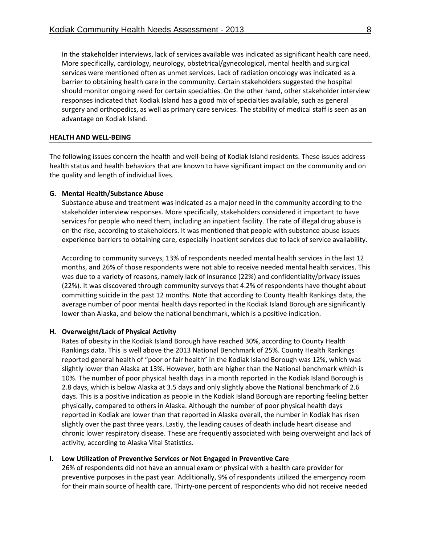In the stakeholder interviews, lack of services available was indicated as significant health care need. More specifically, cardiology, neurology, obstetrical/gynecological, mental health and surgical services were mentioned often as unmet services. Lack of radiation oncology was indicated as a barrier to obtaining health care in the community. Certain stakeholders suggested the hospital should monitor ongoing need for certain specialties. On the other hand, other stakeholder interview responses indicated that Kodiak Island has a good mix of specialties available, such as general surgery and orthopedics, as well as primary care services. The stability of medical staff is seen as an advantage on Kodiak Island.

#### **HEALTH AND WELL‐BEING**

The following issues concern the health and well‐being of Kodiak Island residents. These issues address health status and health behaviors that are known to have significant impact on the community and on the quality and length of individual lives.

#### **G. Mental Health/Substance Abuse**

Substance abuse and treatment was indicated as a major need in the community according to the stakeholder interview responses. More specifically, stakeholders considered it important to have services for people who need them, including an inpatient facility. The rate of illegal drug abuse is on the rise, according to stakeholders. It was mentioned that people with substance abuse issues experience barriers to obtaining care, especially inpatient services due to lack of service availability.

According to community surveys, 13% of respondents needed mental health services in the last 12 months, and 26% of those respondents were not able to receive needed mental health services. This was due to a variety of reasons, namely lack of insurance (22%) and confidentiality/privacy issues (22%). It was discovered through community surveys that 4.2% of respondents have thought about committing suicide in the past 12 months. Note that according to County Health Rankings data, the average number of poor mental health days reported in the Kodiak Island Borough are significantly lower than Alaska, and below the national benchmark, which is a positive indication.

#### **H. Overweight/Lack of Physical Activity**

Rates of obesity in the Kodiak Island Borough have reached 30%, according to County Health Rankings data. This is well above the 2013 National Benchmark of 25%. County Health Rankings reported general health of "poor or fair health" in the Kodiak Island Borough was 12%, which was slightly lower than Alaska at 13%. However, both are higher than the National benchmark which is 10%. The number of poor physical health days in a month reported in the Kodiak Island Borough is 2.8 days, which is below Alaska at 3.5 days and only slightly above the National benchmark of 2.6 days. This is a positive indication as people in the Kodiak Island Borough are reporting feeling better physically, compared to others in Alaska. Although the number of poor physical health days reported in Kodiak are lower than that reported in Alaska overall, the number in Kodiak has risen slightly over the past three years. Lastly, the leading causes of death include heart disease and chronic lower respiratory disease. These are frequently associated with being overweight and lack of activity, according to Alaska Vital Statistics.

#### **I. Low Utilization of Preventive Services or Not Engaged in Preventive Care**

26% of respondents did not have an annual exam or physical with a health care provider for preventive purposes in the past year. Additionally, 9% of respondents utilized the emergency room for their main source of health care. Thirty‐one percent of respondents who did not receive needed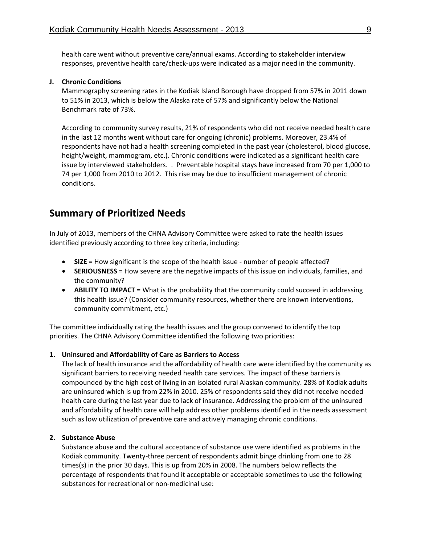health care went without preventive care/annual exams. According to stakeholder interview responses, preventive health care/check-ups were indicated as a major need in the community.

#### **J. Chronic Conditions**

Mammography screening rates in the Kodiak Island Borough have dropped from 57% in 2011 down to 51% in 2013, which is below the Alaska rate of 57% and significantly below the National Benchmark rate of 73%.

According to community survey results, 21% of respondents who did not receive needed health care in the last 12 months went without care for ongoing (chronic) problems. Moreover, 23.4% of respondents have not had a health screening completed in the past year (cholesterol, blood glucose, height/weight, mammogram, etc.). Chronic conditions were indicated as a significant health care issue by interviewed stakeholders. . Preventable hospital stays have increased from 70 per 1,000 to 74 per 1,000 from 2010 to 2012. This rise may be due to insufficient management of chronic conditions.

# **Summary of Prioritized Needs**

In July of 2013, members of the CHNA Advisory Committee were asked to rate the health issues identified previously according to three key criteria, including:

- SIZE = How significant is the scope of the health issue number of people affected?
- **SERIOUSNESS** = How severe are the negative impacts of this issue on individuals, families, and the community?
- **ABILITY TO IMPACT** = What is the probability that the community could succeed in addressing this health issue? (Consider community resources, whether there are known interventions, community commitment, etc.)

The committee individually rating the health issues and the group convened to identify the top priorities. The CHNA Advisory Committee identified the following two priorities:

# **1. Uninsured and Affordability of Care as Barriers to Access**

The lack of health insurance and the affordability of health care were identified by the community as significant barriers to receiving needed health care services. The impact of these barriers is compounded by the high cost of living in an isolated rural Alaskan community. 28% of Kodiak adults are uninsured which is up from 22% in 2010. 25% of respondents said they did not receive needed health care during the last year due to lack of insurance. Addressing the problem of the uninsured and affordability of health care will help address other problems identified in the needs assessment such as low utilization of preventive care and actively managing chronic conditions.

#### **2. Substance Abuse**

Substance abuse and the cultural acceptance of substance use were identified as problems in the Kodiak community. Twenty‐three percent of respondents admit binge drinking from one to 28 times(s) in the prior 30 days. This is up from 20% in 2008. The numbers below reflects the percentage of respondents that found it acceptable or acceptable sometimes to use the following substances for recreational or non‐medicinal use: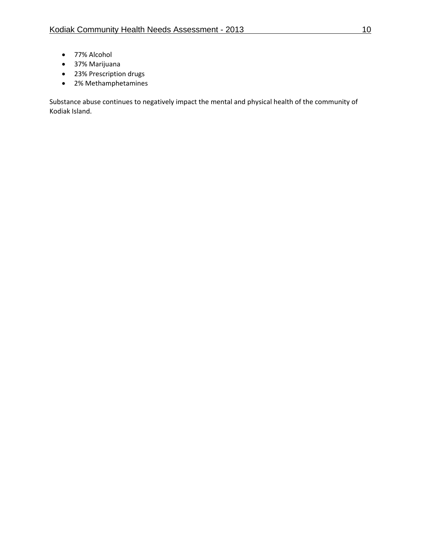- 77% Alcohol
- 37% Marijuana
- 23% Prescription drugs
- 2% Methamphetamines

Substance abuse continues to negatively impact the mental and physical health of the community of Kodiak Island.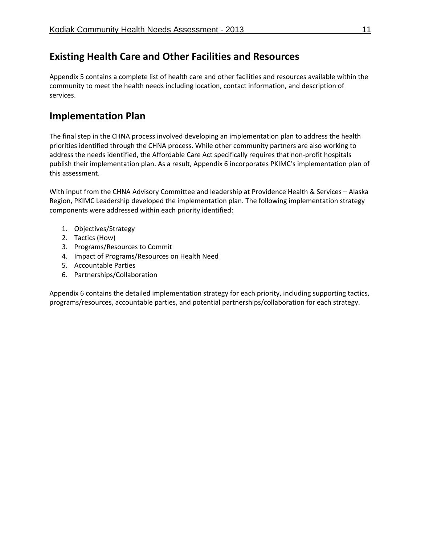# **Existing Health Care and Other Facilities and Resources**

Appendix 5 contains a complete list of health care and other facilities and resources available within the community to meet the health needs including location, contact information, and description of services.

# **Implementation Plan**

The final step in the CHNA process involved developing an implementation plan to address the health priorities identified through the CHNA process. While other community partners are also working to address the needs identified, the Affordable Care Act specifically requires that non‐profit hospitals publish their implementation plan. As a result, Appendix 6 incorporates PKIMC's implementation plan of this assessment.

With input from the CHNA Advisory Committee and leadership at Providence Health & Services – Alaska Region, PKIMC Leadership developed the implementation plan. The following implementation strategy components were addressed within each priority identified:

- 1. Objectives/Strategy
- 2. Tactics (How)
- 3. Programs/Resources to Commit
- 4. Impact of Programs/Resources on Health Need
- 5. Accountable Parties
- 6. Partnerships/Collaboration

Appendix 6 contains the detailed implementation strategy for each priority, including supporting tactics, programs/resources, accountable parties, and potential partnerships/collaboration for each strategy.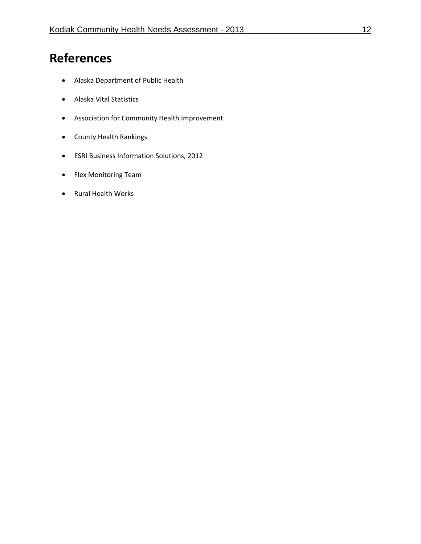# **References**

- Alaska Department of Public Health
- Alaska Vital Statistics
- Association for Community Health Improvement
- County Health Rankings
- ESRI Business Information Solutions, 2012
- Flex Monitoring Team
- Rural Health Works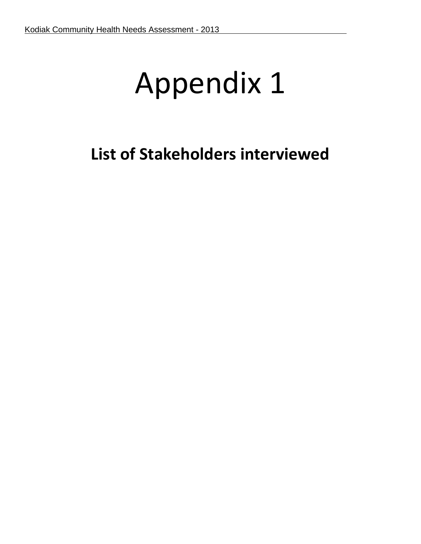# Appendix 1

# **List of Stakeholders interviewed**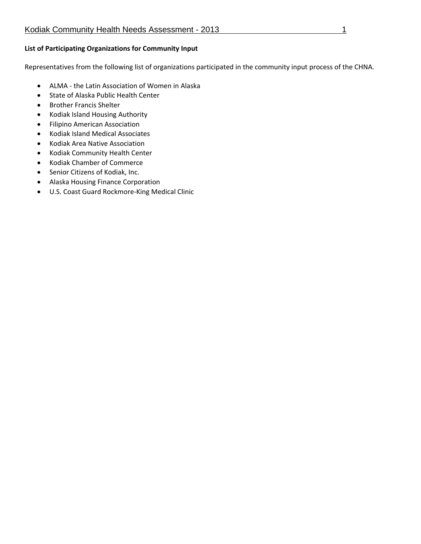### **List of Participating Organizations for Community Input**

Representatives from the following list of organizations participated in the community input process of the CHNA.

- ALMA ‐ the Latin Association of Women in Alaska
- State of Alaska Public Health Center
- **•** Brother Francis Shelter
- Kodiak Island Housing Authority
- Filipino American Association
- Kodiak Island Medical Associates
- Kodiak Area Native Association
- Kodiak Community Health Center
- Kodiak Chamber of Commerce
- Senior Citizens of Kodiak, Inc.
- Alaska Housing Finance Corporation
- U.S. Coast Guard Rockmore‐King Medical Clinic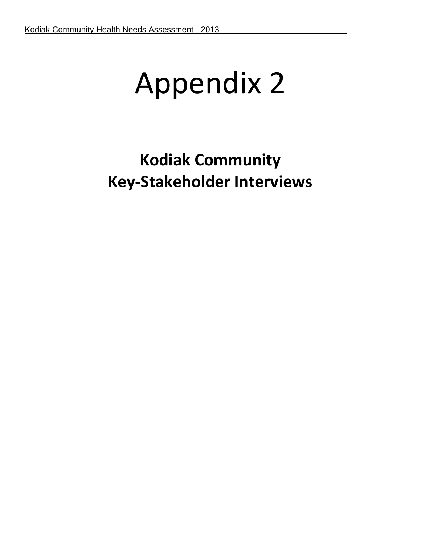# Appendix 2

# **Kodiak Community Key‐Stakeholder Interviews**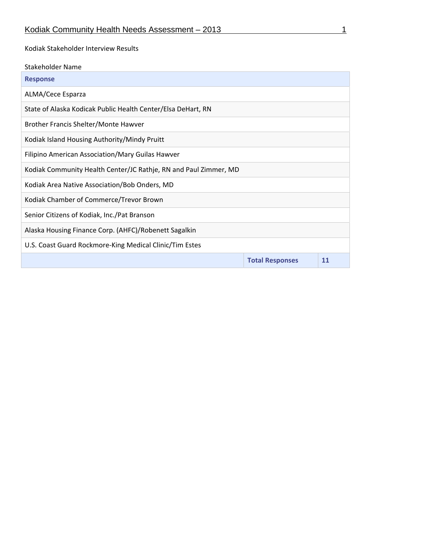Kodiak Stakeholder Interview Results

| Stakeholder Name                                                 |                        |    |
|------------------------------------------------------------------|------------------------|----|
| <b>Response</b>                                                  |                        |    |
| ALMA/Cece Esparza                                                |                        |    |
| State of Alaska Kodicak Public Health Center/Elsa DeHart, RN     |                        |    |
| Brother Francis Shelter/Monte Hawver                             |                        |    |
| Kodiak Island Housing Authority/Mindy Pruitt                     |                        |    |
| Filipino American Association/Mary Guilas Hawver                 |                        |    |
| Kodiak Community Health Center/JC Rathje, RN and Paul Zimmer, MD |                        |    |
| Kodiak Area Native Association/Bob Onders, MD                    |                        |    |
| Kodiak Chamber of Commerce/Trevor Brown                          |                        |    |
| Senior Citizens of Kodiak, Inc./Pat Branson                      |                        |    |
| Alaska Housing Finance Corp. (AHFC)/Robenett Sagalkin            |                        |    |
| U.S. Coast Guard Rockmore-King Medical Clinic/Tim Estes          |                        |    |
|                                                                  | <b>Total Responses</b> | 11 |
|                                                                  |                        |    |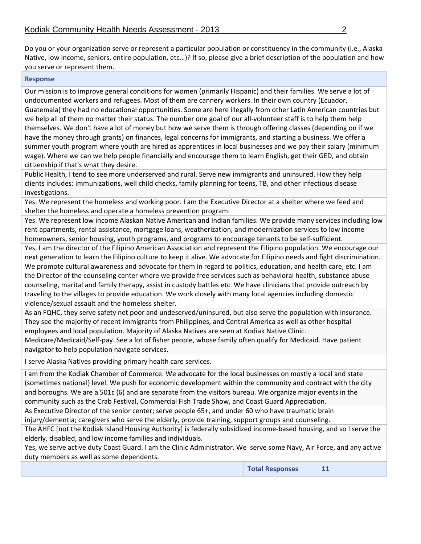Do you or your organization serve or represent a particular population or constituency in the community (i.e., Alaska Native, low income, seniors, entire population, etc…)? If so, please give a brief description of the population and how you serve or represent them.

#### **Response**

Our mission is to improve general conditions for women (primarily Hispanic) and their families. We serve a lot of undocumented workers and refugees. Most of them are cannery workers. In their own country (Ecuador, Guatemala) they had no educational opportunities. Some are here illegally from other Latin American countries but we help all of them no matter their status. The number one goal of our all-volunteer staff is to help them help themselves. We don't have a lot of money but how we serve them is through offering classes (depending on if we have the money through grants) on finances, legal concerns for immigrants, and starting a business. We offer a summer youth program where youth are hired as apprentices in local businesses and we pay their salary (minimum wage). Where we can we help people financially and encourage them to learn English, get their GED, and obtain citizenship if that's what they desire.

Public Health, I tend to see more underserved and rural. Serve new immigrants and uninsured. How they help clients includes: immunizations, well child checks, family planning for teens, TB, and other infectious disease investigations.

Yes. We represent the homeless and working poor. I am the Executive Director at a shelter where we feed and shelter the homeless and operate a homeless prevention program.

Yes. We represent low income Alaskan Native American and Indian families. We provide many services including low rent apartments, rental assistance, mortgage loans, weatherization, and modernization services to low income homeowners, senior housing, youth programs, and programs to encourage tenants to be self-sufficient.

Yes, I am the director of the Filipino American Association and represent the Filipino population. We encourage our next generation to learn the Filipino culture to keep it alive. We advocate for Filipino needs and fight discrimination. We promote cultural awareness and advocate for them in regard to politics, education, and health care, etc. I am the Director of the counseling center where we provide free services such as behavioral health, substance abuse counseling, marital and family therapy, assist in custody battles etc. We have clinicians that provide outreach by traveling to the villages to provide education. We work closely with many local agencies including domestic violence/sexual assault and the homeless shelter.

As an FQHC, they serve safety net poor and undeserved/uninsured, but also serve the population with insurance. They see the majority of recent immigrants from Philippines, and Central America as well as other hospital employees and local population. Majority of Alaska Natives are seen at Kodiak Native Clinic.

Medicare/Medicaid/Self‐pay. See a lot of fisher people, whose family often qualify for Medicaid. Have patient navigator to help population navigate services.

I serve Alaska Natives providing primary health care services.

I am from the Kodiak Chamber of Commerce. We advocate for the local businesses on mostly a local and state (sometimes national) level. We push for economic development within the community and contract with the city and boroughs. We are a 501c (6) and are separate from the visitors bureau. We organize major events in the community such as the Crab Festival, Commercial Fish Trade Show, and Coast Guard Appreciation.

As Executive Director of the senior center; serve people 65+, and under 60 who have traumatic brain injury/dementia; caregivers who serve the elderly, provide training, support groups and counseling.

The AHFC [not the Kodiak Island Housing Authority] is federally subsidized income-based housing, and so I serve the elderly, disabled, and low income families and individuals.

Yes, we serve active duty Coast Guard. I am the Clinic Administrator. We serve some Navy, Air Force, and any active duty members as well as some dependents.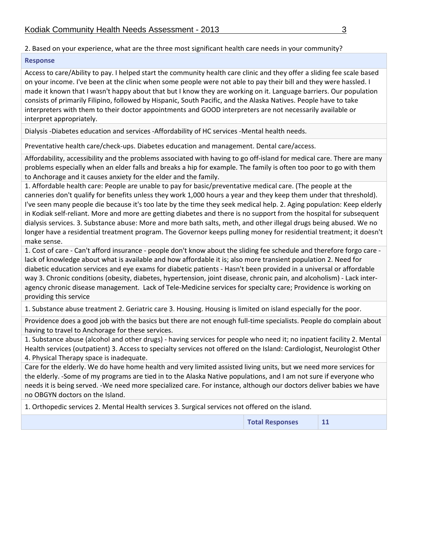# 2. Based on your experience, what are the three most significant health care needs in your community?

### **Response**

Access to care/Ability to pay. I helped start the community health care clinic and they offer a sliding fee scale based on your income. I've been at the clinic when some people were not able to pay their bill and they were hassled. I made it known that I wasn't happy about that but I know they are working on it. Language barriers. Our population consists of primarily Filipino, followed by Hispanic, South Pacific, and the Alaska Natives. People have to take interpreters with them to their doctor appointments and GOOD interpreters are not necessarily available or interpret appropriately.

Dialysis ‐Diabetes education and services ‐Affordability of HC services ‐Mental health needs.

Preventative health care/check‐ups. Diabetes education and management. Dental care/access.

Affordability, accessibility and the problems associated with having to go off-island for medical care. There are many problems especially when an elder falls and breaks a hip for example. The family is often too poor to go with them to Anchorage and it causes anxiety for the elder and the family.

1. Affordable health care: People are unable to pay for basic/preventative medical care. (The people at the canneries don't qualify for benefits unless they work 1,000 hours a year and they keep them under that threshold). I've seen many people die because it's too late by the time they seek medical help. 2. Aging population: Keep elderly in Kodiak self‐reliant. More and more are getting diabetes and there is no support from the hospital for subsequent dialysis services. 3. Substance abuse: More and more bath salts, meth, and other illegal drugs being abused. We no longer have a residential treatment program. The Governor keeps pulling money for residential treatment; it doesn't make sense.

1. Cost of care ‐ Can't afford insurance ‐ people don't know about the sliding fee schedule and therefore forgo care ‐ lack of knowledge about what is available and how affordable it is; also more transient population 2. Need for diabetic education services and eye exams for diabetic patients ‐ Hasn't been provided in a universal or affordable way 3. Chronic conditions (obesity, diabetes, hypertension, joint disease, chronic pain, and alcoholism) - Lack interagency chronic disease management. Lack of Tele‐Medicine services for specialty care; Providence is working on providing this service

1. Substance abuse treatment 2. Geriatric care 3. Housing. Housing is limited on island especially for the poor.

Providence does a good job with the basics but there are not enough full-time specialists. People do complain about having to travel to Anchorage for these services.

1. Substance abuse (alcohol and other drugs) ‐ having services for people who need it; no inpatient facility 2. Mental Health services (outpatient) 3. Access to specialty services not offered on the Island: Cardiologist, Neurologist Other 4. Physical Therapy space is inadequate.

Care for the elderly. We do have home health and very limited assisted living units, but we need more services for the elderly. ‐Some of my programs are tied in to the Alaska Native populations, and I am not sure if everyone who needs it is being served. ‐We need more specialized care. For instance, although our doctors deliver babies we have no OBGYN doctors on the Island.

1. Orthopedic services 2. Mental Health services 3. Surgical services not offered on the island.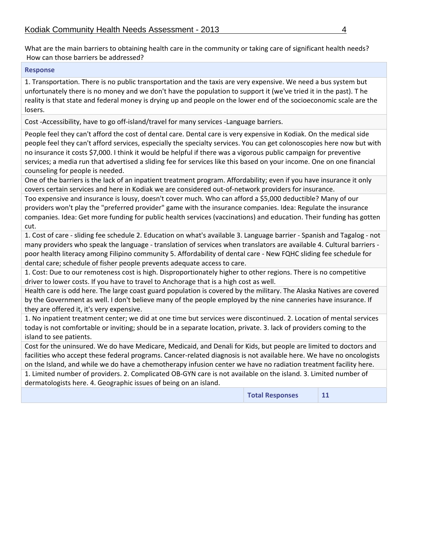What are the main barriers to obtaining health care in the community or taking care of significant health needs? How can those barriers be addressed?

### **Response**

1. Transportation. There is no public transportation and the taxis are very expensive. We need a bus system but unfortunately there is no money and we don't have the population to support it (we've tried it in the past). T he reality is that state and federal money is drying up and people on the lower end of the socioeconomic scale are the losers.

Cost ‐Accessibility, have to go off‐island/travel for many services ‐Language barriers.

People feel they can't afford the cost of dental care. Dental care is very expensive in Kodiak. On the medical side people feel they can't afford services, especially the specialty services. You can get colonoscopies here now but with no insurance it costs \$7,000. I think it would be helpful if there was a vigorous public campaign for preventive services; a media run that advertised a sliding fee for services like this based on your income. One on one financial counseling for people is needed.

One of the barriers is the lack of an inpatient treatment program. Affordability; even if you have insurance it only covers certain services and here in Kodiak we are considered out‐of‐network providers for insurance.

Too expensive and insurance is lousy, doesn't cover much. Who can afford a \$5,000 deductible? Many of our providers won't play the "preferred provider" game with the insurance companies. Idea: Regulate the insurance companies. Idea: Get more funding for public health services (vaccinations) and education. Their funding has gotten cut.

1. Cost of care ‐ sliding fee schedule 2. Education on what's available 3. Language barrier ‐ Spanish and Tagalog ‐ not many providers who speak the language - translation of services when translators are available 4. Cultural barriers poor health literacy among Filipino community 5. Affordability of dental care ‐ New FQHC sliding fee schedule for dental care; schedule of fisher people prevents adequate access to care.

1. Cost: Due to our remoteness cost is high. Disproportionately higher to other regions. There is no competitive driver to lower costs. If you have to travel to Anchorage that is a high cost as well.

Health care is odd here. The large coast guard population is covered by the military. The Alaska Natives are covered by the Government as well. I don't believe many of the people employed by the nine canneries have insurance. If they are offered it, it's very expensive.

1. No inpatient treatment center; we did at one time but services were discontinued. 2. Location of mental services today is not comfortable or inviting; should be in a separate location, private. 3. lack of providers coming to the island to see patients.

Cost for the uninsured. We do have Medicare, Medicaid, and Denali for Kids, but people are limited to doctors and facilities who accept these federal programs. Cancer-related diagnosis is not available here. We have no oncologists on the Island, and while we do have a chemotherapy infusion center we have no radiation treatment facility here.

1. Limited number of providers. 2. Complicated OB‐GYN care is not available on the island. 3. Limited number of dermatologists here. 4. Geographic issues of being on an island.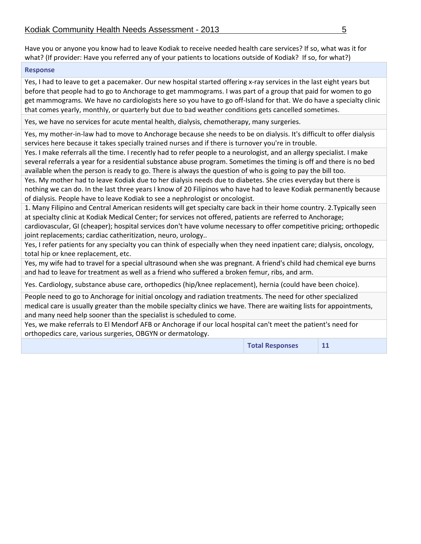Have you or anyone you know had to leave Kodiak to receive needed health care services? If so, what was it for what? (If provider: Have you referred any of your patients to locations outside of Kodiak? If so, for what?)

#### **Response**

Yes, I had to leave to get a pacemaker. Our new hospital started offering x-ray services in the last eight years but before that people had to go to Anchorage to get mammograms. I was part of a group that paid for women to go get mammograms. We have no cardiologists here so you have to go off‐Island for that. We do have a specialty clinic that comes yearly, monthly, or quarterly but due to bad weather conditions gets cancelled sometimes.

Yes, we have no services for acute mental health, dialysis, chemotherapy, many surgeries.

Yes, my mother-in-law had to move to Anchorage because she needs to be on dialysis. It's difficult to offer dialysis services here because it takes specially trained nurses and if there is turnover you're in trouble.

Yes. I make referrals all the time. I recently had to refer people to a neurologist, and an allergy specialist. I make several referrals a year for a residential substance abuse program. Sometimes the timing is off and there is no bed available when the person is ready to go. There is always the question of who is going to pay the bill too.

Yes. My mother had to leave Kodiak due to her dialysis needs due to diabetes. She cries everyday but there is nothing we can do. In the last three years I know of 20 Filipinos who have had to leave Kodiak permanently because of dialysis. People have to leave Kodiak to see a nephrologist or oncologist.

1. Many Filipino and Central American residents will get specialty care back in their home country. 2.Typically seen at specialty clinic at Kodiak Medical Center; for services not offered, patients are referred to Anchorage; cardiovascular, GI (cheaper); hospital services don't have volume necessary to offer competitive pricing; orthopedic

joint replacements; cardiac catheritization, neuro, urology.. Yes, I refer patients for any specialty you can think of especially when they need inpatient care; dialysis, oncology,

total hip or knee replacement, etc.

Yes, my wife had to travel for a special ultrasound when she was pregnant. A friend's child had chemical eye burns and had to leave for treatment as well as a friend who suffered a broken femur, ribs, and arm.

Yes. Cardiology, substance abuse care, orthopedics (hip/knee replacement), hernia (could have been choice).

People need to go to Anchorage for initial oncology and radiation treatments. The need for other specialized medical care is usually greater than the mobile specialty clinics we have. There are waiting lists for appointments, and many need help sooner than the specialist is scheduled to come.

Yes, we make referrals to El Mendorf AFB or Anchorage if our local hospital can't meet the patient's need for orthopedics care, various surgeries, OBGYN or dermatology.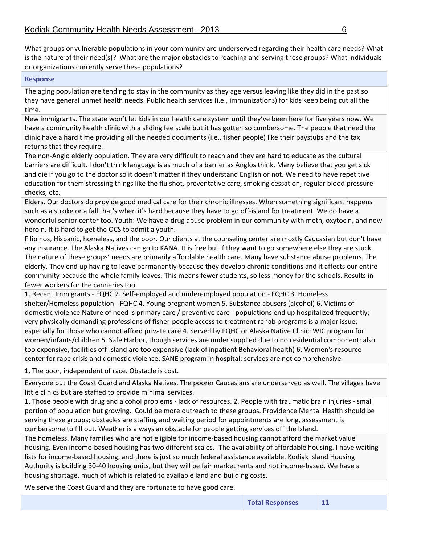What groups or vulnerable populations in your community are underserved regarding their health care needs? What is the nature of their need(s)? What are the major obstacles to reaching and serving these groups? What individuals or organizations currently serve these populations?

#### **Response**

The aging population are tending to stay in the community as they age versus leaving like they did in the past so they have general unmet health needs. Public health services (i.e., immunizations) for kids keep being cut all the time.

New immigrants. The state won't let kids in our health care system until they've been here for five years now. We have a community health clinic with a sliding fee scale but it has gotten so cumbersome. The people that need the clinic have a hard time providing all the needed documents (i.e., fisher people) like their paystubs and the tax returns that they require.

The non‐Anglo elderly population. They are very difficult to reach and they are hard to educate as the cultural barriers are difficult. I don't think language is as much of a barrier as Anglos think. Many believe that you get sick and die if you go to the doctor so it doesn't matter if they understand English or not. We need to have repetitive education for them stressing things like the flu shot, preventative care, smoking cessation, regular blood pressure checks, etc.

Elders. Our doctors do provide good medical care for their chronic illnesses. When something significant happens such as a stroke or a fall that's when it's hard because they have to go off‐island for treatment. We do have a wonderful senior center too. Youth: We have a drug abuse problem in our community with meth, oxytocin, and now heroin. It is hard to get the OCS to admit a youth.

Filipinos, Hispanic, homeless, and the poor. Our clients at the counseling center are mostly Caucasian but don't have any insurance. The Alaska Natives can go to KANA. It is free but if they want to go somewhere else they are stuck. The nature of these groups' needs are primarily affordable health care. Many have substance abuse problems. The elderly. They end up having to leave permanently because they develop chronic conditions and it affects our entire community because the whole family leaves. This means fewer students, so less money for the schools. Results in fewer workers for the canneries too.

1. Recent Immigrants ‐ FQHC 2. Self‐employed and underemployed population ‐ FQHC 3. Homeless shelter/Homeless population ‐ FQHC 4. Young pregnant women 5. Substance abusers (alcohol) 6. Victims of domestic violence Nature of need is primary care / preventive care ‐ populations end up hospitalized frequently; very physically demanding professions of fisher‐people access to treatment rehab programs is a major issue; especially for those who cannot afford private care 4. Served by FQHC or Alaska Native Clinic; WIC program for women/infants/children 5. Safe Harbor, though services are under supplied due to no residential component; also too expensive, facilities off‐island are too expensive (lack of inpatient Behavioral health) 6. Women's resource center for rape crisis and domestic violence; SANE program in hospital; services are not comprehensive

1. The poor, independent of race. Obstacle is cost.

Everyone but the Coast Guard and Alaska Natives. The poorer Caucasians are underserved as well. The villages have little clinics but are staffed to provide minimal services.

1. Those people with drug and alcohol problems ‐ lack of resources. 2. People with traumatic brain injuries ‐ small portion of population but growing. Could be more outreach to these groups. Providence Mental Health should be serving these groups; obstacles are staffing and waiting period for appointments are long, assessment is cumbersome to fill out. Weather is always an obstacle for people getting services off the Island.

The homeless. Many families who are not eligible for income‐based housing cannot afford the market value housing. Even income‐based housing has two different scales. ‐The availability of affordable housing. I have waiting lists for income‐based housing, and there is just so much federal assistance available. Kodiak Island Housing Authority is building 30‐40 housing units, but they will be fair market rents and not income‐based. We have a housing shortage, much of which is related to available land and building costs.

We serve the Coast Guard and they are fortunate to have good care.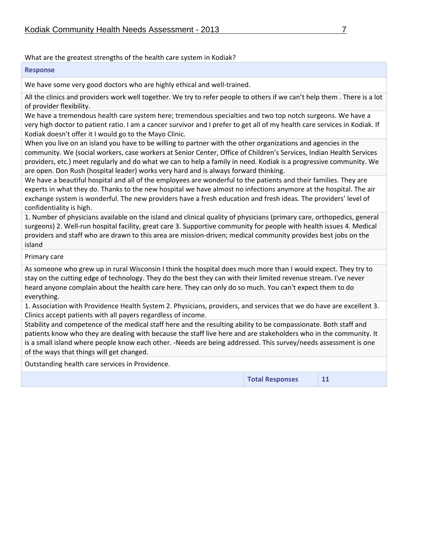# What are the greatest strengths of the health care system in Kodiak?

### **Response**

We have some very good doctors who are highly ethical and well-trained.

All the clinics and providers work well together. We try to refer people to others if we can't help them . There is a lot of provider flexibility.

We have a tremendous health care system here; tremendous specialties and two top notch surgeons. We have a very high doctor to patient ratio. I am a cancer survivor and I prefer to get all of my health care services in Kodiak. If Kodiak doesn't offer it I would go to the Mayo Clinic.

When you live on an island you have to be willing to partner with the other organizations and agencies in the community. We (social workers, case workers at Senior Center, Office of Children's Services, Indian Health Services providers, etc.) meet regularly and do what we can to help a family in need. Kodiak is a progressive community. We are open. Don Rush (hospital leader) works very hard and is always forward thinking.

We have a beautiful hospital and all of the employees are wonderful to the patients and their families. They are experts in what they do. Thanks to the new hospital we have almost no infections anymore at the hospital. The air exchange system is wonderful. The new providers have a fresh education and fresh ideas. The providers' level of confidentiality is high.

1. Number of physicians available on the island and clinical quality of physicians (primary care, orthopedics, general surgeons) 2. Well-run hospital facility, great care 3. Supportive community for people with health issues 4. Medical providers and staff who are drawn to this area are mission‐driven; medical community provides best jobs on the island

Primary care

As someone who grew up in rural Wisconsin I think the hospital does much more than I would expect. They try to stay on the cutting edge of technology. They do the best they can with their limited revenue stream. I've never heard anyone complain about the health care here. They can only do so much. You can't expect them to do everything.

1. Association with Providence Health System 2. Physicians, providers, and services that we do have are excellent 3. Clinics accept patients with all payers regardless of income.

Stability and competence of the medical staff here and the resulting ability to be compassionate. Both staff and patients know who they are dealing with because the staff live here and are stakeholders who in the community. It is a small island where people know each other. ‐Needs are being addressed. This survey/needs assessment is one of the ways that things will get changed.

Outstanding health care services in Providence.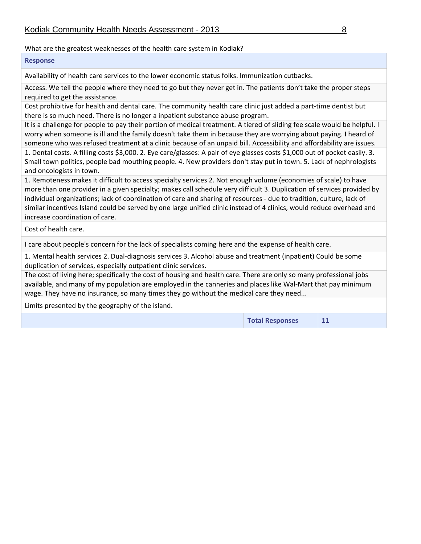# What are the greatest weaknesses of the health care system in Kodiak?

### **Response**

Availability of health care services to the lower economic status folks. Immunization cutbacks.

Access. We tell the people where they need to go but they never get in. The patients don't take the proper steps required to get the assistance.

Cost prohibitive for health and dental care. The community health care clinic just added a part‐time dentist but there is so much need. There is no longer a inpatient substance abuse program.

It is a challenge for people to pay their portion of medical treatment. A tiered of sliding fee scale would be helpful. I worry when someone is ill and the family doesn't take them in because they are worrying about paying. I heard of someone who was refused treatment at a clinic because of an unpaid bill. Accessibility and affordability are issues.

1. Dental costs. A filling costs \$3,000. 2. Eye care/glasses: A pair of eye glasses costs \$1,000 out of pocket easily. 3. Small town politics, people bad mouthing people. 4. New providers don't stay put in town. 5. Lack of nephrologists and oncologists in town.

1. Remoteness makes it difficult to access specialty services 2. Not enough volume (economies of scale) to have more than one provider in a given specialty; makes call schedule very difficult 3. Duplication of services provided by individual organizations; lack of coordination of care and sharing of resources ‐ due to tradition, culture, lack of similar incentives Island could be served by one large unified clinic instead of 4 clinics, would reduce overhead and increase coordination of care.

Cost of health care.

I care about people's concern for the lack of specialists coming here and the expense of health care.

1. Mental health services 2. Dual‐diagnosis services 3. Alcohol abuse and treatment (inpatient) Could be some duplication of services, especially outpatient clinic services.

The cost of living here; specifically the cost of housing and health care. There are only so many professional jobs available, and many of my population are employed in the canneries and places like Wal‐Mart that pay minimum wage. They have no insurance, so many times they go without the medical care they need...

Limits presented by the geography of the island.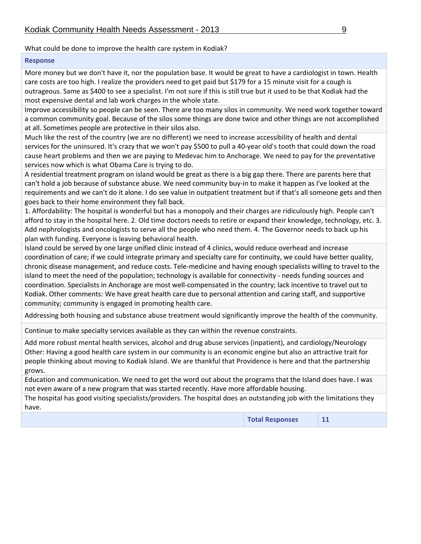What could be done to improve the health care system in Kodiak?

#### **Response**

More money but we don't have it, nor the population base. It would be great to have a cardiologist in town. Health care costs are too high. I realize the providers need to get paid but \$179 for a 15 minute visit for a cough is outrageous. Same as \$400 to see a specialist. I'm not sure if this is still true but it used to be that Kodiak had the most expensive dental and lab work charges in the whole state.

Improve accessibility so people can be seen. There are too many silos in community. We need work together toward a common community goal. Because of the silos some things are done twice and other things are not accomplished at all. Sometimes people are protective in their silos also.

Much like the rest of the country (we are no different) we need to increase accessibility of health and dental services for the uninsured. It's crazy that we won't pay \$500 to pull a 40-year old's tooth that could down the road cause heart problems and then we are paying to Medevac him to Anchorage. We need to pay for the preventative services now which is what Obama Care is trying to do.

A residential treatment program on island would be great as there is a big gap there. There are parents here that can't hold a job because of substance abuse. We need community buy‐in to make it happen as I've looked at the requirements and we can't do it alone. I do see value in outpatient treatment but if that's all someone gets and then goes back to their home environment they fall back.

1. Affordability: The hospital is wonderful but has a monopoly and their charges are ridiculously high. People can't afford to stay in the hospital here. 2. Old time doctors needs to retire or expand their knowledge, technology, etc. 3. Add nephrologists and oncologists to serve all the people who need them. 4. The Governor needs to back up his plan with funding. Everyone is leaving behavioral health.

Island could be served by one large unified clinic instead of 4 clinics, would reduce overhead and increase coordination of care; if we could integrate primary and specialty care for continuity, we could have better quality, chronic disease management, and reduce costs. Tele‐medicine and having enough specialists willing to travel to the island to meet the need of the population; technology is available for connectivity ‐ needs funding sources and coordination. Specialists in Anchorage are most well‐compensated in the country; lack incentive to travel out to Kodiak. Other comments: We have great health care due to personal attention and caring staff, and supportive community; community is engaged in promoting health care.

Addressing both housing and substance abuse treatment would significantly improve the health of the community.

Continue to make specialty services available as they can within the revenue constraints.

Add more robust mental health services, alcohol and drug abuse services (inpatient), and cardiology/Neurology Other: Having a good health care system in our community is an economic engine but also an attractive trait for people thinking about moving to Kodiak Island. We are thankful that Providence is here and that the partnership grows.

Education and communication. We need to get the word out about the programs that the Island does have. I was not even aware of a new program that was started recently. Have more affordable housing.

The hospital has good visiting specialists/providers. The hospital does an outstanding job with the limitations they have.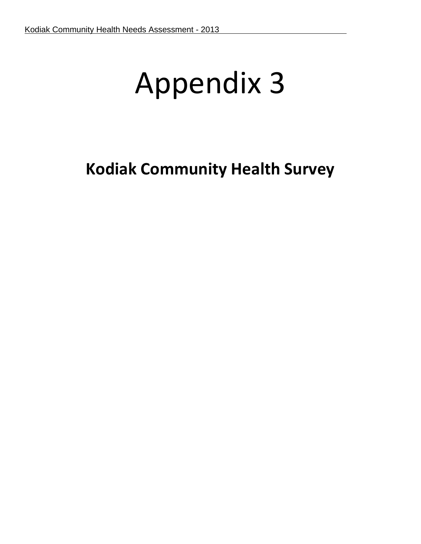# Appendix 3

# **Kodiak Community Health Survey**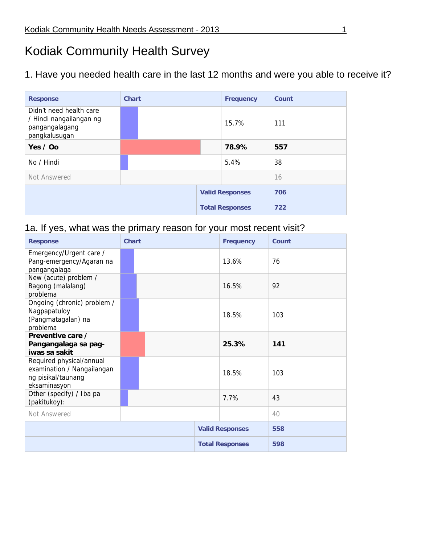# Kodiak Community Health Survey

1. Have you needed health care in the last 12 months and were you able to receive it?

| <b>Response</b>                                                                       | <b>Chart</b> | <b>Frequency</b>       | Count |
|---------------------------------------------------------------------------------------|--------------|------------------------|-------|
| Didn't need health care<br>/ Hindi nangailangan ng<br>pangangalagang<br>pangkalusugan |              | 15.7%                  | 111   |
| Yes $/$ Oo                                                                            |              | 78.9%                  | 557   |
| No / Hindi                                                                            |              | 5.4%                   | 38    |
| Not Answered                                                                          |              |                        | 16    |
|                                                                                       |              | <b>Valid Responses</b> | 706   |
|                                                                                       |              | <b>Total Responses</b> | 722   |

# 1a. If yes, what was the primary reason for your most recent visit?

| <b>Response</b>                                                                              | <b>Chart</b> | <b>Frequency</b>       | Count |
|----------------------------------------------------------------------------------------------|--------------|------------------------|-------|
| Emergency/Urgent care /<br>Pang-emergency/Agaran na<br>pangangalaga                          |              | 13.6%                  | 76    |
| New (acute) problem /<br>Bagong (malalang)<br>problema                                       |              | 16.5%                  | 92    |
| Ongoing (chronic) problem /<br>Nagpapatuloy<br>(Pangmatagalan) na<br>problema                |              | 18.5%                  | 103   |
| Preventive care /<br>Pangangalaga sa pag-<br>iwas sa sakit                                   |              | 25.3%                  | 141   |
| Required physical/annual<br>examination / Nangailangan<br>ng pisikal/taunang<br>eksaminasyon |              | 18.5%                  | 103   |
| Other (specify) / Iba pa<br>(pakitukoy):                                                     |              | 7.7%                   | 43    |
| Not Answered                                                                                 |              |                        | 40    |
|                                                                                              |              | <b>Valid Responses</b> | 558   |
|                                                                                              |              | <b>Total Responses</b> | 598   |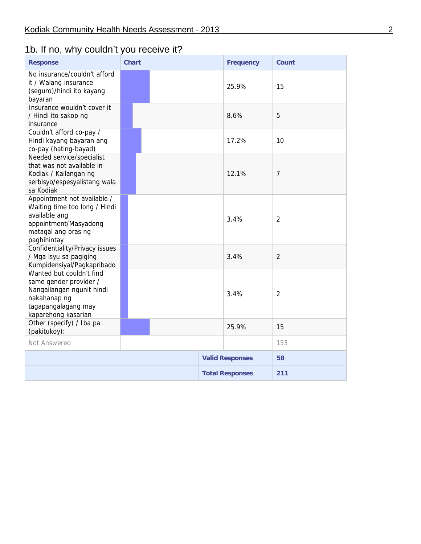# 1b. If no, why couldn't you receive it?

| <b>Response</b>                                                                                                                               | <b>Chart</b> | <b>Frequency</b>       | Count          |
|-----------------------------------------------------------------------------------------------------------------------------------------------|--------------|------------------------|----------------|
| No insurance/couldn't afford<br>it / Walang insurance<br>(seguro)/hindi ito kayang<br>bayaran                                                 |              | 25.9%                  | 15             |
| Insurance wouldn't cover it<br>/ Hindi ito sakop ng<br>insurance                                                                              |              | 8.6%                   | 5              |
| Couldn't afford co-pay /<br>Hindi kayang bayaran ang<br>co-pay (hating-bayad)                                                                 |              | 17.2%                  | 10             |
| Needed service/specialist<br>that was not available in<br>Kodiak / Kailangan ng<br>serbisyo/espesyalistang wala<br>sa Kodiak                  |              | 12.1%                  | 7              |
| Appointment not available /<br>Waiting time too long / Hindi<br>available ang<br>appointment/Masyadong<br>matagal ang oras ng<br>paghihintay  |              | 3.4%                   | $\overline{2}$ |
| Confidentiality/Privacy issues<br>/ Mga isyu sa pagiging<br>Kumpidensiyal/Pagkapribado                                                        |              | 3.4%                   | $\overline{2}$ |
| Wanted but couldn't find<br>same gender provider /<br>Nangailangan ngunit hindi<br>nakahanap ng<br>tagapangalagang may<br>kaparehong kasarian |              | 3.4%                   | $\overline{2}$ |
| Other (specify) / Iba pa<br>(pakitukoy):                                                                                                      |              | 25.9%                  | 15             |
| Not Answered                                                                                                                                  |              |                        | 153            |
|                                                                                                                                               |              | <b>Valid Responses</b> | 58             |
|                                                                                                                                               |              | <b>Total Responses</b> | 211            |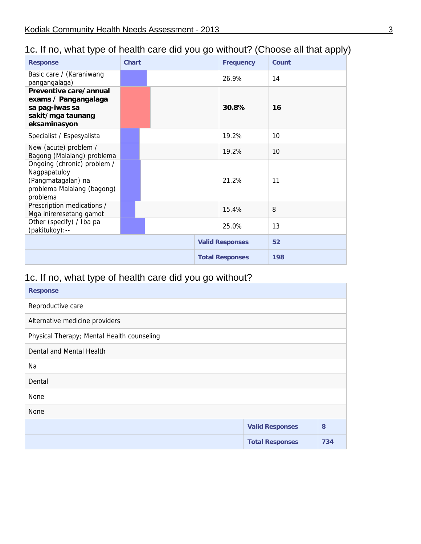# 1c. If no, what type of health care did you go without? (Choose all that apply)

| <b>Response</b>                                                                                             | <b>Chart</b> | <b>Frequency</b>       | Count |
|-------------------------------------------------------------------------------------------------------------|--------------|------------------------|-------|
| Basic care / (Karaniwang<br>pangangalaga)                                                                   |              | 26.9%                  | 14    |
| Preventive care/annual<br>exams / Pangangalaga                                                              |              |                        |       |
| sa pag-iwas sa<br>sakit/mga taunang<br>eksaminasyon                                                         |              | 30.8%                  | 16    |
| Specialist / Espesyalista                                                                                   |              | 19.2%                  | 10    |
| New (acute) problem /<br>Bagong (Malalang) problema                                                         |              | 19.2%                  | 10    |
| Ongoing (chronic) problem /<br>Nagpapatuloy<br>(Pangmatagalan) na<br>problema Malalang (bagong)<br>problema |              | 21.2%                  | 11    |
| Prescription medications /<br>Mga inireresetang gamot                                                       |              | 15.4%                  | 8     |
| Other (specify) / Iba pa<br>(pakitukoy):--                                                                  |              | 25.0%                  | 13    |
|                                                                                                             |              | <b>Valid Responses</b> | 52    |
|                                                                                                             |              | <b>Total Responses</b> | 198   |

# 1c. If no, what type of health care did you go without?

| <b>Response</b>                            |                        |     |
|--------------------------------------------|------------------------|-----|
| Reproductive care                          |                        |     |
| Alternative medicine providers             |                        |     |
| Physical Therapy; Mental Health counseling |                        |     |
| Dental and Mental Health                   |                        |     |
| Na                                         |                        |     |
| Dental                                     |                        |     |
| None                                       |                        |     |
| None                                       |                        |     |
|                                            | <b>Valid Responses</b> | 8   |
|                                            | <b>Total Responses</b> | 734 |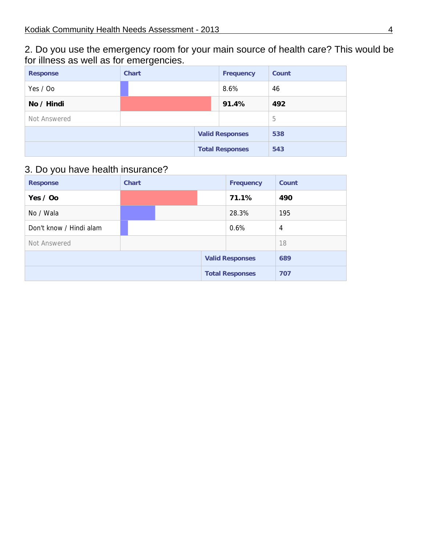2. Do you use the emergency room for your main source of health care? This would be for illness as well as for emergencies.

| <b>Response</b> | <b>Chart</b> | <b>Frequency</b>       | Count |
|-----------------|--------------|------------------------|-------|
| Yes / Oo        |              | 8.6%                   | 46    |
| No / Hindi      |              | 91.4%                  | 492   |
| Not Answered    |              |                        | 5     |
|                 |              | <b>Valid Responses</b> | 538   |
|                 |              | <b>Total Responses</b> | 543   |

# 3. Do you have health insurance?

| <b>Response</b>         | <b>Chart</b> | <b>Frequency</b>       | Count          |
|-------------------------|--------------|------------------------|----------------|
| Yes / Oo                |              | 71.1%                  | 490            |
| No / Wala               |              | 28.3%                  | 195            |
| Don't know / Hindi alam |              | 0.6%                   | $\overline{4}$ |
| Not Answered            |              |                        | 18             |
|                         |              | <b>Valid Responses</b> | 689            |
|                         |              | <b>Total Responses</b> | 707            |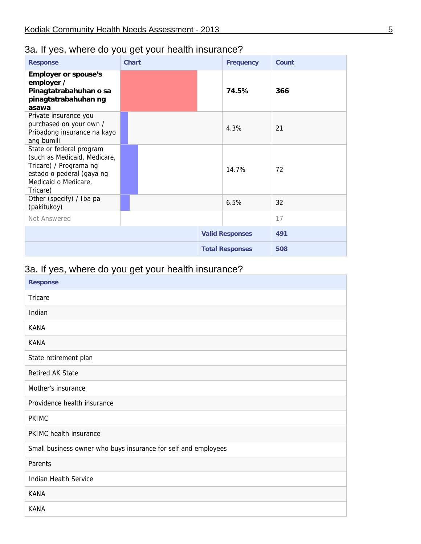# 3a. If yes, where do you get your health insurance?

| <b>Response</b>                                                                                                                                     | <b>Chart</b> | <b>Frequency</b>       | Count |
|-----------------------------------------------------------------------------------------------------------------------------------------------------|--------------|------------------------|-------|
| <b>Employer or spouse's</b><br>employer /<br>Pinagtatrabahuhan o sa<br>pinagtatrabahuhan ng<br>asawa                                                |              | 74.5%                  | 366   |
| Private insurance you<br>purchased on your own /<br>Pribadong insurance na kayo<br>ang bumili                                                       |              | 4.3%                   | 21    |
| State or federal program<br>(such as Medicaid, Medicare,<br>Tricare) / Programa ng<br>estado o pederal (gaya ng<br>Medicaid o Medicare,<br>Tricare) |              | 14.7%                  | 72    |
| Other (specify) / Iba pa<br>(pakitukoy)                                                                                                             |              | 6.5%                   | 32    |
| Not Answered                                                                                                                                        |              |                        | 17    |
|                                                                                                                                                     |              | <b>Valid Responses</b> | 491   |
|                                                                                                                                                     |              | <b>Total Responses</b> | 508   |

# 3a. If yes, where do you get your health insurance?

| <b>Response</b>                                                |
|----------------------------------------------------------------|
| Tricare                                                        |
| Indian                                                         |
| <b>KANA</b>                                                    |
| <b>KANA</b>                                                    |
| State retirement plan                                          |
| <b>Retired AK State</b>                                        |
| Mother's insurance                                             |
| Providence health insurance                                    |
| <b>PKIMC</b>                                                   |
| PKIMC health insurance                                         |
| Small business owner who buys insurance for self and employees |
| Parents                                                        |
| <b>Indian Health Service</b>                                   |
| <b>KANA</b>                                                    |
| <b>KANA</b>                                                    |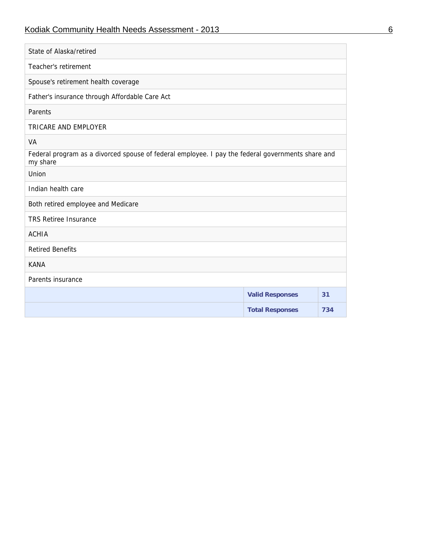# Kodiak Community Health Needs Assessment - 2013 6

| State of Alaska/retired                                                                                       |                        |     |
|---------------------------------------------------------------------------------------------------------------|------------------------|-----|
| Teacher's retirement                                                                                          |                        |     |
| Spouse's retirement health coverage                                                                           |                        |     |
| Father's insurance through Affordable Care Act                                                                |                        |     |
| Parents                                                                                                       |                        |     |
| TRICARE AND EMPLOYER                                                                                          |                        |     |
| VA                                                                                                            |                        |     |
| Federal program as a divorced spouse of federal employee. I pay the federal governments share and<br>my share |                        |     |
| Union                                                                                                         |                        |     |
| Indian health care                                                                                            |                        |     |
| Both retired employee and Medicare                                                                            |                        |     |
| <b>TRS Retiree Insurance</b>                                                                                  |                        |     |
| <b>ACHIA</b>                                                                                                  |                        |     |
| <b>Retired Benefits</b>                                                                                       |                        |     |
| <b>KANA</b>                                                                                                   |                        |     |
| Parents insurance                                                                                             |                        |     |
|                                                                                                               | <b>Valid Responses</b> | 31  |
|                                                                                                               | <b>Total Responses</b> | 734 |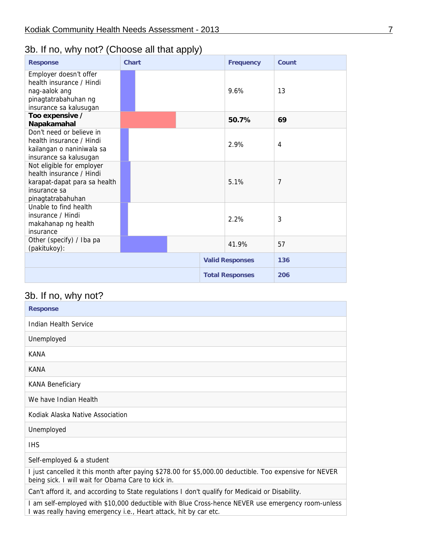# 3b. If no, why not? (Choose all that apply)

| <b>Response</b>                                                                                                            | Chart |  | <b>Frequency</b>       | Count |
|----------------------------------------------------------------------------------------------------------------------------|-------|--|------------------------|-------|
| Employer doesn't offer<br>health insurance / Hindi<br>nag-aalok ang<br>pinagtatrabahuhan ng<br>insurance sa kalusugan      |       |  | 9.6%                   | 13    |
| Too expensive /<br>Napakamahal                                                                                             |       |  | 50.7%                  | 69    |
| Don't need or believe in<br>health insurance / Hindi                                                                       |       |  | 2.9%                   | 4     |
| kailangan o naniniwala sa<br>insurance sa kalusugan                                                                        |       |  |                        |       |
| Not eligible for employer<br>health insurance / Hindi<br>karapat-dapat para sa health<br>insurance sa<br>pinagtatrabahuhan |       |  | 5.1%                   | 7     |
| Unable to find health<br>insurance / Hindi<br>makahanap ng health<br>insurance                                             |       |  | 2.2%                   | 3     |
| Other (specify) / Iba pa<br>(pakitukoy):                                                                                   |       |  | 41.9%                  | 57    |
|                                                                                                                            |       |  | <b>Valid Responses</b> | 136   |
|                                                                                                                            |       |  | <b>Total Responses</b> | 206   |

# 3b. If no, why not?

| <b>Response</b>                                                                                                                                                                |
|--------------------------------------------------------------------------------------------------------------------------------------------------------------------------------|
| Indian Health Service                                                                                                                                                          |
| Unemployed                                                                                                                                                                     |
| KANA                                                                                                                                                                           |
| KANA                                                                                                                                                                           |
| <b>KANA Beneficiary</b>                                                                                                                                                        |
| We have Indian Health                                                                                                                                                          |
| Kodiak Alaska Native Association                                                                                                                                               |
| Unemployed                                                                                                                                                                     |
| <b>IHS</b>                                                                                                                                                                     |
| Self-employed & a student                                                                                                                                                      |
| I just cancelled it this month after paying \$278.00 for \$5,000.00 deductible. Too expensive for NEVER<br>being sick. I will wait for Obama Care to kick in.                  |
| Can't afford it, and according to State regulations I don't qualify for Medicaid or Disability.                                                                                |
| I am self-employed with \$10,000 deductible with Blue Cross-hence NEVER use emergency room-unless<br>I was really having emergency <i>i.e.</i> , Heart attack, hit by car etc. |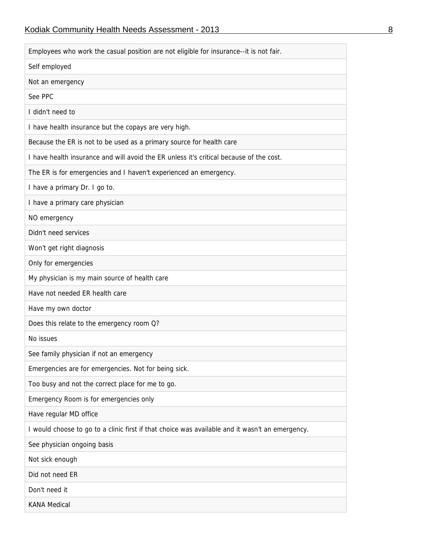| Employees who work the casual position are not eligible for insurance--it is not fair.          |  |  |  |  |
|-------------------------------------------------------------------------------------------------|--|--|--|--|
| Self employed                                                                                   |  |  |  |  |
| Not an emergency                                                                                |  |  |  |  |
| See PPC                                                                                         |  |  |  |  |
| I didn't need to                                                                                |  |  |  |  |
| I have health insurance but the copays are very high.                                           |  |  |  |  |
| Because the ER is not to be used as a primary source for health care                            |  |  |  |  |
| I have health insurance and will avoid the ER unless it's critical because of the cost.         |  |  |  |  |
| The ER is for emergencies and I haven't experienced an emergency.                               |  |  |  |  |
| I have a primary Dr. I go to.                                                                   |  |  |  |  |
| I have a primary care physician                                                                 |  |  |  |  |
| NO emergency                                                                                    |  |  |  |  |
| Didn't need services                                                                            |  |  |  |  |
| Won't get right diagnosis                                                                       |  |  |  |  |
| Only for emergencies                                                                            |  |  |  |  |
| My physician is my main source of health care                                                   |  |  |  |  |
| Have not needed ER health care                                                                  |  |  |  |  |
| Have my own doctor                                                                              |  |  |  |  |
| Does this relate to the emergency room Q?                                                       |  |  |  |  |
| No issues                                                                                       |  |  |  |  |
| See family physician if not an emergency                                                        |  |  |  |  |
| Emergencies are for emergencies. Not for being sick.                                            |  |  |  |  |
| Too busy and not the correct place for me to go.                                                |  |  |  |  |
| Emergency Room is for emergencies only                                                          |  |  |  |  |
| Have regular MD office                                                                          |  |  |  |  |
| I would choose to go to a clinic first if that choice was available and it wasn't an emergency. |  |  |  |  |
| See physician ongoing basis                                                                     |  |  |  |  |
| Not sick enough                                                                                 |  |  |  |  |
| Did not need ER                                                                                 |  |  |  |  |
| Don't need it                                                                                   |  |  |  |  |
| <b>KANA Medical</b>                                                                             |  |  |  |  |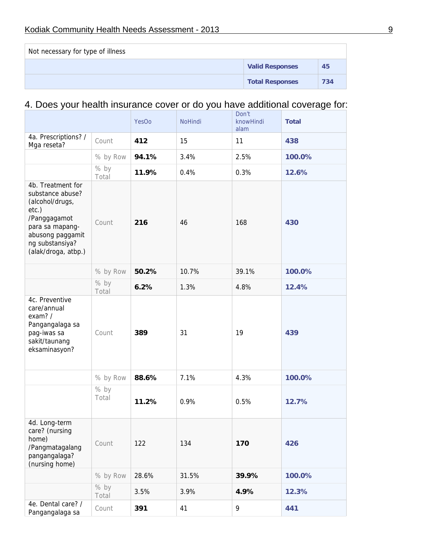| Not necessary for type of illness |                        |     |  |  |  |
|-----------------------------------|------------------------|-----|--|--|--|
|                                   | <b>Valid Responses</b> | 45  |  |  |  |
|                                   | <b>Total Responses</b> | 734 |  |  |  |

# 4. Does your health insurance cover or do you have additional coverage for:

|                                                                                                                                                                    |               | <b>YesOo</b> | <b>NoHindi</b> | Don't<br>knowHindi<br>alam | <b>Total</b> |
|--------------------------------------------------------------------------------------------------------------------------------------------------------------------|---------------|--------------|----------------|----------------------------|--------------|
| 4a. Prescriptions? /<br>Mga reseta?                                                                                                                                | Count         | 412          | 15             | 11                         | 438          |
|                                                                                                                                                                    | % by Row      | 94.1%        | 3.4%           | 2.5%                       | 100.0%       |
|                                                                                                                                                                    | % by<br>Total | 11.9%        | 0.4%           | 0.3%                       | 12.6%        |
| 4b. Treatment for<br>substance abuse?<br>(alcohol/drugs,<br>etc.)<br>/Panggagamot<br>para sa mapang-<br>abusong paggamit<br>ng substansiya?<br>(alak/droga, atbp.) | Count         | 216          | 46             | 168                        | 430          |
|                                                                                                                                                                    | % by Row      | 50.2%        | 10.7%          | 39.1%                      | 100.0%       |
|                                                                                                                                                                    | % by<br>Total | 6.2%         | 1.3%           | 4.8%                       | 12.4%        |
| 4c. Preventive<br>care/annual<br>exam? /<br>Pangangalaga sa<br>pag-iwas sa<br>sakit/taunang<br>eksaminasyon?                                                       | Count         | 389          | 31             | 19                         | 439          |
|                                                                                                                                                                    | % by Row      | 88.6%        | 7.1%           | 4.3%                       | 100.0%       |
|                                                                                                                                                                    | % by<br>Total | 11.2%        | 0.9%           | 0.5%                       | 12.7%        |
| 4d. Long-term<br>care? (nursing<br>home)<br>/Pangmatagalang<br>pangangalaga?<br>(nursing home)                                                                     | Count         | 122          | 134            | 170                        | 426          |
|                                                                                                                                                                    | % by Row      | 28.6%        | 31.5%          | 39.9%                      | 100.0%       |
|                                                                                                                                                                    | % by<br>Total | 3.5%         | 3.9%           | 4.9%                       | 12.3%        |
| 4e. Dental care? /<br>Pangangalaga sa                                                                                                                              | Count         | 391          | 41             | 9                          | 441          |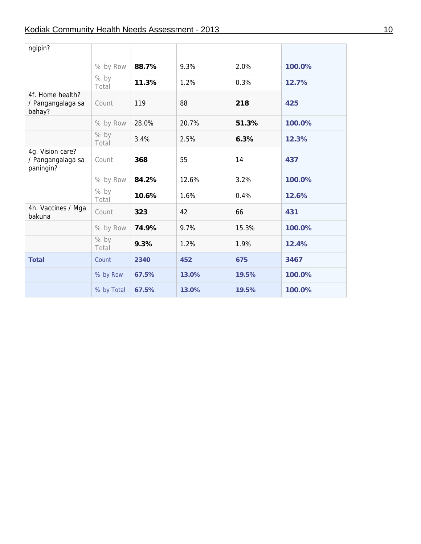#### Kodiak Community Health Needs Assessment - 2013 10

| ngipin?                                            |               |       |       |       |        |
|----------------------------------------------------|---------------|-------|-------|-------|--------|
|                                                    | % by Row      | 88.7% | 9.3%  | 2.0%  | 100.0% |
|                                                    | % by<br>Total | 11.3% | 1.2%  | 0.3%  | 12.7%  |
| 4f. Home health?<br>/ Pangangalaga sa<br>bahay?    | Count         | 119   | 88    | 218   | 425    |
|                                                    | % by Row      | 28.0% | 20.7% | 51.3% | 100.0% |
|                                                    | % by<br>Total | 3.4%  | 2.5%  | 6.3%  | 12.3%  |
| 4g. Vision care?<br>/ Pangangalaga sa<br>paningin? | Count         | 368   | 55    | 14    | 437    |
|                                                    | % by Row      | 84.2% | 12.6% | 3.2%  | 100.0% |
|                                                    | % by<br>Total | 10.6% | 1.6%  | 0.4%  | 12.6%  |
| 4h. Vaccines / Mga<br>bakuna                       | Count         | 323   | 42    | 66    | 431    |
|                                                    | % by Row      | 74.9% | 9.7%  | 15.3% | 100.0% |
|                                                    | % by<br>Total | 9.3%  | 1.2%  | 1.9%  | 12.4%  |
| <b>Total</b>                                       | Count         | 2340  | 452   | 675   | 3467   |
|                                                    | % by Row      | 67.5% | 13.0% | 19.5% | 100.0% |
|                                                    | % by Total    | 67.5% | 13.0% | 19.5% | 100.0% |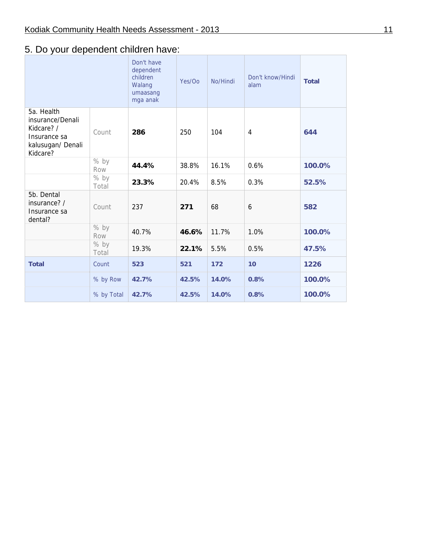## 5. Do your dependent children have:

|                                                                                               |               | Don't have<br>dependent<br>children<br>Walang<br>umaasang<br>mga anak | Yes/Oo | No/Hindi | Don't know/Hindi<br>alam | <b>Total</b> |
|-----------------------------------------------------------------------------------------------|---------------|-----------------------------------------------------------------------|--------|----------|--------------------------|--------------|
| 5a. Health<br>insurance/Denali<br>Kidcare? /<br>Insurance sa<br>kalusugan/ Denali<br>Kidcare? | Count         | 286                                                                   | 250    | 104      | 4                        | 644          |
|                                                                                               | % by<br>Row   | 44.4%                                                                 | 38.8%  | 16.1%    | 0.6%                     | 100.0%       |
|                                                                                               | % by<br>Total | 23.3%                                                                 | 20.4%  | 8.5%     | 0.3%                     | 52.5%        |
| 5b. Dental<br>insurance? /<br>Insurance sa<br>dental?                                         | Count         | 237                                                                   | 271    | 68       | 6                        | 582          |
|                                                                                               | % by<br>Row   | 40.7%                                                                 | 46.6%  | 11.7%    | 1.0%                     | 100.0%       |
|                                                                                               | % by<br>Total | 19.3%                                                                 | 22.1%  | 5.5%     | 0.5%                     | 47.5%        |
| <b>Total</b>                                                                                  | Count         | 523                                                                   | 521    | 172      | 10                       | 1226         |
|                                                                                               | % by Row      | 42.7%                                                                 | 42.5%  | 14.0%    | 0.8%                     | 100.0%       |
|                                                                                               | % by Total    | 42.7%                                                                 | 42.5%  | 14.0%    | 0.8%                     | 100.0%       |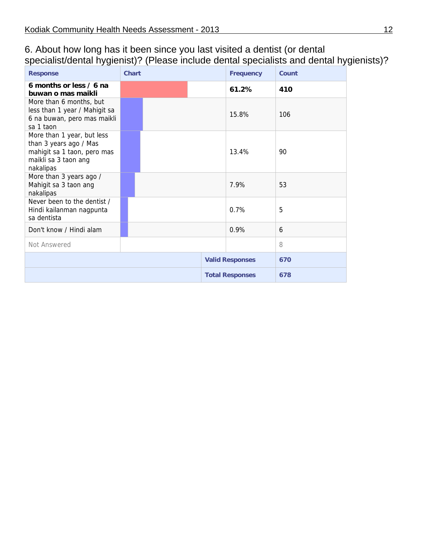#### 6. About how long has it been since you last visited a dentist (or dental specialist/dental hygienist)? (Please include dental specialists and dental hygienists)?

| <b>Response</b>                                                                                                          | <b>Chart</b> | <b>Frequency</b>       | Count |
|--------------------------------------------------------------------------------------------------------------------------|--------------|------------------------|-------|
| 6 months or less / 6 na<br>buwan o mas maikli                                                                            |              | 61.2%                  | 410   |
| More than 6 months, but<br>less than 1 year / Mahigit sa<br>6 na buwan, pero mas maikli<br>sa 1 taon                     |              | 15.8%                  | 106   |
| More than 1 year, but less<br>than 3 years ago / Mas<br>mahigit sa 1 taon, pero mas<br>maikli sa 3 taon ang<br>nakalipas |              | 13.4%                  | 90    |
| More than 3 years ago /<br>Mahigit sa 3 taon ang<br>nakalipas                                                            |              | 7.9%                   | 53    |
| Never been to the dentist /<br>Hindi kailanman nagpunta<br>sa dentista                                                   |              | 0.7%                   | 5     |
| Don't know / Hindi alam                                                                                                  |              | 0.9%                   | 6     |
| Not Answered                                                                                                             |              |                        | 8     |
|                                                                                                                          |              | <b>Valid Responses</b> | 670   |
|                                                                                                                          |              | <b>Total Responses</b> | 678   |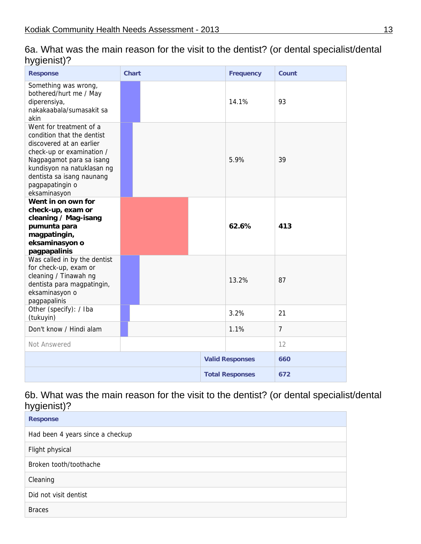| י <i>ו</i> י-י-ט <i>ו</i>                                                                                                                                                                                                                |              |                        |                |
|------------------------------------------------------------------------------------------------------------------------------------------------------------------------------------------------------------------------------------------|--------------|------------------------|----------------|
| <b>Response</b>                                                                                                                                                                                                                          | <b>Chart</b> | <b>Frequency</b>       | <b>Count</b>   |
| Something was wrong,<br>bothered/hurt me / May<br>diperensiya,<br>nakakaabala/sumasakit sa<br>akin                                                                                                                                       |              | 14.1%                  | 93             |
| Went for treatment of a<br>condition that the dentist<br>discovered at an earlier<br>check-up or examination /<br>Nagpagamot para sa isang<br>kundisyon na natuklasan ng<br>dentista sa isang naunang<br>pagpapatingin o<br>eksaminasyon |              | 5.9%                   | 39             |
| Went in on own for<br>check-up, exam or<br>cleaning / Mag-isang<br>pumunta para<br>magpatingin,<br>eksaminasyon o<br>pagpapalinis                                                                                                        |              | 62.6%                  | 413            |
| Was called in by the dentist<br>for check-up, exam or<br>cleaning / Tinawah ng<br>dentista para magpatingin,<br>eksaminasyon o<br>pagpapalinis                                                                                           |              | 13.2%                  | 87             |
| Other (specify): / Iba<br>(tukuyin)                                                                                                                                                                                                      |              | 3.2%                   | 21             |
| Don't know / Hindi alam                                                                                                                                                                                                                  |              | 1.1%                   | $\overline{7}$ |
| Not Answered                                                                                                                                                                                                                             |              |                        | 12             |
|                                                                                                                                                                                                                                          |              | <b>Valid Responses</b> | 660            |
|                                                                                                                                                                                                                                          |              | <b>Total Responses</b> | 672            |

6a. What was the main reason for the visit to the dentist? (or dental specialist/dental hygienist)?

## 6b. What was the main reason for the visit to the dentist? (or dental specialist/dental hygienist)?

| <b>Response</b>                  |
|----------------------------------|
| Had been 4 years since a checkup |
| Flight physical                  |
| Broken tooth/toothache           |
| Cleaning                         |
| Did not visit dentist            |
| <b>Braces</b>                    |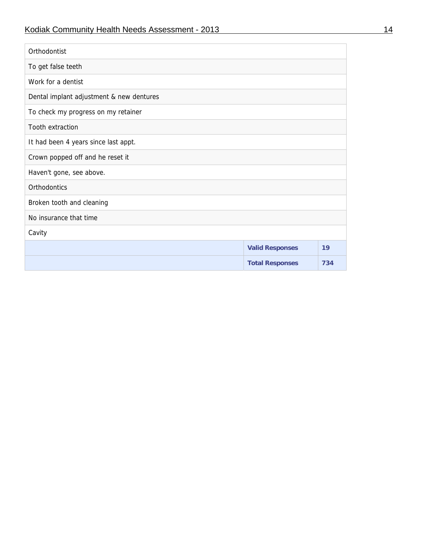| Orthodontist                             |                        |     |  |  |  |  |
|------------------------------------------|------------------------|-----|--|--|--|--|
| To get false teeth                       |                        |     |  |  |  |  |
| Work for a dentist                       |                        |     |  |  |  |  |
| Dental implant adjustment & new dentures |                        |     |  |  |  |  |
| To check my progress on my retainer      |                        |     |  |  |  |  |
| Tooth extraction                         |                        |     |  |  |  |  |
| It had been 4 years since last appt.     |                        |     |  |  |  |  |
| Crown popped off and he reset it         |                        |     |  |  |  |  |
| Haven't gone, see above.                 |                        |     |  |  |  |  |
| Orthodontics                             |                        |     |  |  |  |  |
| Broken tooth and cleaning                |                        |     |  |  |  |  |
| No insurance that time                   |                        |     |  |  |  |  |
| Cavity                                   |                        |     |  |  |  |  |
|                                          | <b>Valid Responses</b> | 19  |  |  |  |  |
|                                          | <b>Total Responses</b> | 734 |  |  |  |  |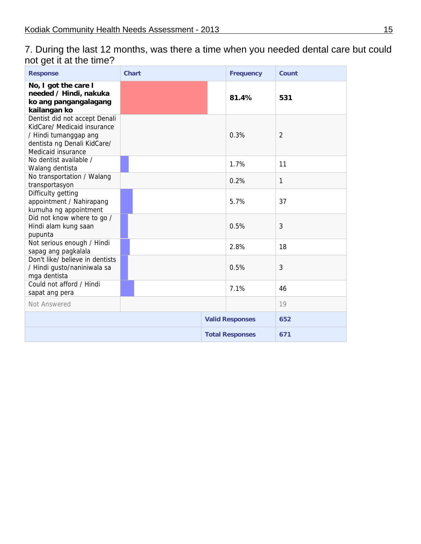|                         | 7. During the last 12 months, was there a time when you needed dental care but could |  |
|-------------------------|--------------------------------------------------------------------------------------|--|
| not get it at the time? |                                                                                      |  |

| <b>Response</b>                                                                                                                            | <b>Chart</b> | <b>Frequency</b>       | <b>Count</b> |
|--------------------------------------------------------------------------------------------------------------------------------------------|--------------|------------------------|--------------|
| No, I got the care I<br>needed / Hindi, nakuka<br>ko ang pangangalagang<br>kailangan ko                                                    |              | 81.4%                  | 531          |
| Dentist did not accept Denali<br>KidCare/ Medicaid insurance<br>/ Hindi tumanggap ang<br>dentista ng Denali KidCare/<br>Medicaid insurance |              | 0.3%                   | 2            |
| No dentist available /<br>Walang dentista                                                                                                  |              | 1.7%                   | 11           |
| No transportation / Walang<br>transportasyon                                                                                               |              | 0.2%                   | 1            |
| Difficulty getting<br>appointment / Nahirapang<br>kumuha ng appointment                                                                    |              | 5.7%                   | 37           |
| Did not know where to go /<br>Hindi alam kung saan<br>pupunta                                                                              |              | 0.5%                   | 3            |
| Not serious enough / Hindi<br>sapag ang pagkalala                                                                                          |              | 2.8%                   | 18           |
| Don't like/ believe in dentists<br>/ Hindi gusto/naniniwala sa<br>mga dentista                                                             |              | 0.5%                   | 3            |
| Could not afford / Hindi<br>sapat ang pera                                                                                                 |              | 7.1%                   | 46           |
| Not Answered                                                                                                                               |              |                        | 19           |
|                                                                                                                                            |              | <b>Valid Responses</b> | 652          |
|                                                                                                                                            |              | <b>Total Responses</b> | 671          |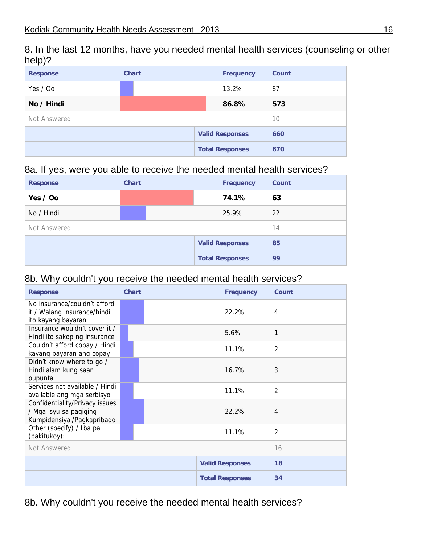8. In the last 12 months, have you needed mental health services (counseling or other help)?

| <b>Response</b> | <b>Chart</b> | <b>Frequency</b>       | <b>Count</b> |
|-----------------|--------------|------------------------|--------------|
| Yes / Oo        |              | 13.2%                  | 87           |
| No / Hindi      |              | 86.8%                  | 573          |
| Not Answered    |              |                        | 10           |
|                 |              | <b>Valid Responses</b> | 660          |
|                 |              | <b>Total Responses</b> | 670          |

#### 8a. If yes, were you able to receive the needed mental health services?

| <b>Response</b> | <b>Chart</b> |  | <b>Frequency</b>       | Count |
|-----------------|--------------|--|------------------------|-------|
| Yes / Oo        |              |  | 74.1%                  | 63    |
| No / Hindi      |              |  | 25.9%                  | 22    |
| Not Answered    |              |  |                        | 14    |
|                 |              |  | <b>Valid Responses</b> | 85    |
|                 |              |  | <b>Total Responses</b> | 99    |

#### 8b. Why couldn't you receive the needed mental health services?

| <b>Response</b>                                                                        | <b>Chart</b> | <b>Frequency</b>       | Count          |
|----------------------------------------------------------------------------------------|--------------|------------------------|----------------|
| No insurance/couldn't afford<br>it / Walang insurance/hindi<br>ito kayang bayaran      |              | 22.2%                  | 4              |
| Insurance wouldn't cover it /<br>Hindi ito sakop ng insurance                          |              | 5.6%                   | $\mathbf{1}$   |
| Couldn't afford copay / Hindi<br>kayang bayaran ang copay                              |              | 11.1%                  | $\overline{2}$ |
| Didn't know where to go /<br>Hindi alam kung saan<br>pupunta                           |              | 16.7%                  | 3              |
| Services not available / Hindi<br>available ang mga serbisyo                           |              | 11.1%                  | $\overline{2}$ |
| Confidentiality/Privacy issues<br>/ Mga isyu sa pagiging<br>Kumpidensiyal/Pagkapribado |              | 22.2%                  | 4              |
| Other (specify) / Iba pa<br>(pakitukoy):                                               |              | 11.1%                  | $\overline{2}$ |
| Not Answered                                                                           |              |                        | 16             |
|                                                                                        |              | <b>Valid Responses</b> | 18             |
|                                                                                        |              | <b>Total Responses</b> | 34             |

8b. Why couldn't you receive the needed mental health services?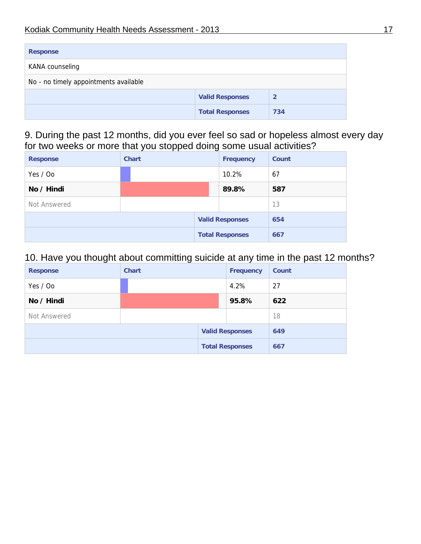| <b>Response</b>                       |                        |     |  |  |  |
|---------------------------------------|------------------------|-----|--|--|--|
| KANA counseling                       |                        |     |  |  |  |
| No - no timely appointments available |                        |     |  |  |  |
| <b>Valid Responses</b><br>2           |                        |     |  |  |  |
|                                       | <b>Total Responses</b> | 734 |  |  |  |

9. During the past 12 months, did you ever feel so sad or hopeless almost every day for two weeks or more that you stopped doing some usual activities?

| <b>Response</b> | <b>Chart</b> |  | <b>Frequency</b>       | <b>Count</b> |
|-----------------|--------------|--|------------------------|--------------|
| Yes / Oo        |              |  | 10.2%                  | 67           |
| No / Hindi      |              |  | 89.8%                  | 587          |
| Not Answered    |              |  |                        | 13           |
|                 |              |  | <b>Valid Responses</b> | 654          |
|                 |              |  | <b>Total Responses</b> | 667          |

## 10. Have you thought about committing suicide at any time in the past 12 months?

| <b>Response</b> | <b>Chart</b> |  | <b>Frequency</b>       | Count |
|-----------------|--------------|--|------------------------|-------|
| Yes / Oo        |              |  | 4.2%                   | 27    |
| No / Hindi      |              |  | 95.8%                  | 622   |
| Not Answered    |              |  |                        | 18    |
|                 |              |  | <b>Valid Responses</b> | 649   |
|                 |              |  | <b>Total Responses</b> | 667   |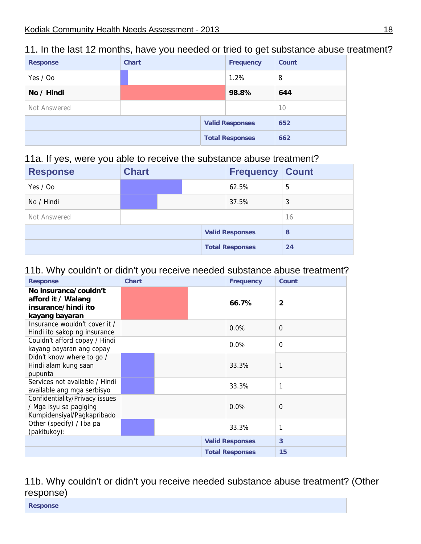| <b>Response</b> | <b>Chart</b> |  | <b>Frequency</b>       | Count |
|-----------------|--------------|--|------------------------|-------|
| Yes / Oo        |              |  | 1.2%                   | 8     |
| No / Hindi      |              |  | 98.8%                  | 644   |
| Not Answered    |              |  |                        | 10    |
|                 |              |  | <b>Valid Responses</b> | 652   |
|                 |              |  | <b>Total Responses</b> | 662   |

#### 11. In the last 12 months, have you needed or tried to get substance abuse treatment?

#### 11a. If yes, were you able to receive the substance abuse treatment?

| -<br><b>Response</b> | <b>Chart</b> |  | <b>Frequency Count</b> |    |
|----------------------|--------------|--|------------------------|----|
| Yes / Oo             |              |  | 62.5%                  | 5  |
| No / Hindi           |              |  | 37.5%                  | 3  |
| Not Answered         |              |  |                        | 16 |
|                      |              |  | <b>Valid Responses</b> | 8  |
|                      |              |  | <b>Total Responses</b> | 24 |

#### 11b. Why couldn't or didn't you receive needed substance abuse treatment?

| <b>Response</b>                                                                        | <b>Chart</b> | <b>Frequency</b>       | Count          |
|----------------------------------------------------------------------------------------|--------------|------------------------|----------------|
| No insurance/couldn't<br>afford it / Walang<br>insurance/hindi ito<br>kayang bayaran   |              | 66.7%                  | $\overline{2}$ |
| Insurance wouldn't cover it /<br>Hindi ito sakop ng insurance                          |              | $0.0\%$                | 0              |
| Couldn't afford copay / Hindi<br>kayang bayaran ang copay                              |              | $0.0\%$                | $\Omega$       |
| Didn't know where to go /<br>Hindi alam kung saan<br>pupunta                           |              | 33.3%                  | 1              |
| Services not available / Hindi<br>available ang mga serbisyo                           |              | 33.3%                  | 1              |
| Confidentiality/Privacy issues<br>/ Mga isyu sa pagiging<br>Kumpidensiyal/Pagkapribado |              | $0.0\%$                | $\Omega$       |
| Other (specify) / Iba pa<br>(pakitukoy):                                               |              | 33.3%                  | 1              |
|                                                                                        |              | <b>Valid Responses</b> | 3              |
|                                                                                        |              | <b>Total Responses</b> | 15             |

11b. Why couldn't or didn't you receive needed substance abuse treatment? (Other response)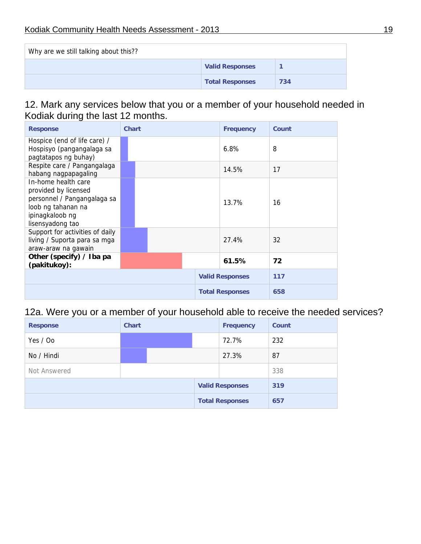| Why are we still talking about this?? |                        |     |  |  |  |
|---------------------------------------|------------------------|-----|--|--|--|
|                                       | <b>Valid Responses</b> |     |  |  |  |
|                                       | <b>Total Responses</b> | 734 |  |  |  |

#### 12. Mark any services below that you or a member of your household needed in Kodiak during the last 12 months.

| <b>Response</b>                                                                                                                         | <b>Chart</b> | <b>Frequency</b>       | Count |
|-----------------------------------------------------------------------------------------------------------------------------------------|--------------|------------------------|-------|
| Hospice (end of life care) /<br>Hospisyo (pangangalaga sa<br>pagtatapos ng buhay)                                                       |              | 6.8%                   | 8     |
| Respite care / Pangangalaga<br>habang nagpapagaling                                                                                     |              | 14.5%                  | 17    |
| In-home health care<br>provided by licensed<br>personnel / Pangangalaga sa<br>loob ng tahanan na<br>ipinagkaloob ng<br>lisensyadong tao |              | 13.7%                  | 16    |
| Support for activities of daily<br>living / Suporta para sa mga<br>araw-araw na gawain                                                  |              | 27.4%                  | 32    |
| Other (specify) / Iba pa<br>(pakitukoy):                                                                                                |              | 61.5%                  | 72    |
|                                                                                                                                         |              | <b>Valid Responses</b> | 117   |
|                                                                                                                                         |              | <b>Total Responses</b> | 658   |

12a. Were you or a member of your household able to receive the needed services?

| <b>Response</b> | <b>Chart</b> |  | <b>Frequency</b> | <b>Count</b>           |     |
|-----------------|--------------|--|------------------|------------------------|-----|
| Yes / Oo        |              |  |                  | 72.7%                  | 232 |
| No / Hindi      |              |  |                  | 27.3%                  | 87  |
| Not Answered    |              |  |                  | 338                    |     |
|                 |              |  |                  | <b>Valid Responses</b> | 319 |
|                 |              |  |                  | <b>Total Responses</b> | 657 |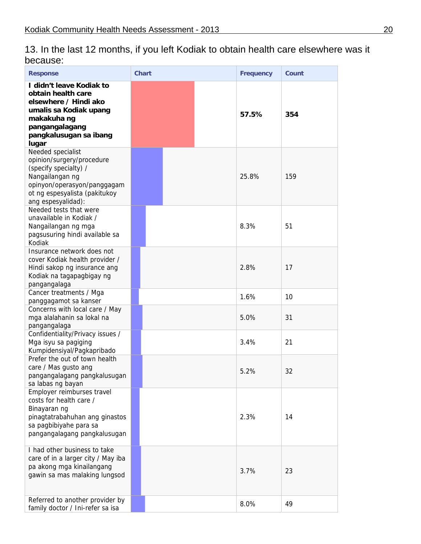13. In the last 12 months, if you left Kodiak to obtain health care elsewhere was it because:

| <b>Response</b>                                                                                                                                                                  | <b>Chart</b> | <b>Frequency</b> | Count |
|----------------------------------------------------------------------------------------------------------------------------------------------------------------------------------|--------------|------------------|-------|
| I didn't leave Kodiak to<br>obtain health care<br>elsewhere / Hindi ako<br>umalis sa Kodiak upang<br>makakuha ng<br>pangangalagang<br>pangkalusugan sa ibang<br>lugar            |              | 57.5%            | 354   |
| Needed specialist<br>opinion/surgery/procedure<br>(specify specialty) /<br>Nangailangan ng<br>opinyon/operasyon/panggagam<br>ot ng espesyalista (pakitukoy<br>ang espesyalidad): |              | 25.8%            | 159   |
| Needed tests that were<br>unavailable in Kodiak /<br>Nangailangan ng mga<br>pagsusuring hindi available sa<br>Kodiak                                                             |              | 8.3%             | 51    |
| Insurance network does not<br>cover Kodiak health provider /<br>Hindi sakop ng insurance ang<br>Kodiak na tagapagbigay ng<br>pangangalaga                                        |              | 2.8%             | 17    |
| Cancer treatments / Mga<br>panggagamot sa kanser                                                                                                                                 |              | 1.6%             | 10    |
| Concerns with local care / May<br>mga alalahanin sa lokal na<br>pangangalaga                                                                                                     |              | 5.0%             | 31    |
| Confidentiality/Privacy issues /<br>Mga isyu sa pagiging<br>Kumpidensiyal/Pagkapribado                                                                                           |              | 3.4%             | 21    |
| Prefer the out of town health<br>care / Mas gusto ang<br>pangangalagang pangkalusugan<br>sa labas ng bayan                                                                       |              | 5.2%             | 32    |
| Employer reimburses travel<br>costs for health care /<br>Binayaran ng<br>pinagtatrabahuhan ang ginastos<br>sa pagbibiyahe para sa<br>pangangalagang pangkalusugan                |              | 2.3%             | 14    |
| I had other business to take<br>care of in a larger city / May iba<br>pa akong mga kinailangang<br>gawin sa mas malaking lungsod                                                 |              | 3.7%             | 23    |
| Referred to another provider by<br>family doctor / Ini-refer sa isa                                                                                                              |              | 8.0%             | 49    |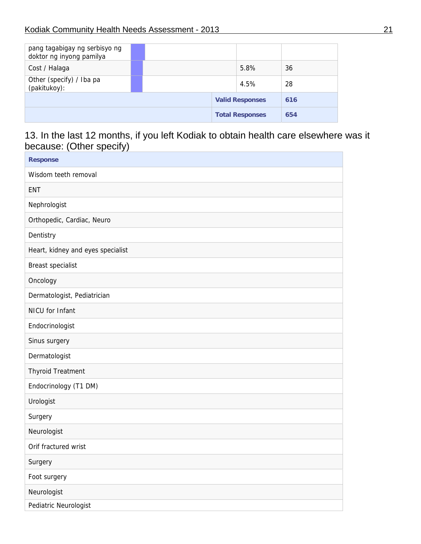| pang tagabigay ng serbisyo ng<br>doktor ng inyong pamilya |  |                        |     |
|-----------------------------------------------------------|--|------------------------|-----|
| Cost / Halaga                                             |  | 5.8%                   | 36  |
| Other (specify) / Iba pa<br>(pakitukoy):                  |  | 4.5%                   | 28  |
|                                                           |  | <b>Valid Responses</b> | 616 |
|                                                           |  | <b>Total Responses</b> | 654 |

## 13. In the last 12 months, if you left Kodiak to obtain health care elsewhere was it because: (Other specify)

| <b>Response</b>                   |
|-----------------------------------|
| Wisdom teeth removal              |
| <b>ENT</b>                        |
| Nephrologist                      |
| Orthopedic, Cardiac, Neuro        |
| Dentistry                         |
| Heart, kidney and eyes specialist |
| <b>Breast specialist</b>          |
| Oncology                          |
| Dermatologist, Pediatrician       |
| NICU for Infant                   |
| Endocrinologist                   |
| Sinus surgery                     |
| Dermatologist                     |
| <b>Thyroid Treatment</b>          |
| Endocrinology (T1 DM)             |
| Urologist                         |
| Surgery                           |
| Neurologist                       |
| Orif fractured wrist              |
| Surgery                           |
| Foot surgery                      |
| Neurologist                       |
| Pediatric Neurologist             |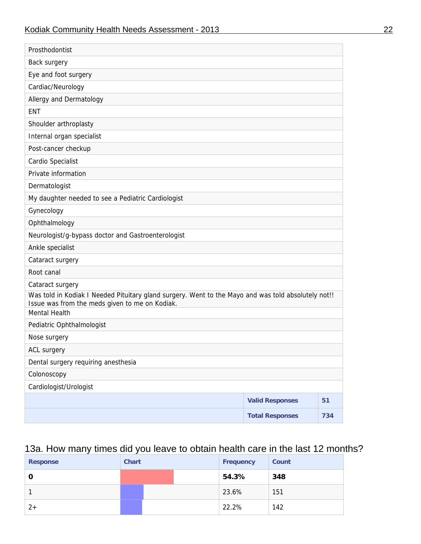| Prosthodontist                                                                                                                                        |                        |     |
|-------------------------------------------------------------------------------------------------------------------------------------------------------|------------------------|-----|
| Back surgery                                                                                                                                          |                        |     |
| Eye and foot surgery                                                                                                                                  |                        |     |
| Cardiac/Neurology                                                                                                                                     |                        |     |
| Allergy and Dermatology                                                                                                                               |                        |     |
| <b>ENT</b>                                                                                                                                            |                        |     |
| Shoulder arthroplasty                                                                                                                                 |                        |     |
| Internal organ specialist                                                                                                                             |                        |     |
| Post-cancer checkup                                                                                                                                   |                        |     |
| Cardio Specialist                                                                                                                                     |                        |     |
| Private information                                                                                                                                   |                        |     |
| Dermatologist                                                                                                                                         |                        |     |
| My daughter needed to see a Pediatric Cardiologist                                                                                                    |                        |     |
| Gynecology                                                                                                                                            |                        |     |
| Ophthalmology                                                                                                                                         |                        |     |
| Neurologist/g-bypass doctor and Gastroenterologist                                                                                                    |                        |     |
| Ankle specialist                                                                                                                                      |                        |     |
| Cataract surgery                                                                                                                                      |                        |     |
| Root canal                                                                                                                                            |                        |     |
| Cataract surgery                                                                                                                                      |                        |     |
| Was told in Kodiak I Needed Pituitary gland surgery. Went to the Mayo and was told absolutely not!!<br>Issue was from the meds given to me on Kodiak. |                        |     |
| Mental Health                                                                                                                                         |                        |     |
| Pediatric Ophthalmologist                                                                                                                             |                        |     |
| Nose surgery                                                                                                                                          |                        |     |
| ACL surgery                                                                                                                                           |                        |     |
| Dental surgery requiring anesthesia                                                                                                                   |                        |     |
| Colonoscopy                                                                                                                                           |                        |     |
| Cardiologist/Urologist                                                                                                                                |                        |     |
|                                                                                                                                                       | <b>Valid Responses</b> | 51  |
|                                                                                                                                                       | <b>Total Responses</b> | 734 |
|                                                                                                                                                       |                        |     |

## 13a. How many times did you leave to obtain health care in the last 12 months?

| <b>Response</b> | <b>Chart</b> |  | <b>Frequency</b> | Count |
|-----------------|--------------|--|------------------|-------|
|                 |              |  | 54.3%            | 348   |
|                 |              |  | 23.6%            | 151   |
|                 |              |  | 22.2%            | 142   |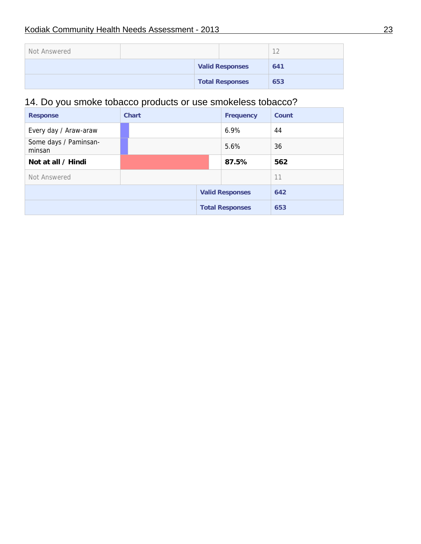| Not Answered |  |  |                        | $\sim$ |
|--------------|--|--|------------------------|--------|
|              |  |  | <b>Valid Responses</b> | 641    |
|              |  |  | <b>Total Responses</b> | 653    |

## 14. Do you smoke tobacco products or use smokeless tobacco?

| <b>Response</b>                 | <b>Chart</b> | <b>Frequency</b>       | Count |
|---------------------------------|--------------|------------------------|-------|
| Every day / Araw-araw           |              | $6.9\%$                | 44    |
| Some days / Paminsan-<br>minsan |              | 5.6%                   | 36    |
| Not at all / Hindi              |              | 87.5%                  | 562   |
| Not Answered                    |              |                        | 11    |
|                                 |              | <b>Valid Responses</b> | 642   |
|                                 |              | <b>Total Responses</b> | 653   |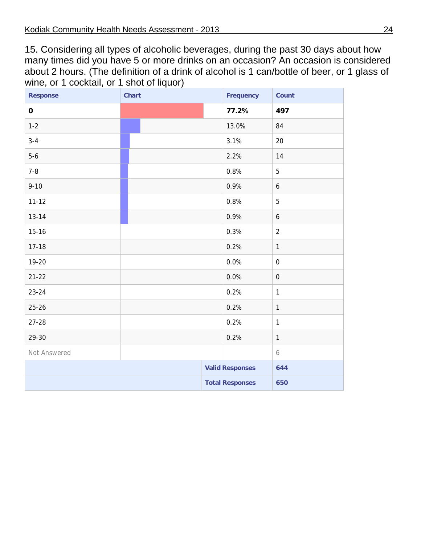15. Considering all types of alcoholic beverages, during the past 30 days about how many times did you have 5 or more drinks on an occasion? An occasion is considered about 2 hours. (The definition of a drink of alcohol is 1 can/bottle of beer, or 1 glass of wine, or 1 cocktail, or 1 shot of liquor)

| <b>Response</b> | <b>Chart</b> | <b>Frequency</b>       | Count            |
|-----------------|--------------|------------------------|------------------|
| $\mathbf 0$     |              | 77.2%                  | 497              |
| $1 - 2$         |              | 13.0%                  | 84               |
| $3 - 4$         |              | 3.1%                   | 20               |
| $5-6$           |              | 2.2%                   | 14               |
| $7 - 8$         |              | 0.8%                   | 5                |
| $9 - 10$        |              | 0.9%                   | $\boldsymbol{6}$ |
| $11 - 12$       |              | 0.8%                   | 5                |
| $13 - 14$       |              | 0.9%                   | $\boldsymbol{6}$ |
| $15 - 16$       |              | 0.3%                   | $\overline{2}$   |
| $17 - 18$       |              | 0.2%                   | $\mathbf{1}$     |
| 19-20           |              | 0.0%                   | $\boldsymbol{0}$ |
| $21 - 22$       |              | 0.0%                   | $\boldsymbol{0}$ |
| $23 - 24$       |              | 0.2%                   | $\mathbf{1}$     |
| $25 - 26$       |              | 0.2%                   | $\mathbf{1}$     |
| $27 - 28$       |              | 0.2%                   | $\mathbf{1}$     |
| 29-30           |              | 0.2%                   | $\mathbf{1}$     |
| Not Answered    |              |                        | 6                |
|                 |              | <b>Valid Responses</b> | 644              |
|                 |              | <b>Total Responses</b> | 650              |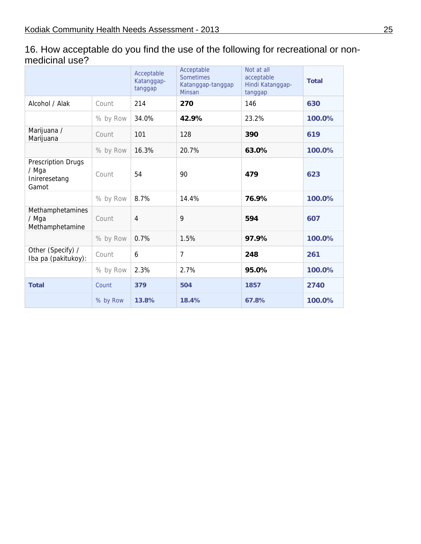| 16. How acceptable do you find the use of the following for recreational or non- |  |
|----------------------------------------------------------------------------------|--|
| medicinal use?                                                                   |  |

|                                                              |          | Acceptable<br>Katanggap-<br>tanggap | Acceptable<br><b>Sometimes</b><br>Katanggap-tanggap<br>Minsan | Not at all<br>acceptable<br>Hindi Katanggap-<br>tanggap | <b>Total</b> |
|--------------------------------------------------------------|----------|-------------------------------------|---------------------------------------------------------------|---------------------------------------------------------|--------------|
| Alcohol / Alak                                               | Count    | 214                                 | 270                                                           | 146                                                     | 630          |
|                                                              | % by Row | 34.0%                               | 42.9%                                                         | 23.2%                                                   | 100.0%       |
| Marijuana /<br>Marijuana                                     | Count    | 101                                 | 128                                                           | 390                                                     | 619          |
|                                                              | % by Row | 16.3%                               | 20.7%                                                         | 63.0%                                                   | 100.0%       |
| <b>Prescription Drugs</b><br>/ Mga<br>Inireresetang<br>Gamot | Count    | 54                                  | 90                                                            | 479                                                     | 623          |
|                                                              | % by Row | 8.7%                                | 14.4%                                                         | 76.9%                                                   | 100.0%       |
| Methamphetamines<br>/ Mga<br>Methamphetamine                 | Count    | $\overline{4}$                      | 9                                                             | 594                                                     | 607          |
|                                                              | % by Row | 0.7%                                | 1.5%                                                          | 97.9%                                                   | 100.0%       |
| Other (Specify) /<br>Iba pa (pakitukoy):                     | Count    | 6                                   | $\overline{7}$                                                | 248                                                     | 261          |
|                                                              | % by Row | 2.3%                                | 2.7%                                                          | 95.0%                                                   | 100.0%       |
| <b>Total</b>                                                 | Count    | 379                                 | 504                                                           | 1857                                                    | 2740         |
|                                                              | % by Row | 13.8%                               | 18.4%                                                         | 67.8%                                                   | 100.0%       |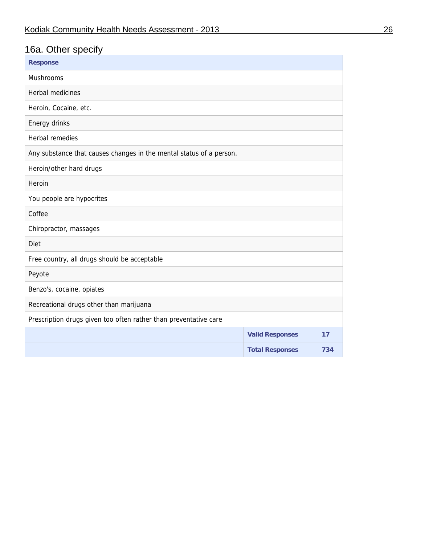## 16a. Other specify

| <b>Response</b>                                                     |                        |     |
|---------------------------------------------------------------------|------------------------|-----|
| Mushrooms                                                           |                        |     |
| Herbal medicines                                                    |                        |     |
| Heroin, Cocaine, etc.                                               |                        |     |
| Energy drinks                                                       |                        |     |
| <b>Herbal remedies</b>                                              |                        |     |
| Any substance that causes changes in the mental status of a person. |                        |     |
| Heroin/other hard drugs                                             |                        |     |
| Heroin                                                              |                        |     |
| You people are hypocrites                                           |                        |     |
| Coffee                                                              |                        |     |
| Chiropractor, massages                                              |                        |     |
| Diet                                                                |                        |     |
| Free country, all drugs should be acceptable                        |                        |     |
| Peyote                                                              |                        |     |
| Benzo's, cocaine, opiates                                           |                        |     |
| Recreational drugs other than marijuana                             |                        |     |
| Prescription drugs given too often rather than preventative care    |                        |     |
|                                                                     | <b>Valid Responses</b> | 17  |
|                                                                     | <b>Total Responses</b> | 734 |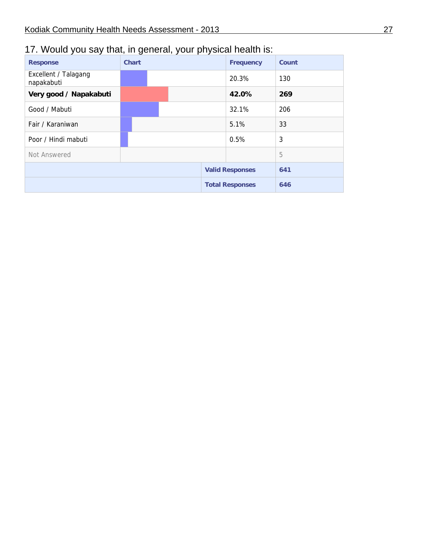## 17. Would you say that, in general, your physical health is:

| <b>Response</b>                    | <b>Chart</b> |  | <b>Frequency</b>       | Count |
|------------------------------------|--------------|--|------------------------|-------|
| Excellent / Talagang<br>napakabuti |              |  | 20.3%                  | 130   |
| Very good / Napakabuti             |              |  | 42.0%                  | 269   |
| Good / Mabuti                      |              |  | 32.1%                  | 206   |
| Fair / Karaniwan                   |              |  | 5.1%                   | 33    |
| Poor / Hindi mabuti                |              |  | 0.5%                   | 3     |
| Not Answered                       |              |  |                        | 5     |
|                                    |              |  | <b>Valid Responses</b> | 641   |
|                                    |              |  | <b>Total Responses</b> | 646   |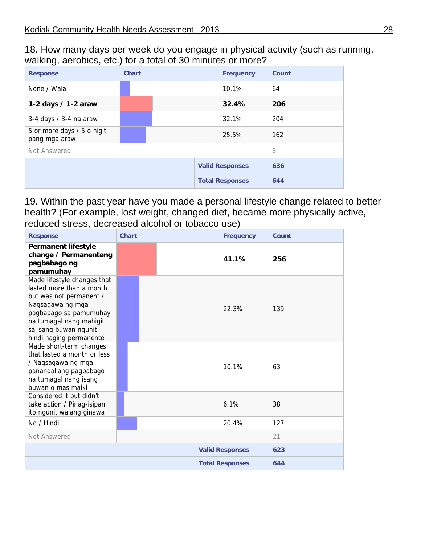18. How many days per week do you engage in physical activity (such as running, walking, aerobics, etc.) for a total of 30 minutes or more?

| <b>Response</b>                             | <b>Chart</b> |                        | <b>Frequency</b> | Count                  |     |
|---------------------------------------------|--------------|------------------------|------------------|------------------------|-----|
| None / Wala                                 |              |                        |                  | 10.1%                  | 64  |
| 1-2 days / 1-2 araw                         |              |                        |                  | 32.4%                  | 206 |
| 3-4 days / 3-4 na araw                      |              |                        |                  | 32.1%                  | 204 |
| 5 or more days / 5 o higit<br>pang mga araw |              |                        |                  | 25.5%                  | 162 |
| Not Answered                                |              |                        |                  |                        | 8   |
|                                             |              |                        |                  | <b>Valid Responses</b> | 636 |
|                                             |              | <b>Total Responses</b> |                  | 644                    |     |

19. Within the past year have you made a personal lifestyle change related to better health? (For example, lost weight, changed diet, became more physically active, reduced stress, decreased alcohol or tobacco use)

| <b>Response</b>                                                                                                                                                                                                 | <b>Chart</b> | <b>Frequency</b>       | Count |
|-----------------------------------------------------------------------------------------------------------------------------------------------------------------------------------------------------------------|--------------|------------------------|-------|
| <b>Permanent lifestyle</b><br>change / Permanenteng<br>pagbabago ng<br>pamumuhay                                                                                                                                |              | 41.1%                  | 256   |
| Made lifestyle changes that<br>lasted more than a month<br>but was not permanent /<br>Nagsagawa ng mga<br>pagbabago sa pamumuhay<br>na tumagal nang mahigit<br>sa isang buwan ngunit<br>hindi naging permanente |              | 22.3%                  | 139   |
| Made short-term changes<br>that lasted a month or less<br>/ Nagsagawa ng mga<br>panandaliang pagbabago<br>na tumagal nang isang<br>buwan o mas maiki                                                            |              | 10.1%                  | 63    |
| Considered it but didn't<br>take action / Pinag-isipan<br>ito ngunit walang ginawa                                                                                                                              |              | 6.1%                   | 38    |
| No / Hindi                                                                                                                                                                                                      |              | 20.4%                  | 127   |
| Not Answered                                                                                                                                                                                                    |              |                        | 21    |
|                                                                                                                                                                                                                 |              | <b>Valid Responses</b> | 623   |
|                                                                                                                                                                                                                 |              | <b>Total Responses</b> | 644   |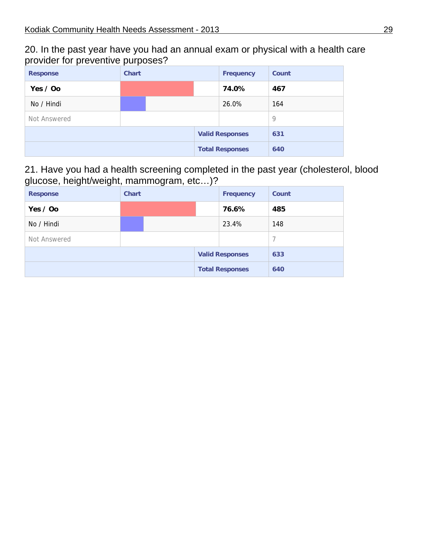20. In the past year have you had an annual exam or physical with a health care provider for preventive purposes?

| <b>Response</b> | <b>Chart</b> |                        |  | <b>Frequency</b>       | Count |
|-----------------|--------------|------------------------|--|------------------------|-------|
| Yes $\prime$ Oo |              |                        |  | 74.0%                  | 467   |
| No / Hindi      |              |                        |  | 26.0%                  | 164   |
| Not Answered    |              |                        |  |                        | 9     |
|                 |              |                        |  | <b>Valid Responses</b> | 631   |
|                 |              | <b>Total Responses</b> |  | 640                    |       |

#### 21. Have you had a health screening completed in the past year (cholesterol, blood glucose, height/weight, mammogram, etc…)?

| <b>Response</b> | <b>Chart</b> |  |  | <b>Frequency</b>       | <b>Count</b>   |
|-----------------|--------------|--|--|------------------------|----------------|
| Yes / Oo        |              |  |  | 76.6%                  | 485            |
| No / Hindi      |              |  |  | 23.4%                  | 148            |
| Not Answered    |              |  |  |                        | $\overline{7}$ |
|                 |              |  |  | <b>Valid Responses</b> | 633            |
|                 |              |  |  | <b>Total Responses</b> | 640            |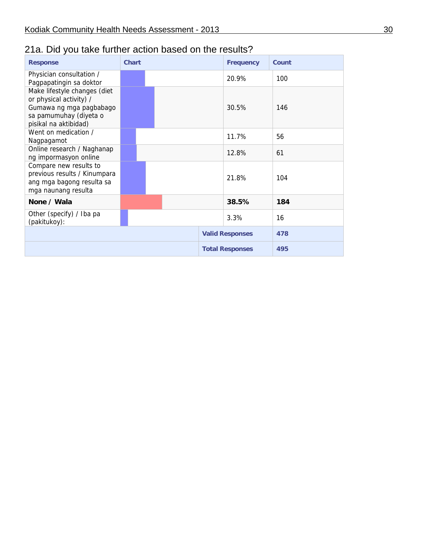## 21a. Did you take further action based on the results?

| <b>Response</b>                                                                                                                       | <b>Chart</b> |  | <b>Frequency</b>       | Count |
|---------------------------------------------------------------------------------------------------------------------------------------|--------------|--|------------------------|-------|
| Physician consultation /<br>Pagpapatingin sa doktor                                                                                   |              |  | 20.9%                  | 100   |
| Make lifestyle changes (diet<br>or physical activity) /<br>Gumawa ng mga pagbabago<br>sa pamumuhay (diyeta o<br>pisikal na aktibidad) |              |  | 30.5%                  | 146   |
| Went on medication /<br>Nagpagamot                                                                                                    |              |  | 11.7%                  | 56    |
| Online research / Naghanap<br>ng impormasyon online                                                                                   |              |  | 12.8%                  | 61    |
| Compare new results to<br>previous results / Kinumpara<br>ang mga bagong resulta sa<br>mga naunang resulta                            |              |  | 21.8%                  | 104   |
| None / Wala                                                                                                                           |              |  | 38.5%                  | 184   |
| Other (specify) / Iba pa<br>(pakitukoy):                                                                                              |              |  | 3.3%                   | 16    |
|                                                                                                                                       |              |  | <b>Valid Responses</b> | 478   |
|                                                                                                                                       |              |  | <b>Total Responses</b> | 495   |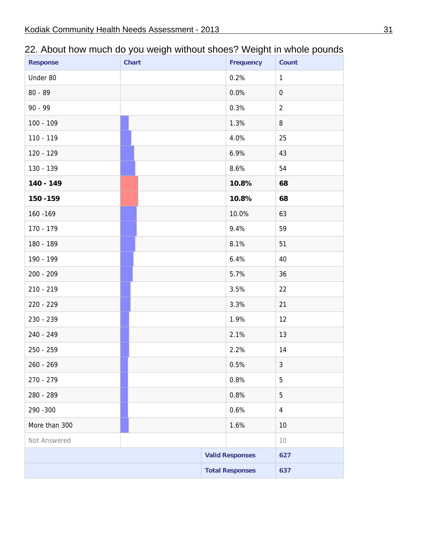| <b>Response</b> | <b>Chart</b> | <b>Frequency</b>       | Count          |
|-----------------|--------------|------------------------|----------------|
| Under 80        |              | 0.2%                   | $\mathbf{1}$   |
| $80 - 89$       |              | 0.0%                   | $\overline{0}$ |
| $90 - 99$       |              | 0.3%                   | $\overline{2}$ |
| $100 - 109$     |              | 1.3%                   | 8              |
| 110 - 119       |              | 4.0%                   | 25             |
| 120 - 129       |              | 6.9%                   | 43             |
| 130 - 139       |              | 8.6%                   | 54             |
| 140 - 149       |              | 10.8%                  | 68             |
| 150 - 159       |              | 10.8%                  | 68             |
| 160 - 169       |              | 10.0%                  | 63             |
| 170 - 179       |              | 9.4%                   | 59             |
| 180 - 189       |              | 8.1%                   | 51             |
| 190 - 199       |              | 6.4%                   | 40             |
| 200 - 209       |              | 5.7%                   | 36             |
| 210 - 219       |              | 3.5%                   | 22             |
| 220 - 229       |              | 3.3%                   | 21             |
| 230 - 239       |              | 1.9%                   | 12             |
| 240 - 249       |              | 2.1%                   | 13             |
| 250 - 259       |              | 2.2%                   | 14             |
| 260 - 269       |              | 0.5%                   | 3 <sup>1</sup> |
| 270 - 279       |              | 0.8%                   | 5              |
| 280 - 289       |              | 0.8%                   | 5              |
| 290 - 300       |              | 0.6%                   | $\overline{4}$ |
| More than 300   |              | 1.6%                   | 10             |
| Not Answered    |              |                        | 10             |
|                 |              | <b>Valid Responses</b> | 627            |
|                 |              | <b>Total Responses</b> | 637            |

## 22. About how much do you weigh without shoes? Weight in whole pounds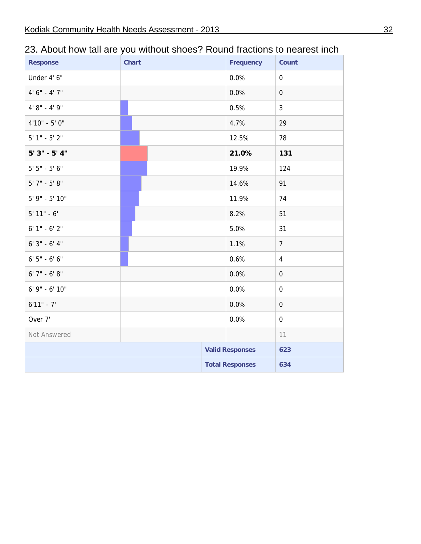| <b>Response</b>   | <b>Chart</b> | Frequency              | Count            |
|-------------------|--------------|------------------------|------------------|
| Under 4' 6"       |              | 0.0%                   | $\boldsymbol{0}$ |
| $4' 6'' - 4' 7''$ |              | 0.0%                   | $\mathbf 0$      |
| $4' 8'' - 4' 9''$ |              | 0.5%                   | $\mathbf{3}$     |
| $4'10" - 5'0"$    |              | 4.7%                   | 29               |
| $5'$ 1" - $5'$ 2" |              | 12.5%                  | 78               |
| $5'3'' - 5'4''$   |              | 21.0%                  | 131              |
| $5' 5'' - 5' 6''$ |              | 19.9%                  | 124              |
| $5'$ 7" - $5'$ 8" |              | 14.6%                  | 91               |
| 5' 9" - 5' 10"    |              | 11.9%                  | 74               |
| $5'$ 11" - 6'     |              | 8.2%                   | 51               |
| $6' 1'' - 6' 2''$ |              | 5.0%                   | 31               |
| $6'3'' - 6'4''$   |              | 1.1%                   | $\overline{7}$   |
| $6'5'' - 6'6''$   |              | 0.6%                   | $\overline{4}$   |
| $6'$ 7" - $6'$ 8" |              | 0.0%                   | $\mathbf 0$      |
| 6' 9" - 6' 10"    |              | 0.0%                   | $\mathbf 0$      |
| $6'11" - 7'$      |              | 0.0%                   | $\mathbf 0$      |
| Over 7'           |              | 0.0%                   | $\mathbf 0$      |
| Not Answered      |              |                        | 11               |
|                   |              | <b>Valid Responses</b> | 623              |
|                   |              | <b>Total Responses</b> | 634              |

## 23. About how tall are you without shoes? Round fractions to nearest inch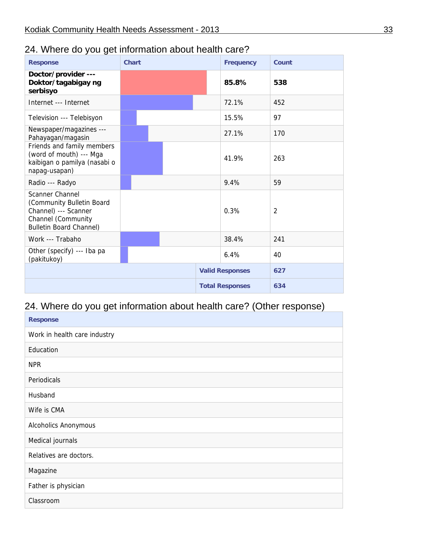## 24. Where do you get information about health care?

| <b>Response</b>                                                                                                                     | <b>Chart</b> |  | <b>Frequency</b>       | Count |
|-------------------------------------------------------------------------------------------------------------------------------------|--------------|--|------------------------|-------|
| Doctor/provider ---<br>Doktor/tagabigay ng<br>serbisyo                                                                              |              |  | 85.8%                  | 538   |
| Internet --- Internet                                                                                                               |              |  | 72.1%                  | 452   |
| Television --- Telebisyon                                                                                                           |              |  | 15.5%                  | 97    |
| Newspaper/magazines ---<br>Pahayagan/magasin                                                                                        |              |  | 27.1%                  | 170   |
| Friends and family members<br>(word of mouth) --- Mga<br>kaibigan o pamilya (nasabi o<br>napag-usapan)                              |              |  | 41.9%                  | 263   |
| Radio --- Radyo                                                                                                                     |              |  | 9.4%                   | 59    |
| <b>Scanner Channel</b><br>(Community Bulletin Board<br>Channel) --- Scanner<br>Channel (Community<br><b>Bulletin Board Channel)</b> |              |  | 0.3%                   | 2     |
| Work --- Trabaho                                                                                                                    |              |  | 38.4%                  | 241   |
| Other (specify) --- Iba pa<br>(pakitukoy)                                                                                           |              |  | 6.4%                   | 40    |
|                                                                                                                                     |              |  | <b>Valid Responses</b> | 627   |
|                                                                                                                                     |              |  | <b>Total Responses</b> | 634   |

## 24. Where do you get information about health care? (Other response)

| <b>Response</b>              |
|------------------------------|
| Work in health care industry |
| Education                    |
| <b>NPR</b>                   |
| Periodicals                  |
| Husband                      |
| Wife is CMA                  |
| Alcoholics Anonymous         |
| Medical journals             |
| Relatives are doctors.       |
| Magazine                     |
| Father is physician          |
| Classroom                    |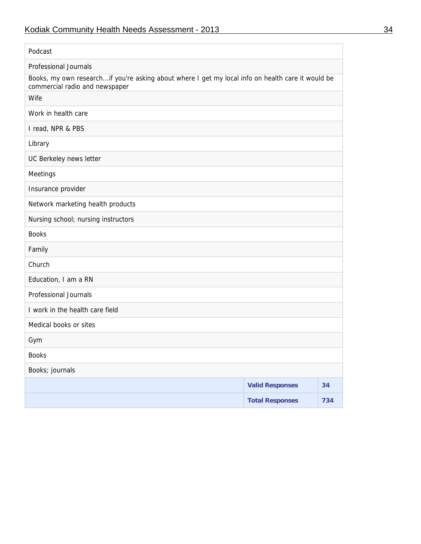| Podcast                                                                                                                             |  |
|-------------------------------------------------------------------------------------------------------------------------------------|--|
| <b>Professional Journals</b>                                                                                                        |  |
| Books, my own researchif you're asking about where I get my local info on health care it would be<br>commercial radio and newspaper |  |
| Wife                                                                                                                                |  |
| Work in health care                                                                                                                 |  |
| I read, NPR & PBS                                                                                                                   |  |
| Library                                                                                                                             |  |
| UC Berkeley news letter                                                                                                             |  |
| Meetings                                                                                                                            |  |
| Insurance provider                                                                                                                  |  |
| Network marketing health products                                                                                                   |  |
| Nursing school; nursing instructors                                                                                                 |  |
| <b>Books</b>                                                                                                                        |  |
| Family                                                                                                                              |  |
| Church                                                                                                                              |  |
| Education, I am a RN                                                                                                                |  |
| <b>Professional Journals</b>                                                                                                        |  |
| I work in the health care field                                                                                                     |  |
| Medical books or sites                                                                                                              |  |
| Gym                                                                                                                                 |  |
| <b>Books</b>                                                                                                                        |  |
| Books; journals                                                                                                                     |  |
| <b>Valid Responses</b><br>34                                                                                                        |  |
| <b>Total Responses</b><br>734                                                                                                       |  |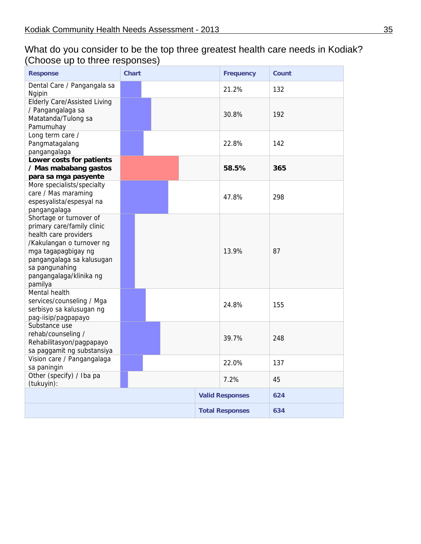#### What do you consider to be the top three greatest health care needs in Kodiak? (Choose up to three responses)

| <b>Response</b>                                                                                                                                                                                                         | <b>Chart</b> | <b>Frequency</b>       | Count |
|-------------------------------------------------------------------------------------------------------------------------------------------------------------------------------------------------------------------------|--------------|------------------------|-------|
| Dental Care / Pangangala sa<br>Ngipin                                                                                                                                                                                   |              | 21.2%                  | 132   |
| <b>Elderly Care/Assisted Living</b><br>/ Pangangalaga sa<br>Matatanda/Tulong sa<br>Pamumuhay                                                                                                                            |              | 30.8%                  | 192   |
| Long term care /<br>Pangmatagalang<br>pangangalaga                                                                                                                                                                      |              | 22.8%                  | 142   |
| Lower costs for patients<br>/ Mas mababang gastos<br>para sa mga pasyente                                                                                                                                               |              | 58.5%                  | 365   |
| More specialists/specialty<br>care / Mas maraming<br>espesyalista/espesyal na<br>pangangalaga                                                                                                                           |              | 47.8%                  | 298   |
| Shortage or turnover of<br>primary care/family clinic<br>health care providers<br>/Kakulangan o turnover ng<br>mga tagapagbigay ng<br>pangangalaga sa kalusugan<br>sa pangunahing<br>pangangalaga/klinika ng<br>pamilya |              | 13.9%                  | 87    |
| Mental health<br>services/counseling / Mga<br>serbisyo sa kalusugan ng<br>pag-iisip/pagpapayo                                                                                                                           |              | 24.8%                  | 155   |
| Substance use<br>rehab/counseling /<br>Rehabilitasyon/pagpapayo<br>sa paggamit ng substansiya                                                                                                                           |              | 39.7%                  | 248   |
| Vision care / Pangangalaga<br>sa paningin                                                                                                                                                                               |              | 22.0%                  | 137   |
| Other (specify) / Iba pa<br>(tukuyin):                                                                                                                                                                                  |              | 7.2%                   | 45    |
|                                                                                                                                                                                                                         |              | <b>Valid Responses</b> | 624   |
|                                                                                                                                                                                                                         |              | <b>Total Responses</b> | 634   |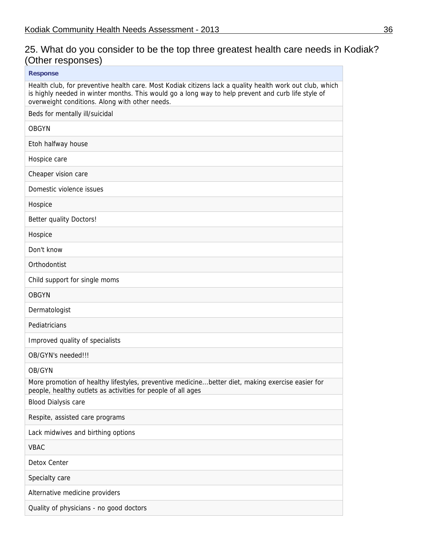## 25. What do you consider to be the top three greatest health care needs in Kodiak? (Other responses)

| <b>Response</b>                                                                                                                                                                                                                                                  |
|------------------------------------------------------------------------------------------------------------------------------------------------------------------------------------------------------------------------------------------------------------------|
| Health club, for preventive health care. Most Kodiak citizens lack a quality health work out club, which<br>is highly needed in winter months. This would go a long way to help prevent and curb life style of<br>overweight conditions. Along with other needs. |
| Beds for mentally ill/suicidal                                                                                                                                                                                                                                   |
| <b>OBGYN</b>                                                                                                                                                                                                                                                     |
| Etoh halfway house                                                                                                                                                                                                                                               |
| Hospice care                                                                                                                                                                                                                                                     |
| Cheaper vision care                                                                                                                                                                                                                                              |
| Domestic violence issues                                                                                                                                                                                                                                         |
| Hospice                                                                                                                                                                                                                                                          |
| <b>Better quality Doctors!</b>                                                                                                                                                                                                                                   |
| Hospice                                                                                                                                                                                                                                                          |
| Don't know                                                                                                                                                                                                                                                       |
| Orthodontist                                                                                                                                                                                                                                                     |
| Child support for single moms                                                                                                                                                                                                                                    |
| <b>OBGYN</b>                                                                                                                                                                                                                                                     |
| Dermatologist                                                                                                                                                                                                                                                    |
| Pediatricians                                                                                                                                                                                                                                                    |
| Improved quality of specialists                                                                                                                                                                                                                                  |
| OB/GYN's needed!!!                                                                                                                                                                                                                                               |
| OB/GYN                                                                                                                                                                                                                                                           |
| More promotion of healthy lifestyles, preventive medicinebetter diet, making exercise easier for<br>people, healthy outlets as activities for people of all ages                                                                                                 |
| <b>Blood Dialysis care</b>                                                                                                                                                                                                                                       |
| Respite, assisted care programs                                                                                                                                                                                                                                  |
| Lack midwives and birthing options                                                                                                                                                                                                                               |
| <b>VBAC</b>                                                                                                                                                                                                                                                      |
| Detox Center                                                                                                                                                                                                                                                     |
| Specialty care                                                                                                                                                                                                                                                   |
| Alternative medicine providers                                                                                                                                                                                                                                   |
| Quality of physicians - no good doctors                                                                                                                                                                                                                          |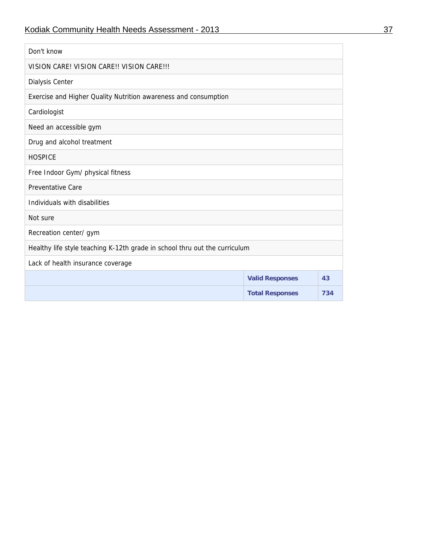| Don't know                                                                 |                        |     |  |  |  |  |
|----------------------------------------------------------------------------|------------------------|-----|--|--|--|--|
| VISION CARE! VISION CARE!! VISION CARE!!!                                  |                        |     |  |  |  |  |
| Dialysis Center                                                            |                        |     |  |  |  |  |
| Exercise and Higher Quality Nutrition awareness and consumption            |                        |     |  |  |  |  |
| Cardiologist                                                               |                        |     |  |  |  |  |
| Need an accessible gym                                                     |                        |     |  |  |  |  |
| Drug and alcohol treatment                                                 |                        |     |  |  |  |  |
| <b>HOSPICE</b>                                                             |                        |     |  |  |  |  |
| Free Indoor Gym/ physical fitness                                          |                        |     |  |  |  |  |
| <b>Preventative Care</b>                                                   |                        |     |  |  |  |  |
| Individuals with disabilities                                              |                        |     |  |  |  |  |
| Not sure                                                                   |                        |     |  |  |  |  |
| Recreation center/gym                                                      |                        |     |  |  |  |  |
| Healthy life style teaching K-12th grade in school thru out the curriculum |                        |     |  |  |  |  |
| Lack of health insurance coverage                                          |                        |     |  |  |  |  |
|                                                                            | <b>Valid Responses</b> | 43  |  |  |  |  |
|                                                                            | <b>Total Responses</b> | 734 |  |  |  |  |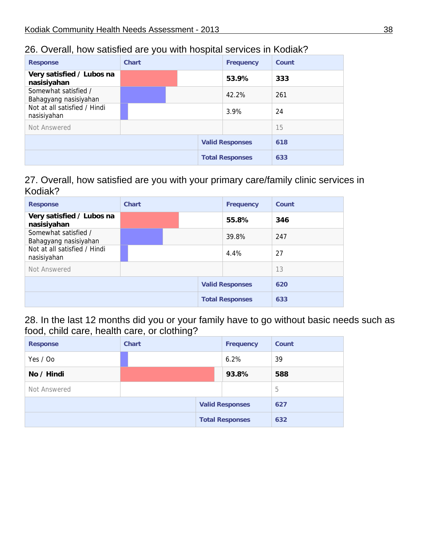#### 26. Overall, how satisfied are you with hospital services in Kodiak?

| <b>Response</b>                               | <b>Chart</b> | <b>Frequency</b>       | Count |
|-----------------------------------------------|--------------|------------------------|-------|
| Very satisfied / Lubos na<br>nasisiyahan      |              | 53.9%                  | 333   |
| Somewhat satisfied /<br>Bahagyang nasisiyahan |              | 42.2%                  | 261   |
| Not at all satisfied / Hindi<br>nasisiyahan   |              | 3.9%                   | 24    |
| Not Answered                                  |              |                        | 15    |
|                                               |              | <b>Valid Responses</b> | 618   |
|                                               |              | <b>Total Responses</b> | 633   |

#### 27. Overall, how satisfied are you with your primary care/family clinic services in Kodiak?

| <b>Response</b>                               | <b>Chart</b> |  | <b>Frequency</b>       | Count |
|-----------------------------------------------|--------------|--|------------------------|-------|
| Very satisfied / Lubos na<br>nasisiyahan      |              |  | 55.8%                  | 346   |
| Somewhat satisfied /<br>Bahagyang nasisiyahan |              |  | 39.8%                  | 247   |
| Not at all satisfied / Hindi<br>nasisiyahan   |              |  | 4.4%                   | 27    |
| Not Answered                                  |              |  |                        | 13    |
|                                               |              |  | <b>Valid Responses</b> | 620   |
|                                               |              |  | <b>Total Responses</b> | 633   |

28. In the last 12 months did you or your family have to go without basic needs such as food, child care, health care, or clothing?

| <b>Response</b> | <b>Chart</b> | <b>Frequency</b>       | <b>Count</b> |
|-----------------|--------------|------------------------|--------------|
| Yes / Oo        |              | 6.2%                   | 39           |
| No / Hindi      |              | 93.8%                  | 588          |
| Not Answered    |              |                        | 5            |
|                 |              | <b>Valid Responses</b> | 627          |
|                 |              | <b>Total Responses</b> | 632          |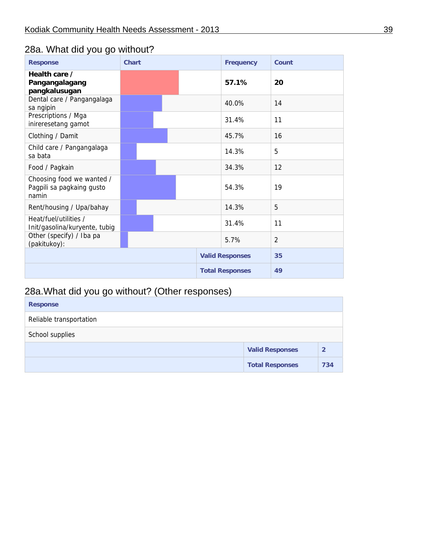## 28a. What did you go without?

| <b>Response</b>                                                 | <b>Chart</b> | <b>Frequency</b>       | Count          |
|-----------------------------------------------------------------|--------------|------------------------|----------------|
| Health care /<br>Pangangalagang<br>pangkalusugan                |              | 57.1%                  | 20             |
| Dental care / Pangangalaga<br>sa ngipin                         |              | 40.0%                  | 14             |
| Prescriptions / Mga<br>inireresetang gamot                      |              | 31.4%                  | 11             |
| Clothing / Damit                                                |              | 45.7%                  | 16             |
| Child care / Pangangalaga<br>sa bata                            |              | 14.3%                  | 5              |
| Food / Pagkain                                                  |              | 34.3%                  | 12             |
| Choosing food we wanted /<br>Pagpili sa pagkaing gusto<br>namin |              | 54.3%                  | 19             |
| Rent/housing / Upa/bahay                                        |              | 14.3%                  | 5              |
| Heat/fuel/utilities /<br>Init/gasolina/kuryente, tubig          |              | 31.4%                  | 11             |
| Other (specify) / Iba pa<br>(pakitukoy):                        |              | 5.7%                   | $\overline{2}$ |
|                                                                 |              | <b>Valid Responses</b> | 35             |
|                                                                 |              | <b>Total Responses</b> | 49             |

## 28a.What did you go without? (Other responses)

| <b>Response</b>         |                        |                |
|-------------------------|------------------------|----------------|
| Reliable transportation |                        |                |
| School supplies         |                        |                |
|                         | <b>Valid Responses</b> | $\overline{2}$ |
|                         | <b>Total Responses</b> | 734            |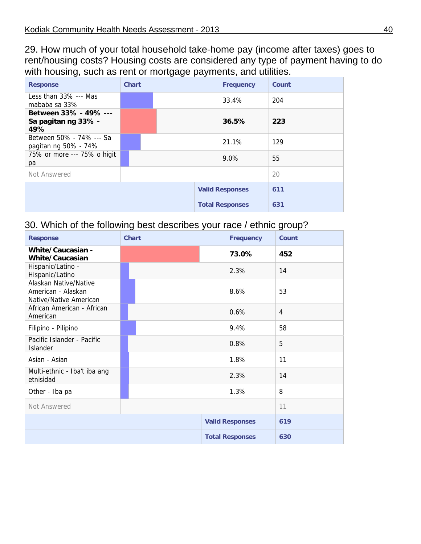29. How much of your total household take-home pay (income after taxes) goes to rent/housing costs? Housing costs are considered any type of payment having to do with housing, such as rent or mortgage payments, and utilities.

| <b>Response</b>                                     | <b>Chart</b> | <b>Frequency</b>       | Count |
|-----------------------------------------------------|--------------|------------------------|-------|
| Less than $33\%$ --- Mas<br>mababa sa 33%           |              | 33.4%                  | 204   |
| Between 33% - 49% ---<br>Sa pagitan ng 33% -<br>49% |              | 36.5%                  | 223   |
| Between 50% - 74% --- Sa<br>pagitan ng 50% - 74%    |              | 21.1%                  | 129   |
| 75% or more --- 75% o higit<br>pa                   |              | 9.0%                   | 55    |
| Not Answered                                        |              |                        | 20    |
|                                                     |              | <b>Valid Responses</b> | 611   |
|                                                     |              | <b>Total Responses</b> | 631   |

#### 30. Which of the following best describes your race / ethnic group?

| <b>Response</b>                                                       | <b>Chart</b> | <b>Frequency</b>       | Count          |
|-----------------------------------------------------------------------|--------------|------------------------|----------------|
| White/Caucasian -<br><b>White/Caucasian</b>                           |              | 73.0%                  | 452            |
| Hispanic/Latino -<br>Hispanic/Latino                                  |              | 2.3%                   | 14             |
| Alaskan Native/Native<br>American - Alaskan<br>Native/Native American |              | 8.6%                   | 53             |
| African American - African<br>American                                |              | 0.6%                   | $\overline{4}$ |
| Filipino - Pilipino                                                   |              | 9.4%                   | 58             |
| Pacific Islander - Pacific<br>Islander                                |              | 0.8%                   | 5              |
| Asian - Asian                                                         |              | 1.8%                   | 11             |
| Multi-ethnic - Iba't iba ang<br>etnisidad                             |              | 2.3%                   | 14             |
| Other - Iba pa                                                        |              | 1.3%                   | 8              |
| Not Answered                                                          |              |                        | 11             |
|                                                                       |              | <b>Valid Responses</b> | 619            |
|                                                                       |              | <b>Total Responses</b> | 630            |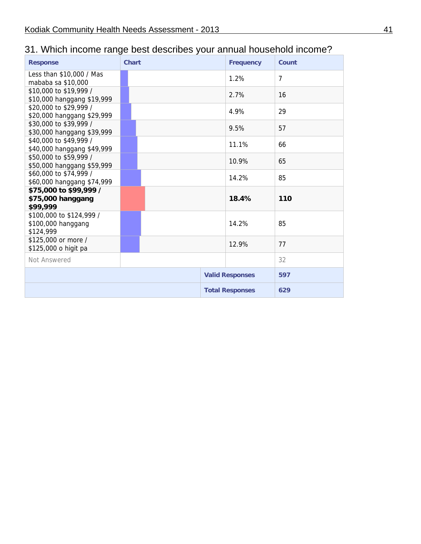## 31. Which income range best describes your annual household income?

| <b>Response</b>                                             | <b>Chart</b> | <b>Frequency</b>       | Count          |
|-------------------------------------------------------------|--------------|------------------------|----------------|
| Less than \$10,000 / Mas<br>mababa sa \$10,000              |              | 1.2%                   | $\overline{7}$ |
| \$10,000 to \$19,999 /<br>\$10,000 hanggang \$19,999        |              | 2.7%                   | 16             |
| \$20,000 to \$29,999 /<br>\$20,000 hanggang \$29,999        |              | 4.9%                   | 29             |
| \$30,000 to \$39,999 /<br>\$30,000 hanggang \$39,999        |              | 9.5%                   | 57             |
| \$40,000 to \$49,999 /<br>\$40,000 hanggang \$49,999        |              | 11.1%                  | 66             |
| \$50,000 to \$59,999 /<br>\$50,000 hanggang \$59,999        |              | 10.9%                  | 65             |
| \$60,000 to \$74,999 /<br>\$60,000 hanggang \$74,999        |              | 14.2%                  | 85             |
| \$75,000 to \$99,999 /<br>\$75,000 hanggang<br>\$99,999     |              | 18.4%                  | 110            |
| \$100,000 to \$124,999 /<br>\$100,000 hanggang<br>\$124,999 |              | 14.2%                  | 85             |
| \$125,000 or more /<br>\$125,000 o higit pa                 |              | 12.9%                  | 77             |
| Not Answered                                                |              |                        | 32             |
|                                                             |              | <b>Valid Responses</b> | 597            |
|                                                             |              | <b>Total Responses</b> | 629            |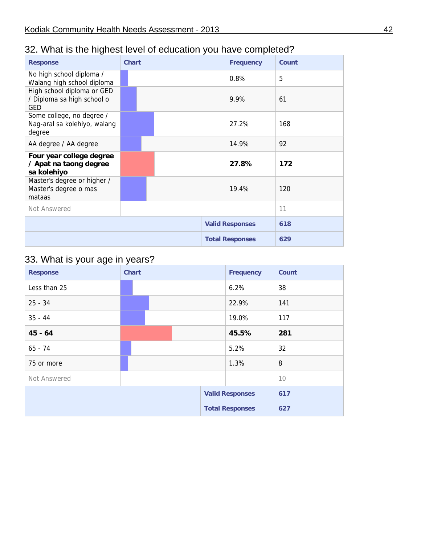## 32. What is the highest level of education you have completed?

| <b>Response</b>                                                        | <b>Chart</b> | <b>Frequency</b>       | Count |
|------------------------------------------------------------------------|--------------|------------------------|-------|
| No high school diploma /<br>Walang high school diploma                 |              | 0.8%                   | 5     |
| High school diploma or GED<br>/ Diploma sa high school o<br><b>GED</b> |              | 9.9%                   | 61    |
| Some college, no degree /<br>Nag-aral sa kolehiyo, walang<br>degree    |              | 27.2%                  | 168   |
| AA degree / AA degree                                                  |              | 14.9%                  | 92    |
| Four year college degree<br>/ Apat na taong degree<br>sa kolehiyo      |              | 27.8%                  | 172   |
| Master's degree or higher /<br>Master's degree o mas<br>mataas         |              | 19.4%                  | 120   |
| Not Answered                                                           |              |                        | 11    |
|                                                                        |              | <b>Valid Responses</b> | 618   |
|                                                                        |              | <b>Total Responses</b> | 629   |

## 33. What is your age in years?

| <b>Response</b> | <b>Chart</b> |  | <b>Frequency</b>       | <b>Count</b> |
|-----------------|--------------|--|------------------------|--------------|
| Less than 25    |              |  | 6.2%                   | 38           |
| $25 - 34$       |              |  | 22.9%                  | 141          |
| $35 - 44$       |              |  | 19.0%                  | 117          |
| $45 - 64$       |              |  | 45.5%                  | 281          |
| $65 - 74$       |              |  | 5.2%                   | 32           |
| 75 or more      |              |  | 1.3%                   | 8            |
| Not Answered    |              |  |                        | 10           |
|                 |              |  | <b>Valid Responses</b> | 617          |
|                 |              |  | <b>Total Responses</b> | 627          |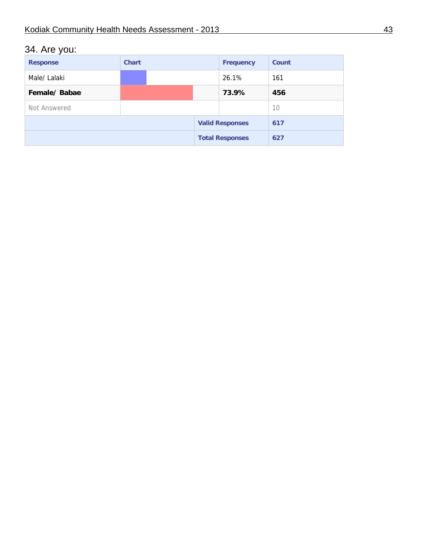## 34. Are you:

| <b>Response</b> | <b>Chart</b> |  | <b>Frequency</b>       | <b>Count</b> |
|-----------------|--------------|--|------------------------|--------------|
| Male/ Lalaki    |              |  | 26.1%                  | 161          |
| Female/Babae    |              |  | 73.9%                  | 456          |
| Not Answered    |              |  |                        | 10           |
|                 |              |  | <b>Valid Responses</b> | 617          |
|                 |              |  | <b>Total Responses</b> | 627          |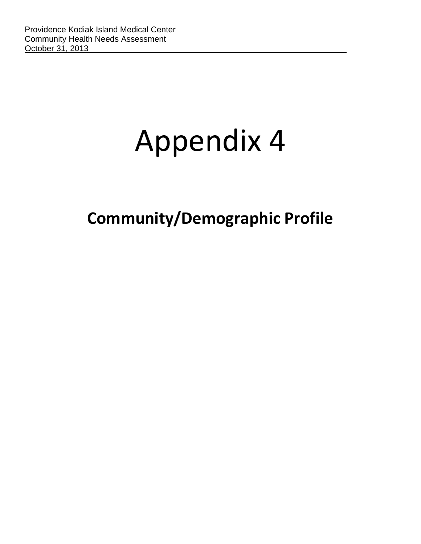# Appendix 4

**Community/Demographic Profile**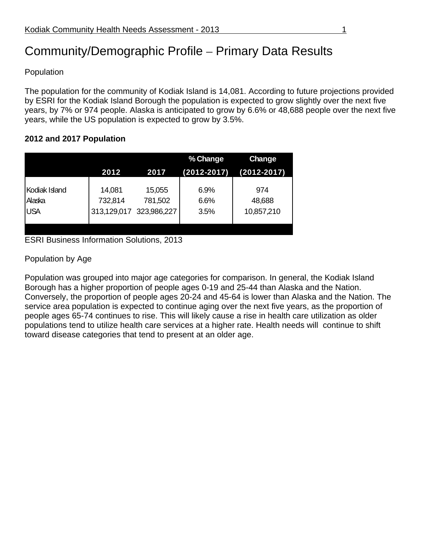## Community/Demographic Profile – Primary Data Results

Population

The population for the community of Kodiak Island is 14,081. According to future projections provided by ESRI for the Kodiak Island Borough the population is expected to grow slightly over the next five years, by 7% or 974 people. Alaska is anticipated to grow by 6.6% or 48,688 people over the next five years, while the US population is expected to grow by 3.5%.

#### **2012 and 2017 Population**

|                                       |                                  |                                  | % Change             | <b>Change</b>               |
|---------------------------------------|----------------------------------|----------------------------------|----------------------|-----------------------------|
|                                       | 2012                             | 2017                             | (2012-2017)          | (2012-2017)                 |
| Kodiak Island<br>Alaska<br><b>USA</b> | 14,081<br>732,814<br>313,129,017 | 15,055<br>781,502<br>323,986,227 | 6.9%<br>6.6%<br>3.5% | 974<br>48,688<br>10,857,210 |

ESRI Business Information Solutions, 2013

Population by Age

Population was grouped into major age categories for comparison. In general, the Kodiak Island Borough has a higher proportion of people ages 0-19 and 25-44 than Alaska and the Nation. Conversely, the proportion of people ages 20-24 and 45-64 is lower than Alaska and the Nation. The service area population is expected to continue aging over the next five years, as the proportion of people ages 65-74 continues to rise. This will likely cause a rise in health care utilization as older populations tend to utilize health care services at a higher rate. Health needs will continue to shift toward disease categories that tend to present at an older age.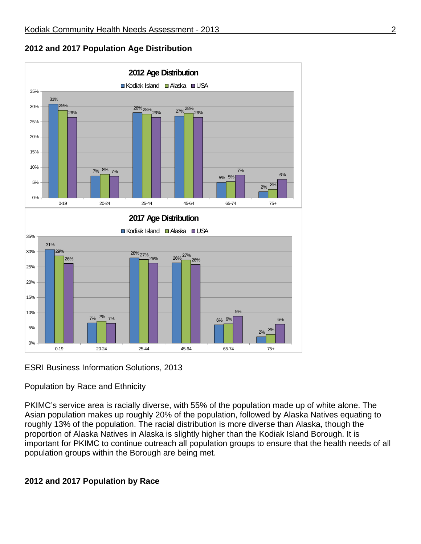



ESRI Business Information Solutions, 2013

### Population by Race and Ethnicity

PKIMC's service area is racially diverse, with 55% of the population made up of white alone. The Asian population makes up roughly 20% of the population, followed by Alaska Natives equating to roughly 13% of the population. The racial distribution is more diverse than Alaska, though the proportion of Alaska Natives in Alaska is slightly higher than the Kodiak Island Borough. It is important for PKIMC to continue outreach all population groups to ensure that the health needs of all population groups within the Borough are being met.

### **2012 and 2017 Population by Race**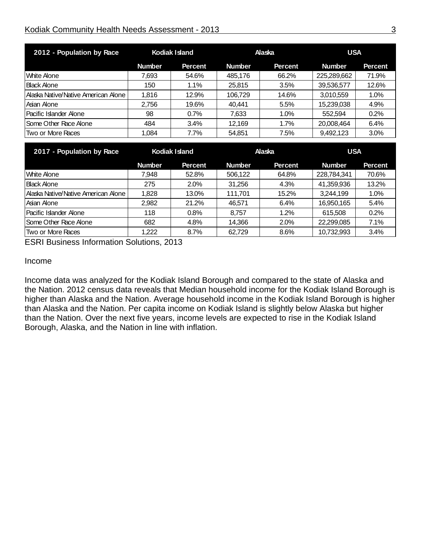### Kodiak Community Health Needs Assessment - 2013 33

| 2012 - Population by Race             | Kodiak Island |                | Alaska        |                | <b>USA</b>    |                |
|---------------------------------------|---------------|----------------|---------------|----------------|---------------|----------------|
|                                       | <b>Number</b> | <b>Percent</b> | <b>Number</b> | <b>Percent</b> | <b>Number</b> | <b>Percent</b> |
| lWhite Alone                          | 7,693         | 54.6%          | 485,176       | 66.2%          | 225,289,662   | 71.9%          |
| <b>Black Alone</b>                    | 150           | $1.1\%$        | 25,815        | 3.5%           | 39,536,577    | 12.6%          |
| l Alaska Native/Native American Alone | 1,816         | 12.9%          | 106.729       | 14.6%          | 3,010,559     | 1.0%           |
| Asian Alone                           | 2.756         | 19.6%          | 40.441        | 5.5%           | 15,239,038    | 4.9%           |
| Pacific Islander Alone                | 98            | 0.7%           | 7,633         | 1.0%           | 552.594       | 0.2%           |
| Some Other Race Alone                 | 484           | 3.4%           | 12,169        | 1.7%           | 20,008,464    | 6.4%           |
| Two or More Races                     | 1,084         | 7.7%           | 54,851        | 7.5%           | 9,492,123     | $3.0\%$        |

| 2017 - Population by Race           | Kodiak Island |                | <b>Alaska</b> |                | <b>USA</b>    |                |
|-------------------------------------|---------------|----------------|---------------|----------------|---------------|----------------|
|                                     | <b>Number</b> | <b>Percent</b> | <b>Number</b> | <b>Percent</b> | <b>Number</b> | <b>Percent</b> |
| <b>UMite Alone</b>                  | 7,948         | 52.8%          | 506,122       | 64.8%          | 228,784,341   | 70.6%          |
| <b>Black Alone</b>                  | 275           | 2.0%           | 31,256        | 4.3%           | 41,359,936    | 13.2%          |
| Alaska Native/Native American Alone | 1,828         | 13.0%          | 111.701       | 15.2%          | 3,244,199     | 1.0%           |
| lAsian Alone                        | 2,982         | 21.2%          | 46.571        | 6.4%           | 16,950,165    | 5.4%           |
| <b>IPacific Islander Alone</b>      | 118           | 0.8%           | 8.757         | 1.2%           | 615.508       | 0.2%           |
| Some Other Race Alone               | 682           | 4.8%           | 14,366        | 2.0%           | 22,299,085    | 7.1%           |
| Two or More Races                   | 1,222         | 8.7%           | 62.729        | 8.6%           | 10,732,993    | 3.4%           |

ESRI Business Information Solutions, 2013

### Income

Income data was analyzed for the Kodiak Island Borough and compared to the state of Alaska and the Nation. 2012 census data reveals that Median household income for the Kodiak Island Borough is higher than Alaska and the Nation. Average household income in the Kodiak Island Borough is higher than Alaska and the Nation. Per capita income on Kodiak Island is slightly below Alaska but higher than the Nation. Over the next five years, income levels are expected to rise in the Kodiak Island Borough, Alaska, and the Nation in line with inflation.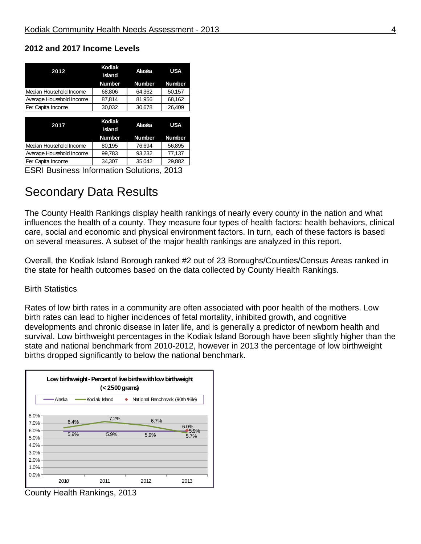| Kodiak<br>Island | Alaska        | <b>USA</b>    |  |
|------------------|---------------|---------------|--|
| <b>Number</b>    | <b>Number</b> | <b>Number</b> |  |
| 68,806           | 64,362        | 50.157        |  |
| 87,814           | 81,956        | 68,162        |  |
| 30,032           | 30,678        | 26,409        |  |
|                  |               |               |  |
|                  |               |               |  |
| Island           | Alaska        | <b>USA</b>    |  |
| <b>Number</b>    | <b>Number</b> | <b>Number</b> |  |
| 80,195           | 76,694        | 56,895        |  |
| 99,783           | 93,232        | 77,137        |  |
|                  | Kodiak        |               |  |

### **2012 and 2017 Income Levels**

ESRI Business Information Solutions, 2013

### Secondary Data Results

The County Health Rankings display health rankings of nearly every county in the nation and what influences the health of a county. They measure four types of health factors: health behaviors, clinical care, social and economic and physical environment factors. In turn, each of these factors is based on several measures. A subset of the major health rankings are analyzed in this report.

Overall, the Kodiak Island Borough ranked #2 out of 23 Boroughs/Counties/Census Areas ranked in the state for health outcomes based on the data collected by County Health Rankings.

### Birth Statistics

Rates of low birth rates in a community are often associated with poor health of the mothers. Low birth rates can lead to higher incidences of fetal mortality, inhibited growth, and cognitive developments and chronic disease in later life, and is generally a predictor of newborn health and survival. Low birthweight percentages in the Kodiak Island Borough have been slightly higher than the state and national benchmark from 2010-2012, however in 2013 the percentage of low birthweight births dropped significantly to below the national benchmark.



County Health Rankings, 2013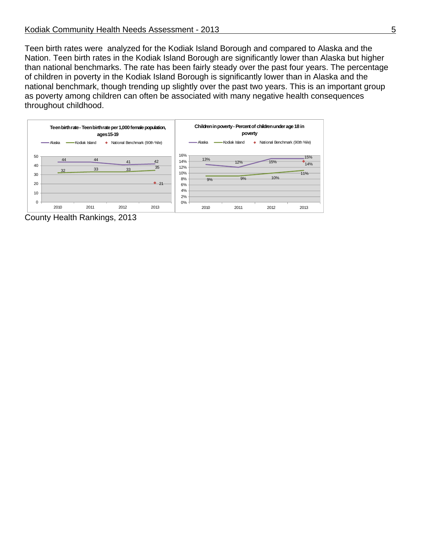Teen birth rates were analyzed for the Kodiak Island Borough and compared to Alaska and the Nation. Teen birth rates in the Kodiak Island Borough are significantly lower than Alaska but higher than national benchmarks. The rate has been fairly steady over the past four years. The percentage of children in poverty in the Kodiak Island Borough is significantly lower than in Alaska and the national benchmark, though trending up slightly over the past two years. This is an important group as poverty among children can often be associated with many negative health consequences throughout childhood.



County Health Rankings, 2013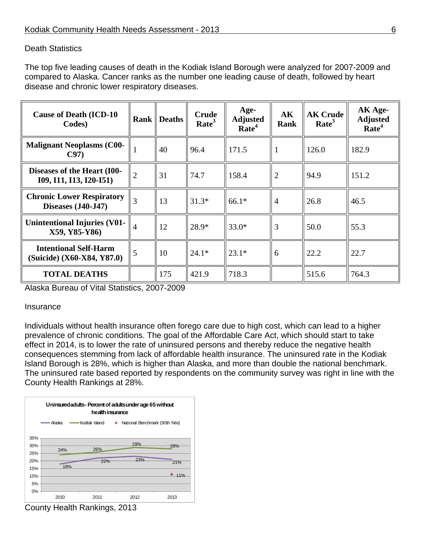### Death Statistics

The top five leading causes of death in the Kodiak Island Borough were analyzed for 2007-2009 and compared to Alaska. Cancer ranks as the number one leading cause of death, followed by heart disease and chronic lower respiratory diseases.

| <b>Cause of Death (ICD-10)</b><br>Codes)                   |                | <b>Rank</b> Deaths | <b>Crude</b><br>Rate <sup>3</sup> | Age-<br><b>Adjusted</b><br>Rate <sup>4</sup> | AK<br><b>Rank</b> | <b>AK Crude</b><br>Rate <sup>3</sup> | $AKAge-$<br><b>Adjusted</b><br>Rate <sup>4</sup> |
|------------------------------------------------------------|----------------|--------------------|-----------------------------------|----------------------------------------------|-------------------|--------------------------------------|--------------------------------------------------|
| <b>Malignant Neoplasms (C00-</b><br>C97                    |                | 40                 | 96.4                              | 171.5                                        |                   | 126.0                                | 182.9                                            |
| Diseases of the Heart (I00-<br>109, 111, 113, 120-151)     | $\overline{2}$ | 31                 | 74.7                              | 158.4                                        | $\overline{2}$    | 94.9                                 | 151.2                                            |
| <b>Chronic Lower Respiratory</b><br>Diseases (J40-J47)     | 3              | 13                 | $31.3*$                           | $66.1*$                                      | 4                 | 26.8                                 | 46.5                                             |
| <b>Unintentional Injuries (V01-</b><br>X59, Y85-Y86)       | $\overline{4}$ | 12                 | 28.9*                             | $33.0*$                                      | 3                 | 50.0                                 | 55.3                                             |
| <b>Intentional Self-Harm</b><br>(Suicide) (X60-X84, Y87.0) | 5              | 10                 | $24.1*$                           | $23.1*$                                      | 6                 | 22.2                                 | 22.7                                             |
| <b>TOTAL DEATHS</b>                                        |                | 175                | 421.9                             | 718.3                                        |                   | 515.6                                | 764.3                                            |

Alaska Bureau of Vital Statistics, 2007-2009

### Insurance

Individuals without health insurance often forego care due to high cost, which can lead to a higher prevalence of chronic conditions. The goal of the Affordable Care Act, which should start to take effect in 2014, is to lower the rate of uninsured persons and thereby reduce the negative health consequences stemming from lack of affordable health insurance. The uninsured rate in the Kodiak Island Borough is 28%, which is higher than Alaska, and more than double the national benchmark. The uninsured rate based reported by respondents on the community survey was right in line with the County Health Rankings at 28%.



County Health Rankings, 2013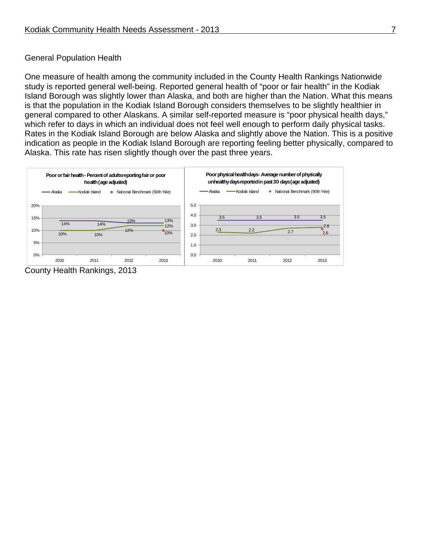### General Population Health

One measure of health among the community included in the County Health Rankings Nationwide study is reported general well-being. Reported general health of "poor or fair health" in the Kodiak Island Borough was slightly lower than Alaska, and both are higher than the Nation. What this means is that the population in the Kodiak Island Borough considers themselves to be slightly healthier in general compared to other Alaskans. A similar self-reported measure is "poor physical health days," which refer to days in which an individual does not feel well enough to perform daily physical tasks. Rates in the Kodiak Island Borough are below Alaska and slightly above the Nation. This is a positive indication as people in the Kodiak Island Borough are reporting feeling better physically, compared to Alaska. This rate has risen slightly though over the past three years.



County Health Rankings, 2013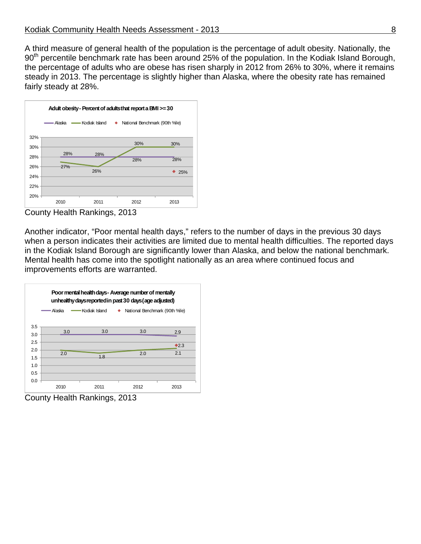A third measure of general health of the population is the percentage of adult obesity. Nationally, the 90<sup>th</sup> percentile benchmark rate has been around 25% of the population. In the Kodiak Island Borough, the percentage of adults who are obese has risen sharply in 2012 from 26% to 30%, where it remains steady in 2013. The percentage is slightly higher than Alaska, where the obesity rate has remained fairly steady at 28%.



County Health Rankings, 2013

Another indicator, "Poor mental health days," refers to the number of days in the previous 30 days when a person indicates their activities are limited due to mental health difficulties. The reported days in the Kodiak Island Borough are significantly lower than Alaska, and below the national benchmark. Mental health has come into the spotlight nationally as an area where continued focus and improvements efforts are warranted.



County Health Rankings, 2013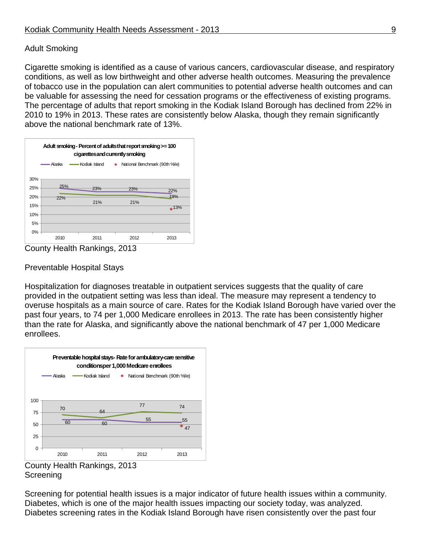### Adult Smoking

Cigarette smoking is identified as a cause of various cancers, cardiovascular disease, and respiratory conditions, as well as low birthweight and other adverse health outcomes. Measuring the prevalence of tobacco use in the population can alert communities to potential adverse health outcomes and can be valuable for assessing the need for cessation programs or the effectiveness of existing programs. The percentage of adults that report smoking in the Kodiak Island Borough has declined from 22% in 2010 to 19% in 2013. These rates are consistently below Alaska, though they remain significantly above the national benchmark rate of 13%.



County Health Rankings, 2013

### Preventable Hospital Stays

Hospitalization for diagnoses treatable in outpatient services suggests that the quality of care provided in the outpatient setting was less than ideal. The measure may represent a tendency to overuse hospitals as a main source of care. Rates for the Kodiak Island Borough have varied over the past four years, to 74 per 1,000 Medicare enrollees in 2013. The rate has been consistently higher than the rate for Alaska, and significantly above the national benchmark of 47 per 1,000 Medicare enrollees.



County Health Rankings, 2013 **Screening** 

Screening for potential health issues is a major indicator of future health issues within a community. Diabetes, which is one of the major health issues impacting our society today, was analyzed. Diabetes screening rates in the Kodiak Island Borough have risen consistently over the past four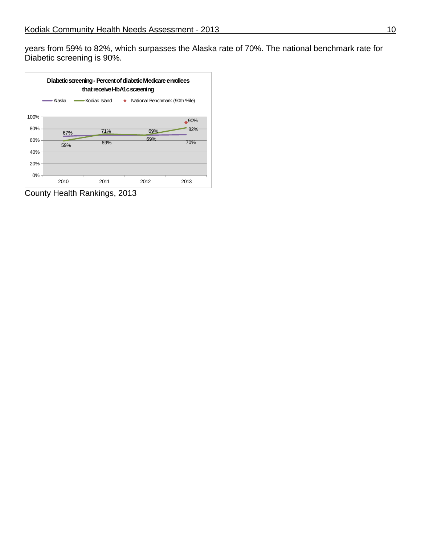years from 59% to 82%, which surpasses the Alaska rate of 70%. The national benchmark rate for Diabetic screening is 90%.



County Health Rankings, 2013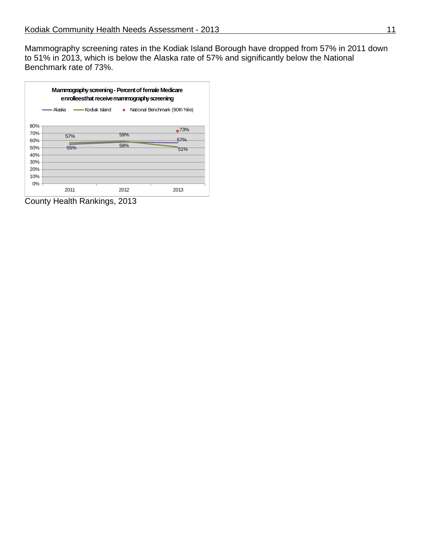Mammography screening rates in the Kodiak Island Borough have dropped from 57% in 2011 down to 51% in 2013, which is below the Alaska rate of 57% and significantly below the National Benchmark rate of 73%.

| Mammography screening - Percent of female Medicare<br>enrolleesthat receive mammography screening |          |                  |                                  |  |  |
|---------------------------------------------------------------------------------------------------|----------|------------------|----------------------------------|--|--|
|                                                                                                   | - Alaska | ━━ Kodiak Island | ◆ National Benchmark (90th %ile) |  |  |
| 80%                                                                                               |          |                  |                                  |  |  |
| 70%                                                                                               | 57%      | 59%              | $\triangle 73%$                  |  |  |
| $60\%$<br>50%                                                                                     | 55%      | 58%              | 57%<br>51%                       |  |  |
| 40%<br>30%                                                                                        |          |                  |                                  |  |  |
| 20%                                                                                               |          |                  |                                  |  |  |
| 10%<br>$0\%$ -                                                                                    |          |                  |                                  |  |  |
|                                                                                                   | 2011     | 2012             | 2013                             |  |  |

County Health Rankings, 2013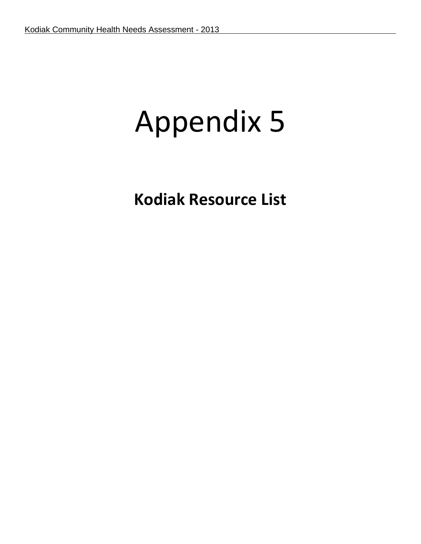# Appendix 5

**Kodiak Resource List**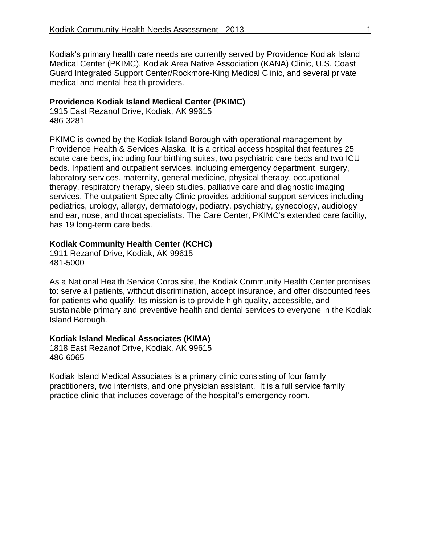Kodiak's primary health care needs are currently served by Providence Kodiak Island Medical Center (PKIMC), Kodiak Area Native Association (KANA) Clinic, U.S. Coast Guard Integrated Support Center/Rockmore-King Medical Clinic, and several private medical and mental health providers.

### **Providence Kodiak Island Medical Center (PKIMC)**

1915 East Rezanof Drive, Kodiak, AK 99615 486-3281

PKIMC is owned by the Kodiak Island Borough with operational management by Providence Health & Services Alaska. It is a critical access hospital that features 25 acute care beds, including four birthing suites, two psychiatric care beds and two ICU beds. Inpatient and outpatient services, including emergency department, surgery, laboratory services, maternity, general medicine, physical therapy, occupational therapy, respiratory therapy, sleep studies, palliative care and diagnostic imaging services. The outpatient Specialty Clinic provides additional support services including pediatrics, urology, allergy, dermatology, podiatry, psychiatry, gynecology, audiology and ear, nose, and throat specialists. The Care Center, PKIMC's extended care facility, has 19 long-term care beds.

### **Kodiak Community Health Center (KCHC)**

1911 Rezanof Drive, Kodiak, AK 99615 481-5000

As a National Health Service Corps site, the Kodiak Community Health Center promises to: serve all patients, without discrimination, accept insurance, and offer discounted fees for patients who qualify. Its mission is to provide high quality, accessible, and sustainable primary and preventive health and dental services to everyone in the Kodiak Island Borough.

### **Kodiak Island Medical Associates (KIMA)**

1818 East Rezanof Drive, Kodiak, AK 99615 486-6065

Kodiak Island Medical Associates is a primary clinic consisting of four family practitioners, two internists, and one physician assistant. It is a full service family practice clinic that includes coverage of the hospital's emergency room.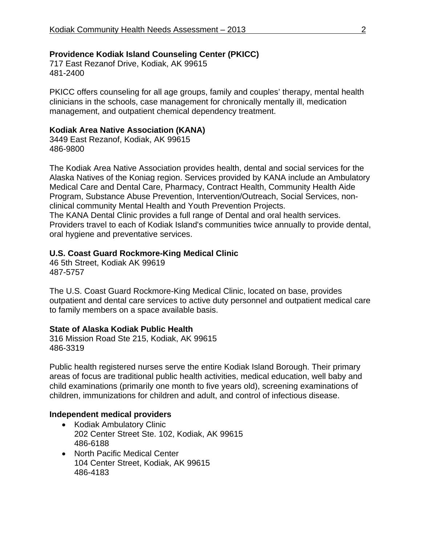### **Providence Kodiak Island Counseling Center (PKICC)**

717 East Rezanof Drive, Kodiak, AK 99615 481-2400

PKICC offers counseling for all age groups, family and couples' therapy, mental health clinicians in the schools, case management for chronically mentally ill, medication management, and outpatient chemical dependency treatment.

### **Kodiak Area Native Association (KANA)**

3449 East Rezanof, Kodiak, AK 99615 486-9800

The Kodiak Area Native Association provides health, dental and social services for the Alaska Natives of the Koniag region. Services provided by KANA include an Ambulatory Medical Care and Dental Care, Pharmacy, Contract Health, Community Health Aide Program, Substance Abuse Prevention, Intervention/Outreach, Social Services, nonclinical community Mental Health and Youth Prevention Projects. The KANA Dental Clinic provides a full range of Dental and oral health services. Providers travel to each of Kodiak Island's communities twice annually to provide dental,

oral hygiene and preventative services.

### **U.S. Coast Guard Rockmore-King Medical Clinic**

46 5th Street, Kodiak AK 99619 487-5757

The U.S. Coast Guard Rockmore-King Medical Clinic, located on base, provides outpatient and dental care services to active duty personnel and outpatient medical care to family members on a space available basis.

### **State of Alaska Kodiak Public Health**

316 Mission Road Ste 215, Kodiak, AK 99615 486-3319

Public health registered nurses serve the entire Kodiak Island Borough. Their primary areas of focus are traditional public health activities, medical education, well baby and child examinations (primarily one month to five years old), screening examinations of children, immunizations for children and adult, and control of infectious disease.

### **Independent medical providers**

- Kodiak Ambulatory Clinic 202 Center Street Ste. 102, Kodiak, AK 99615 486-6188
- North Pacific Medical Center 104 Center Street, Kodiak, AK 99615 486-4183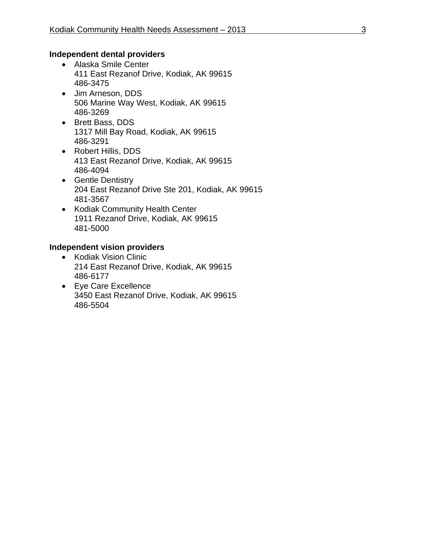### **Independent dental providers**

- Alaska Smile Center 411 East Rezanof Drive, Kodiak, AK 99615 486-3475
- Jim Arneson, DDS 506 Marine Way West, Kodiak, AK 99615 486-3269
- Brett Bass, DDS 1317 Mill Bay Road, Kodiak, AK 99615 486-3291
- Robert Hillis, DDS 413 East Rezanof Drive, Kodiak, AK 99615 486-4094
- Gentle Dentistry 204 East Rezanof Drive Ste 201, Kodiak, AK 99615 481-3567
- Kodiak Community Health Center 1911 Rezanof Drive, Kodiak, AK 99615 481-5000

### **Independent vision providers**

- Kodiak Vision Clinic 214 East Rezanof Drive, Kodiak, AK 99615 486-6177
- Eye Care Excellence 3450 East Rezanof Drive, Kodiak, AK 99615 486-5504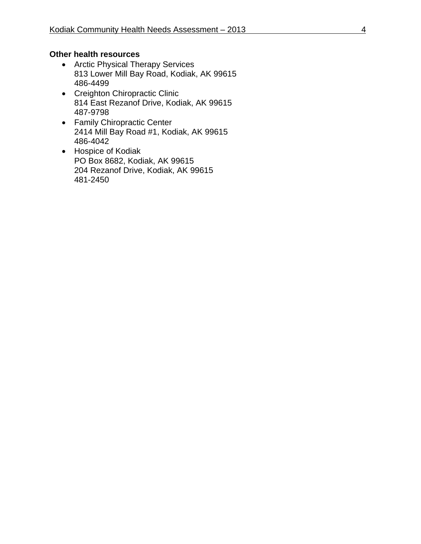### **Other health resources**

- Arctic Physical Therapy Services 813 Lower Mill Bay Road, Kodiak, AK 99615 486-4499
- Creighton Chiropractic Clinic 814 East Rezanof Drive, Kodiak, AK 99615 487-9798
- Family Chiropractic Center 2414 Mill Bay Road #1, Kodiak, AK 99615 486-4042
- Hospice of Kodiak PO Box 8682, Kodiak, AK 99615 204 Rezanof Drive, Kodiak, AK 99615 481-2450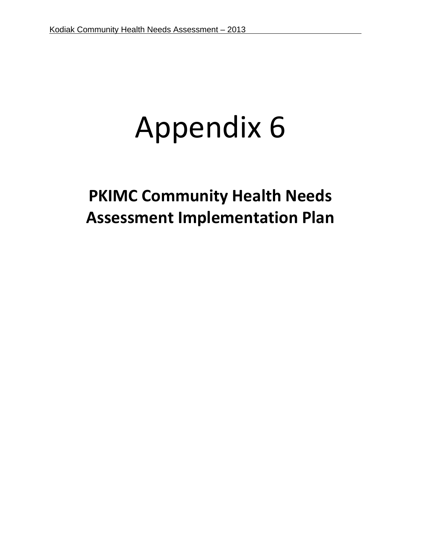# Appendix 6

## **PKIMC Community Health Needs Assessment Implementation Plan**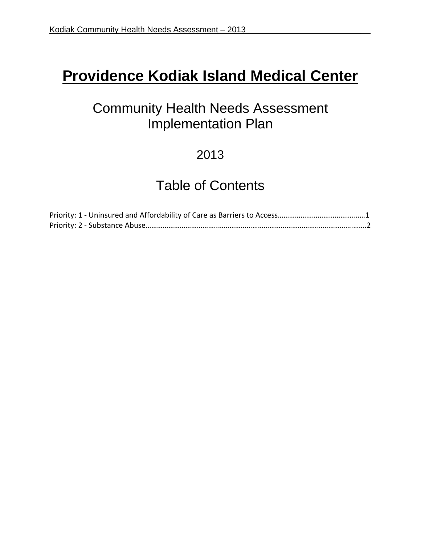## **Providence Kodiak Island Medical Center**

### Community Health Needs Assessment Implementation Plan

### 2013

### Table of Contents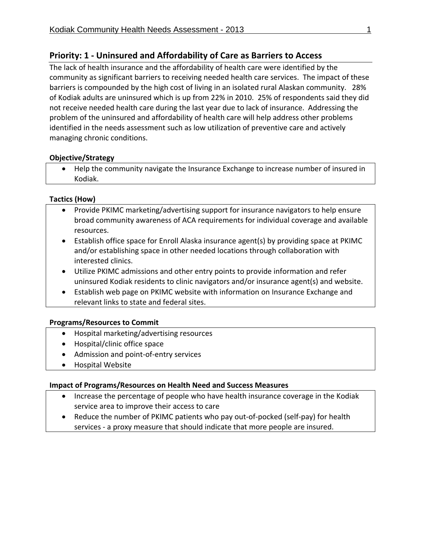### **Priority: 1 ‐ Uninsured and Affordability of Care as Barriers to Access**

The lack of health insurance and the affordability of health care were identified by the community as significant barriers to receiving needed health care services. The impact of these barriers is compounded by the high cost of living in an isolated rural Alaskan community. 28% of Kodiak adults are uninsured which is up from 22% in 2010. 25% of respondents said they did not receive needed health care during the last year due to lack of insurance. Addressing the problem of the uninsured and affordability of health care will help address other problems identified in the needs assessment such as low utilization of preventive care and actively managing chronic conditions.

### **Objective/Strategy**

 Help the community navigate the Insurance Exchange to increase number of insured in Kodiak.

### **Tactics (How)**

- Provide PKIMC marketing/advertising support for insurance navigators to help ensure broad community awareness of ACA requirements for individual coverage and available resources.
- Establish office space for Enroll Alaska insurance agent(s) by providing space at PKIMC and/or establishing space in other needed locations through collaboration with interested clinics.
- Utilize PKIMC admissions and other entry points to provide information and refer uninsured Kodiak residents to clinic navigators and/or insurance agent(s) and website.
- Establish web page on PKIMC website with information on Insurance Exchange and relevant links to state and federal sites.

### **Programs/Resources to Commit**

- Hospital marketing/advertising resources
- Hospital/clinic office space
- Admission and point-of-entry services
- Hospital Website

### **Impact of Programs/Resources on Health Need and Success Measures**

- Increase the percentage of people who have health insurance coverage in the Kodiak service area to improve their access to care
- Reduce the number of PKIMC patients who pay out-of-pocked (self-pay) for health services - a proxy measure that should indicate that more people are insured.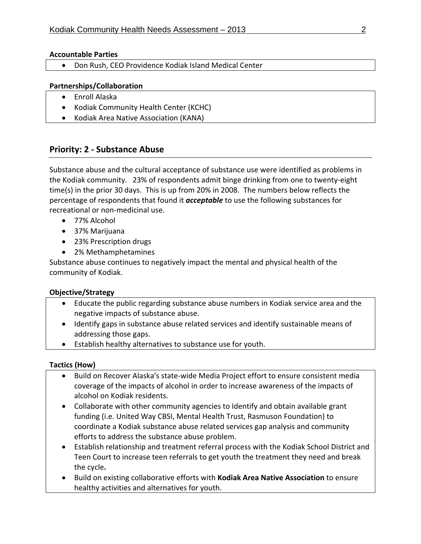### **Accountable Parties**

Don Rush, CEO Providence Kodiak Island Medical Center

### **Partnerships/Collaboration**

- Enroll Alaska
- Kodiak Community Health Center (KCHC)
- Kodiak Area Native Association (KANA)

### **Priority: 2 ‐ Substance Abuse**

Substance abuse and the cultural acceptance of substance use were identified as problems in the Kodiak community. 23% of respondents admit binge drinking from one to twenty‐eight time(s) in the prior 30 days. This is up from 20% in 2008. The numbers below reflects the percentage of respondents that found it *acceptable* to use the following substances for recreational or non‐medicinal use.

- 77% Alcohol
- 37% Marijuana
- 23% Prescription drugs
- 2% Methamphetamines

Substance abuse continues to negatively impact the mental and physical health of the community of Kodiak.

### **Objective/Strategy**

- Educate the public regarding substance abuse numbers in Kodiak service area and the negative impacts of substance abuse.
- Identify gaps in substance abuse related services and identify sustainable means of addressing those gaps.
- Establish healthy alternatives to substance use for youth.

### **Tactics (How)**

- Build on Recover Alaska's state-wide Media Project effort to ensure consistent media coverage of the impacts of alcohol in order to increase awareness of the impacts of alcohol on Kodiak residents.
- Collaborate with other community agencies to Identify and obtain available grant funding (i.e. United Way CBSI, Mental Health Trust, Rasmuson Foundation) to coordinate a Kodiak substance abuse related services gap analysis and community efforts to address the substance abuse problem.
- Establish relationship and treatment referral process with the Kodiak School District and Teen Court to increase teen referrals to get youth the treatment they need and break the cycle**.**
- Build on existing collaborative efforts with **Kodiak Area Native Association** to ensure healthy activities and alternatives for youth.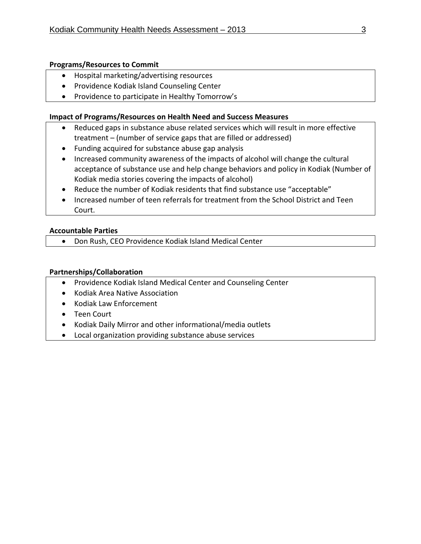### **Programs/Resources to Commit**

- Hospital marketing/advertising resources
- Providence Kodiak Island Counseling Center
- Providence to participate in Healthy Tomorrow's

### **Impact of Programs/Resources on Health Need and Success Measures**

- Reduced gaps in substance abuse related services which will result in more effective treatment – (number of service gaps that are filled or addressed)
- Funding acquired for substance abuse gap analysis
- Increased community awareness of the impacts of alcohol will change the cultural acceptance of substance use and help change behaviors and policy in Kodiak (Number of Kodiak media stories covering the impacts of alcohol)
- Reduce the number of Kodiak residents that find substance use "acceptable"
- Increased number of teen referrals for treatment from the School District and Teen Court.

### **Accountable Parties**

Don Rush, CEO Providence Kodiak Island Medical Center

### **Partnerships/Collaboration**

- Providence Kodiak Island Medical Center and Counseling Center
- Kodiak Area Native Association
- Kodiak Law Enforcement
- Teen Court
- Kodiak Daily Mirror and other informational/media outlets
- Local organization providing substance abuse services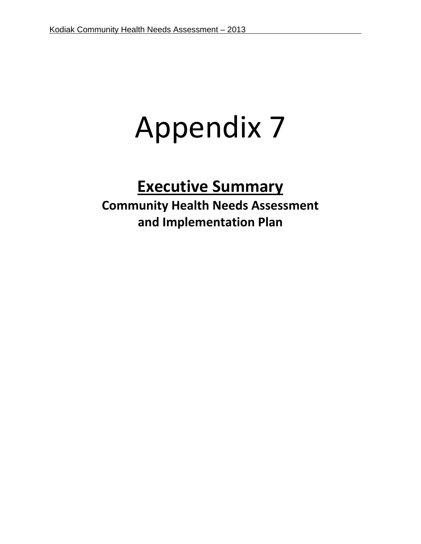# Appendix 7

## **Executive Summary Community Health Needs Assessment and Implementation Plan**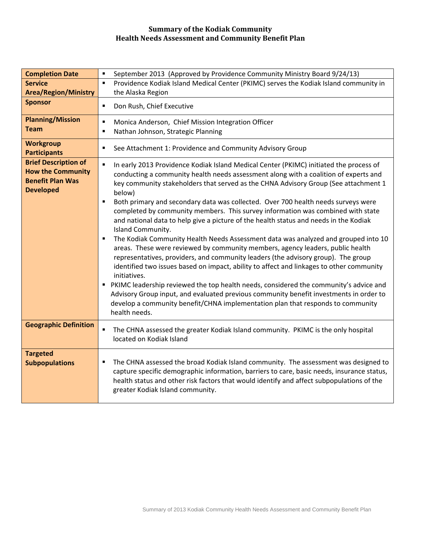#### **Summary of the Kodiak Community Health Needs Assessment and Community Benefit Plan**

| <b>Completion Date</b>                                                                                 | September 2013 (Approved by Providence Community Ministry Board 9/24/13)<br>٠                                                                                                                                                                                                                                                                                                                                                                                                                                                                                                                                                                                                                                                                                                                                                                                                                                                                                                                                                                                                                                                                                                                                                                                 |
|--------------------------------------------------------------------------------------------------------|---------------------------------------------------------------------------------------------------------------------------------------------------------------------------------------------------------------------------------------------------------------------------------------------------------------------------------------------------------------------------------------------------------------------------------------------------------------------------------------------------------------------------------------------------------------------------------------------------------------------------------------------------------------------------------------------------------------------------------------------------------------------------------------------------------------------------------------------------------------------------------------------------------------------------------------------------------------------------------------------------------------------------------------------------------------------------------------------------------------------------------------------------------------------------------------------------------------------------------------------------------------|
| <b>Service</b>                                                                                         | Providence Kodiak Island Medical Center (PKIMC) serves the Kodiak Island community in<br>$\blacksquare$                                                                                                                                                                                                                                                                                                                                                                                                                                                                                                                                                                                                                                                                                                                                                                                                                                                                                                                                                                                                                                                                                                                                                       |
| <b>Area/Region/Ministry</b>                                                                            | the Alaska Region                                                                                                                                                                                                                                                                                                                                                                                                                                                                                                                                                                                                                                                                                                                                                                                                                                                                                                                                                                                                                                                                                                                                                                                                                                             |
| <b>Sponsor</b>                                                                                         | Don Rush, Chief Executive<br>$\blacksquare$                                                                                                                                                                                                                                                                                                                                                                                                                                                                                                                                                                                                                                                                                                                                                                                                                                                                                                                                                                                                                                                                                                                                                                                                                   |
| <b>Planning/Mission</b>                                                                                | Monica Anderson, Chief Mission Integration Officer<br>$\blacksquare$                                                                                                                                                                                                                                                                                                                                                                                                                                                                                                                                                                                                                                                                                                                                                                                                                                                                                                                                                                                                                                                                                                                                                                                          |
| <b>Team</b>                                                                                            | Nathan Johnson, Strategic Planning<br>п                                                                                                                                                                                                                                                                                                                                                                                                                                                                                                                                                                                                                                                                                                                                                                                                                                                                                                                                                                                                                                                                                                                                                                                                                       |
| <b>Workgroup</b><br><b>Participants</b>                                                                | See Attachment 1: Providence and Community Advisory Group<br>٠                                                                                                                                                                                                                                                                                                                                                                                                                                                                                                                                                                                                                                                                                                                                                                                                                                                                                                                                                                                                                                                                                                                                                                                                |
| <b>Brief Description of</b><br><b>How the Community</b><br><b>Benefit Plan Was</b><br><b>Developed</b> | In early 2013 Providence Kodiak Island Medical Center (PKIMC) initiated the process of<br>$\blacksquare$<br>conducting a community health needs assessment along with a coalition of experts and<br>key community stakeholders that served as the CHNA Advisory Group (See attachment 1<br>below)<br>Both primary and secondary data was collected. Over 700 health needs surveys were<br>$\blacksquare$<br>completed by community members. This survey information was combined with state<br>and national data to help give a picture of the health status and needs in the Kodiak<br>Island Community.<br>The Kodiak Community Health Needs Assessment data was analyzed and grouped into 10<br>п<br>areas. These were reviewed by community members, agency leaders, public health<br>representatives, providers, and community leaders (the advisory group). The group<br>identified two issues based on impact, ability to affect and linkages to other community<br>initiatives.<br>PKIMC leadership reviewed the top health needs, considered the community's advice and<br>Advisory Group input, and evaluated previous community benefit investments in order to<br>develop a community benefit/CHNA implementation plan that responds to community |
| <b>Geographic Definition</b>                                                                           | health needs.<br>The CHNA assessed the greater Kodiak Island community. PKIMC is the only hospital<br>$\blacksquare$<br>located on Kodiak Island                                                                                                                                                                                                                                                                                                                                                                                                                                                                                                                                                                                                                                                                                                                                                                                                                                                                                                                                                                                                                                                                                                              |
|                                                                                                        |                                                                                                                                                                                                                                                                                                                                                                                                                                                                                                                                                                                                                                                                                                                                                                                                                                                                                                                                                                                                                                                                                                                                                                                                                                                               |
| <b>Targeted</b><br><b>Subpopulations</b>                                                               | The CHNA assessed the broad Kodiak Island community. The assessment was designed to<br>п<br>capture specific demographic information, barriers to care, basic needs, insurance status,<br>health status and other risk factors that would identify and affect subpopulations of the<br>greater Kodiak Island community.                                                                                                                                                                                                                                                                                                                                                                                                                                                                                                                                                                                                                                                                                                                                                                                                                                                                                                                                       |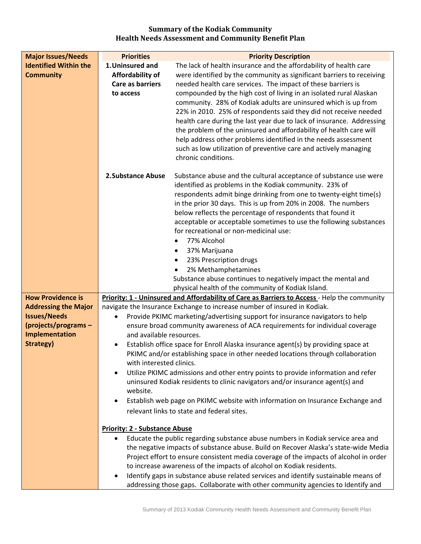#### **Summary of the Kodiak Community Health Needs Assessment and Community Benefit Plan**

| <b>Priorities</b>                    | <b>Priority Description</b>                                                                                                                                              |
|--------------------------------------|--------------------------------------------------------------------------------------------------------------------------------------------------------------------------|
| 1. Uninsured and                     | The lack of health insurance and the affordability of health care                                                                                                        |
| Affordability of                     | were identified by the community as significant barriers to receiving                                                                                                    |
| <b>Care as barriers</b>              | needed health care services. The impact of these barriers is                                                                                                             |
| to access                            | compounded by the high cost of living in an isolated rural Alaskan                                                                                                       |
|                                      | community. 28% of Kodiak adults are uninsured which is up from                                                                                                           |
|                                      | 22% in 2010. 25% of respondents said they did not receive needed                                                                                                         |
|                                      | health care during the last year due to lack of insurance. Addressing<br>the problem of the uninsured and affordability of health care will                              |
|                                      | help address other problems identified in the needs assessment                                                                                                           |
|                                      | such as low utilization of preventive care and actively managing                                                                                                         |
|                                      | chronic conditions.                                                                                                                                                      |
| 2. Substance Abuse                   | Substance abuse and the cultural acceptance of substance use were                                                                                                        |
|                                      | identified as problems in the Kodiak community. 23% of                                                                                                                   |
|                                      | respondents admit binge drinking from one to twenty-eight time(s)                                                                                                        |
|                                      | in the prior 30 days. This is up from 20% in 2008. The numbers                                                                                                           |
|                                      | below reflects the percentage of respondents that found it<br>acceptable or acceptable sometimes to use the following substances                                         |
|                                      | for recreational or non-medicinal use:                                                                                                                                   |
|                                      | 77% Alcohol                                                                                                                                                              |
|                                      | 37% Marijuana<br>$\bullet$                                                                                                                                               |
|                                      | 23% Prescription drugs<br>$\bullet$                                                                                                                                      |
|                                      | 2% Methamphetamines                                                                                                                                                      |
|                                      | Substance abuse continues to negatively impact the mental and                                                                                                            |
|                                      | physical health of the community of Kodiak Island.                                                                                                                       |
|                                      | Priority: 1 - Uninsured and Affordability of Care as Barriers to Access - Help the community<br>navigate the Insurance Exchange to increase number of insured in Kodiak. |
|                                      | Provide PKIMC marketing/advertising support for insurance navigators to help                                                                                             |
|                                      | ensure broad community awareness of ACA requirements for individual coverage                                                                                             |
| and available resources.             |                                                                                                                                                                          |
| ٠                                    | Establish office space for Enroll Alaska insurance agent(s) by providing space at                                                                                        |
|                                      | PKIMC and/or establishing space in other needed locations through collaboration                                                                                          |
| with interested clinics.             |                                                                                                                                                                          |
|                                      | Utilize PKIMC admissions and other entry points to provide information and refer                                                                                         |
|                                      | uninsured Kodiak residents to clinic navigators and/or insurance agent(s) and                                                                                            |
|                                      | Establish web page on PKIMC website with information on Insurance Exchange and                                                                                           |
|                                      | relevant links to state and federal sites.                                                                                                                               |
|                                      |                                                                                                                                                                          |
| <b>Priority: 2 - Substance Abuse</b> |                                                                                                                                                                          |
|                                      | Educate the public regarding substance abuse numbers in Kodiak service area and                                                                                          |
|                                      | the negative impacts of substance abuse. Build on Recover Alaska's state-wide Media                                                                                      |
|                                      | Project effort to ensure consistent media coverage of the impacts of alcohol in order                                                                                    |
|                                      | to increase awareness of the impacts of alcohol on Kodiak residents.<br>Identify gaps in substance abuse related services and identify sustainable means of              |
|                                      | addressing those gaps. Collaborate with other community agencies to Identify and                                                                                         |
|                                      | website.                                                                                                                                                                 |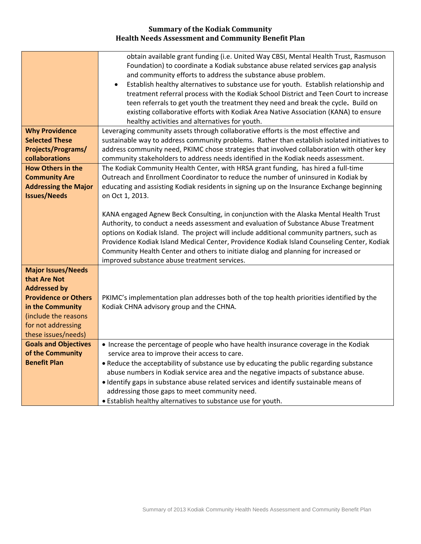#### **Summary of the Kodiak Community Health Needs Assessment and Community Benefit Plan**

|                             | obtain available grant funding (i.e. United Way CBSI, Mental Health Trust, Rasmuson                                                                                 |
|-----------------------------|---------------------------------------------------------------------------------------------------------------------------------------------------------------------|
|                             | Foundation) to coordinate a Kodiak substance abuse related services gap analysis                                                                                    |
|                             | and community efforts to address the substance abuse problem.<br>Establish healthy alternatives to substance use for youth. Establish relationship and<br>$\bullet$ |
|                             | treatment referral process with the Kodiak School District and Teen Court to increase                                                                               |
|                             | teen referrals to get youth the treatment they need and break the cycle. Build on                                                                                   |
|                             | existing collaborative efforts with Kodiak Area Native Association (KANA) to ensure                                                                                 |
|                             | healthy activities and alternatives for youth.                                                                                                                      |
| <b>Why Providence</b>       | Leveraging community assets through collaborative efforts is the most effective and                                                                                 |
| <b>Selected These</b>       | sustainable way to address community problems. Rather than establish isolated initiatives to                                                                        |
| <b>Projects/Programs/</b>   | address community need, PKIMC chose strategies that involved collaboration with other key                                                                           |
| collaborations              | community stakeholders to address needs identified in the Kodiak needs assessment.                                                                                  |
| <b>How Others in the</b>    | The Kodiak Community Health Center, with HRSA grant funding, has hired a full-time                                                                                  |
| <b>Community Are</b>        | Outreach and Enrollment Coordinator to reduce the number of uninsured in Kodiak by                                                                                  |
| <b>Addressing the Major</b> | educating and assisting Kodiak residents in signing up on the Insurance Exchange beginning                                                                          |
| <b>Issues/Needs</b>         | on Oct 1, 2013.                                                                                                                                                     |
|                             |                                                                                                                                                                     |
|                             | KANA engaged Agnew Beck Consulting, in conjunction with the Alaska Mental Health Trust                                                                              |
|                             | Authority, to conduct a needs assessment and evaluation of Substance Abuse Treatment                                                                                |
|                             | options on Kodiak Island. The project will include additional community partners, such as                                                                           |
|                             | Providence Kodiak Island Medical Center, Providence Kodiak Island Counseling Center, Kodiak                                                                         |
|                             | Community Health Center and others to initiate dialog and planning for increased or<br>improved substance abuse treatment services.                                 |
| <b>Major Issues/Needs</b>   |                                                                                                                                                                     |
| that Are Not                |                                                                                                                                                                     |
| <b>Addressed by</b>         |                                                                                                                                                                     |
| <b>Providence or Others</b> | PKIMC's implementation plan addresses both of the top health priorities identified by the                                                                           |
| in the Community            | Kodiak CHNA advisory group and the CHNA.                                                                                                                            |
| (include the reasons        |                                                                                                                                                                     |
| for not addressing          |                                                                                                                                                                     |
| these issues/needs)         |                                                                                                                                                                     |
| <b>Goals and Objectives</b> | • Increase the percentage of people who have health insurance coverage in the Kodiak                                                                                |
| of the Community            | service area to improve their access to care.                                                                                                                       |
| <b>Benefit Plan</b>         | . Reduce the acceptability of substance use by educating the public regarding substance                                                                             |
|                             | abuse numbers in Kodiak service area and the negative impacts of substance abuse.                                                                                   |
|                             | . Identify gaps in substance abuse related services and identify sustainable means of                                                                               |
|                             | addressing those gaps to meet community need.                                                                                                                       |
|                             | • Establish healthy alternatives to substance use for youth.                                                                                                        |